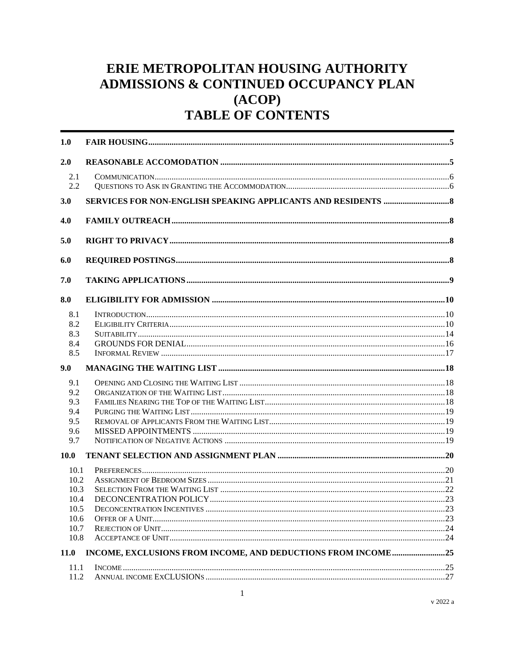# ERIE METROPOLITAN HOUSING AUTHORITY **ADMISSIONS & CONTINUED OCCUPANCY PLAN**  $(ACOP)$ **TABLE OF CONTENTS**

| 1.0          |                 |  |
|--------------|-----------------|--|
| 2.0          |                 |  |
| 2.1<br>2.2   |                 |  |
| <b>3.0</b>   |                 |  |
| 4.0          |                 |  |
| 5.0          |                 |  |
| 6.0          |                 |  |
| 7.0          |                 |  |
| 8.0          |                 |  |
| 8.1          | INTRODUCTION 10 |  |
| 8.2          |                 |  |
| 8.3          |                 |  |
| 8.4          |                 |  |
| 8.5          |                 |  |
| 9.0          |                 |  |
| 9.1          |                 |  |
| 9.2          |                 |  |
| 9.3          |                 |  |
| 9.4          |                 |  |
| 9.5          |                 |  |
| 9.6          |                 |  |
| 9.7          |                 |  |
| <b>10.0</b>  |                 |  |
| 10.1         |                 |  |
| 10.2         |                 |  |
| 10.3         |                 |  |
| 10.4         |                 |  |
| 10.5<br>10.6 |                 |  |
| 10.7         |                 |  |
| 10.8         |                 |  |
| <b>11.0</b>  |                 |  |
| 11.1         |                 |  |
| 11.2         |                 |  |
|              |                 |  |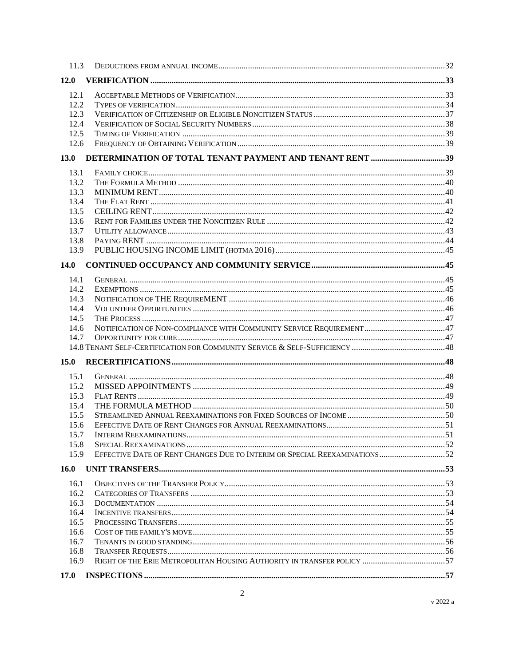| 11.3        |  |
|-------------|--|
| 12.0        |  |
| 12.1        |  |
| 12.2        |  |
| 12.3        |  |
| 12.4        |  |
| 12.5        |  |
| 12.6        |  |
| <b>13.0</b> |  |
| 13.1        |  |
| 13.2        |  |
| 13.3        |  |
| 13.4        |  |
| 13.5        |  |
| 13.6        |  |
| 13.7        |  |
| 13.8        |  |
| 13.9        |  |
| 14.0        |  |
|             |  |
| 14.1        |  |
| 14.2        |  |
| 14.3        |  |
| 14.4        |  |
| 14.5        |  |
| 14.6        |  |
| 14.7        |  |
|             |  |
| 15.0        |  |
| 15.1        |  |
| 15.2        |  |
| 15.3        |  |
| 15.4        |  |
| 15.5        |  |
| 15.6        |  |
| 15.7        |  |
| 15.8        |  |
| 15.9        |  |
| 16.0        |  |
| 16.1        |  |
| 16.2        |  |
| 16.3        |  |
| 16.4        |  |
| 16.5        |  |
| 16.6        |  |
| 16.7        |  |
| 16.8        |  |
| 16.9        |  |
| 17.0        |  |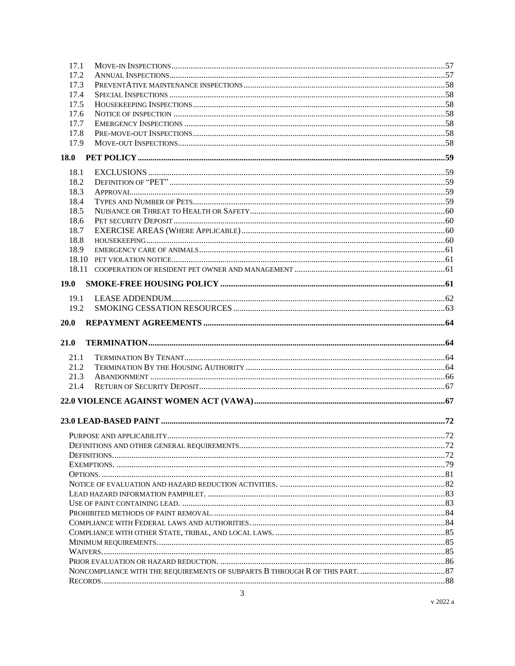| 17.1        |  |  |
|-------------|--|--|
| 17.2        |  |  |
| 17.3        |  |  |
| 17.4        |  |  |
| 17.5        |  |  |
| 17.6        |  |  |
| 17.7        |  |  |
| 17.8        |  |  |
| 17.9        |  |  |
|             |  |  |
| 18.1        |  |  |
| 18.2        |  |  |
| 18.3        |  |  |
| 18.4        |  |  |
| 18.5        |  |  |
| 18.6        |  |  |
| 18.7        |  |  |
| 18.8        |  |  |
| 18.9        |  |  |
|             |  |  |
|             |  |  |
| <b>19.0</b> |  |  |
| 19.1        |  |  |
| 19.2        |  |  |
| 20.0        |  |  |
|             |  |  |
| 21.0        |  |  |
| 21.1        |  |  |
| 21.2        |  |  |
| 21.3        |  |  |
| 21.4        |  |  |
|             |  |  |
|             |  |  |
|             |  |  |
|             |  |  |
|             |  |  |
|             |  |  |
|             |  |  |
|             |  |  |
|             |  |  |
|             |  |  |
|             |  |  |
|             |  |  |
|             |  |  |
|             |  |  |
|             |  |  |
|             |  |  |
|             |  |  |
|             |  |  |
|             |  |  |

v 2022 $\rm{a}$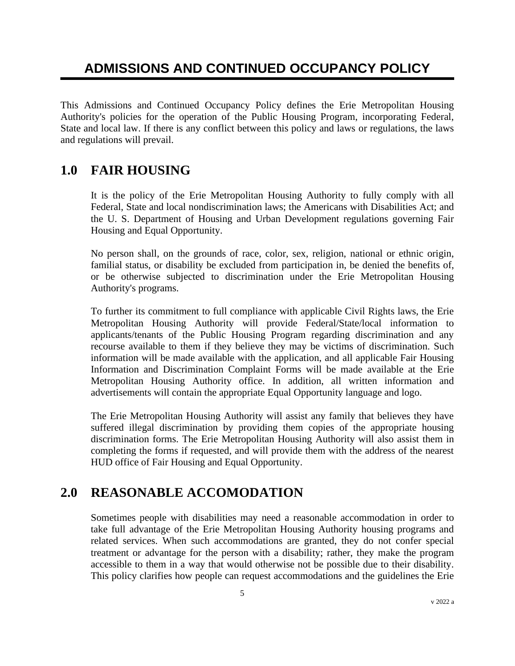# **ADMISSIONS AND CONTINUED OCCUPANCY POLICY**

This Admissions and Continued Occupancy Policy defines the Erie Metropolitan Housing Authority's policies for the operation of the Public Housing Program, incorporating Federal, State and local law. If there is any conflict between this policy and laws or regulations, the laws and regulations will prevail.

# **1.0 FAIR HOUSING**

It is the policy of the Erie Metropolitan Housing Authority to fully comply with all Federal, State and local nondiscrimination laws; the Americans with Disabilities Act; and the U. S. Department of Housing and Urban Development regulations governing Fair Housing and Equal Opportunity.

No person shall, on the grounds of race, color, sex, religion, national or ethnic origin, familial status, or disability be excluded from participation in, be denied the benefits of, or be otherwise subjected to discrimination under the Erie Metropolitan Housing Authority's programs.

To further its commitment to full compliance with applicable Civil Rights laws, the Erie Metropolitan Housing Authority will provide Federal/State/local information to applicants/tenants of the Public Housing Program regarding discrimination and any recourse available to them if they believe they may be victims of discrimination. Such information will be made available with the application, and all applicable Fair Housing Information and Discrimination Complaint Forms will be made available at the Erie Metropolitan Housing Authority office. In addition, all written information and advertisements will contain the appropriate Equal Opportunity language and logo.

The Erie Metropolitan Housing Authority will assist any family that believes they have suffered illegal discrimination by providing them copies of the appropriate housing discrimination forms. The Erie Metropolitan Housing Authority will also assist them in completing the forms if requested, and will provide them with the address of the nearest HUD office of Fair Housing and Equal Opportunity.

## **2.0 REASONABLE ACCOMODATION**

Sometimes people with disabilities may need a reasonable accommodation in order to take full advantage of the Erie Metropolitan Housing Authority housing programs and related services. When such accommodations are granted, they do not confer special treatment or advantage for the person with a disability; rather, they make the program accessible to them in a way that would otherwise not be possible due to their disability. This policy clarifies how people can request accommodations and the guidelines the Erie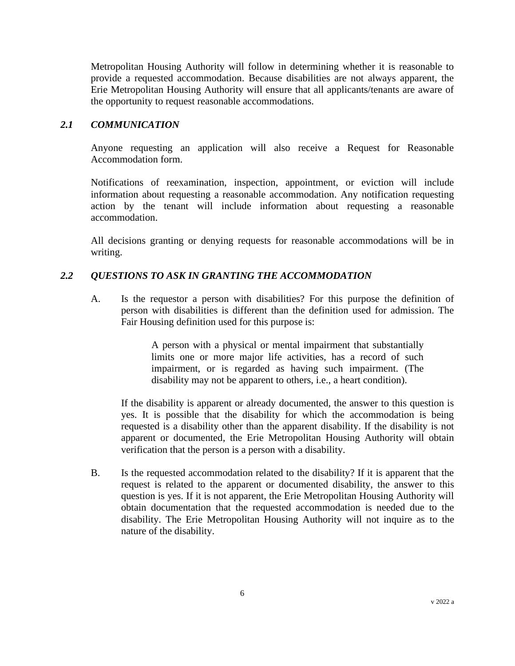Metropolitan Housing Authority will follow in determining whether it is reasonable to provide a requested accommodation. Because disabilities are not always apparent, the Erie Metropolitan Housing Authority will ensure that all applicants/tenants are aware of the opportunity to request reasonable accommodations.

#### *2.1 COMMUNICATION*

Anyone requesting an application will also receive a Request for Reasonable Accommodation form.

Notifications of reexamination, inspection, appointment, or eviction will include information about requesting a reasonable accommodation. Any notification requesting action by the tenant will include information about requesting a reasonable accommodation.

All decisions granting or denying requests for reasonable accommodations will be in writing.

#### *2.2 QUESTIONS TO ASK IN GRANTING THE ACCOMMODATION*

A. Is the requestor a person with disabilities? For this purpose the definition of person with disabilities is different than the definition used for admission. The Fair Housing definition used for this purpose is:

> A person with a physical or mental impairment that substantially limits one or more major life activities, has a record of such impairment, or is regarded as having such impairment. (The disability may not be apparent to others, i.e., a heart condition).

If the disability is apparent or already documented, the answer to this question is yes. It is possible that the disability for which the accommodation is being requested is a disability other than the apparent disability. If the disability is not apparent or documented, the Erie Metropolitan Housing Authority will obtain verification that the person is a person with a disability.

B. Is the requested accommodation related to the disability? If it is apparent that the request is related to the apparent or documented disability, the answer to this question is yes. If it is not apparent, the Erie Metropolitan Housing Authority will obtain documentation that the requested accommodation is needed due to the disability. The Erie Metropolitan Housing Authority will not inquire as to the nature of the disability.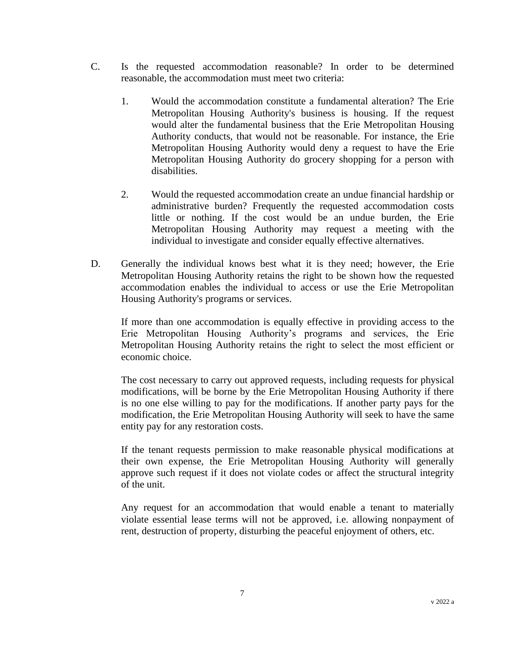- C. Is the requested accommodation reasonable? In order to be determined reasonable, the accommodation must meet two criteria:
	- 1. Would the accommodation constitute a fundamental alteration? The Erie Metropolitan Housing Authority's business is housing. If the request would alter the fundamental business that the Erie Metropolitan Housing Authority conducts, that would not be reasonable. For instance, the Erie Metropolitan Housing Authority would deny a request to have the Erie Metropolitan Housing Authority do grocery shopping for a person with disabilities.
	- 2. Would the requested accommodation create an undue financial hardship or administrative burden? Frequently the requested accommodation costs little or nothing. If the cost would be an undue burden, the Erie Metropolitan Housing Authority may request a meeting with the individual to investigate and consider equally effective alternatives.
- D. Generally the individual knows best what it is they need; however, the Erie Metropolitan Housing Authority retains the right to be shown how the requested accommodation enables the individual to access or use the Erie Metropolitan Housing Authority's programs or services.

If more than one accommodation is equally effective in providing access to the Erie Metropolitan Housing Authority's programs and services, the Erie Metropolitan Housing Authority retains the right to select the most efficient or economic choice.

The cost necessary to carry out approved requests, including requests for physical modifications, will be borne by the Erie Metropolitan Housing Authority if there is no one else willing to pay for the modifications. If another party pays for the modification, the Erie Metropolitan Housing Authority will seek to have the same entity pay for any restoration costs.

If the tenant requests permission to make reasonable physical modifications at their own expense, the Erie Metropolitan Housing Authority will generally approve such request if it does not violate codes or affect the structural integrity of the unit.

Any request for an accommodation that would enable a tenant to materially violate essential lease terms will not be approved, i.e. allowing nonpayment of rent, destruction of property, disturbing the peaceful enjoyment of others, etc.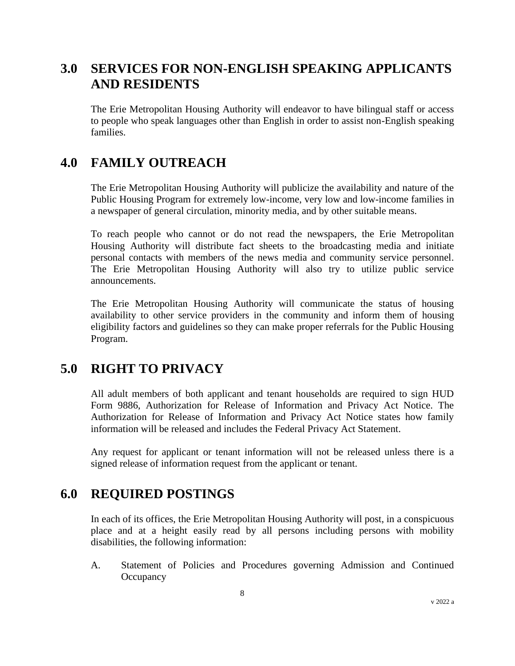# **3.0 SERVICES FOR NON-ENGLISH SPEAKING APPLICANTS AND RESIDENTS**

The Erie Metropolitan Housing Authority will endeavor to have bilingual staff or access to people who speak languages other than English in order to assist non-English speaking families.

## **4.0 FAMILY OUTREACH**

The Erie Metropolitan Housing Authority will publicize the availability and nature of the Public Housing Program for extremely low-income, very low and low-income families in a newspaper of general circulation, minority media, and by other suitable means.

To reach people who cannot or do not read the newspapers, the Erie Metropolitan Housing Authority will distribute fact sheets to the broadcasting media and initiate personal contacts with members of the news media and community service personnel. The Erie Metropolitan Housing Authority will also try to utilize public service announcements.

The Erie Metropolitan Housing Authority will communicate the status of housing availability to other service providers in the community and inform them of housing eligibility factors and guidelines so they can make proper referrals for the Public Housing Program.

# **5.0 RIGHT TO PRIVACY**

All adult members of both applicant and tenant households are required to sign HUD Form 9886, Authorization for Release of Information and Privacy Act Notice. The Authorization for Release of Information and Privacy Act Notice states how family information will be released and includes the Federal Privacy Act Statement.

Any request for applicant or tenant information will not be released unless there is a signed release of information request from the applicant or tenant.

### **6.0 REQUIRED POSTINGS**

In each of its offices, the Erie Metropolitan Housing Authority will post, in a conspicuous place and at a height easily read by all persons including persons with mobility disabilities, the following information:

A. Statement of Policies and Procedures governing Admission and Continued **Occupancy**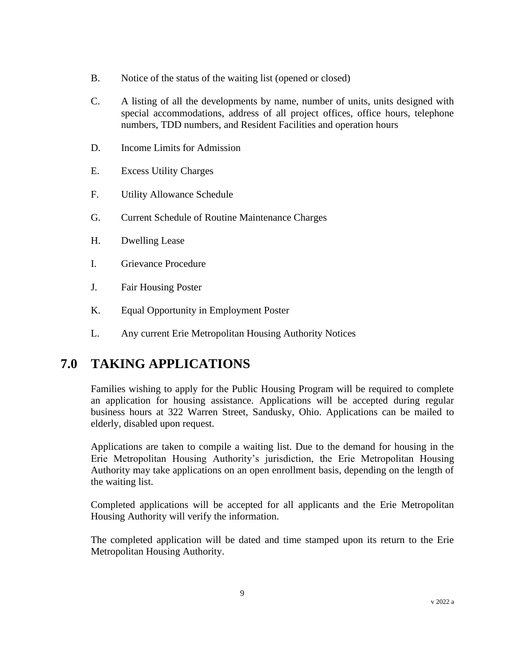- B. Notice of the status of the waiting list (opened or closed)
- C. A listing of all the developments by name, number of units, units designed with special accommodations, address of all project offices, office hours, telephone numbers, TDD numbers, and Resident Facilities and operation hours
- D. Income Limits for Admission
- E. Excess Utility Charges
- F. Utility Allowance Schedule
- G. Current Schedule of Routine Maintenance Charges
- H. Dwelling Lease
- I. Grievance Procedure
- J. Fair Housing Poster
- K. Equal Opportunity in Employment Poster
- L. Any current Erie Metropolitan Housing Authority Notices

# **7.0 TAKING APPLICATIONS**

Families wishing to apply for the Public Housing Program will be required to complete an application for housing assistance. Applications will be accepted during regular business hours at 322 Warren Street, Sandusky, Ohio. Applications can be mailed to elderly, disabled upon request.

Applications are taken to compile a waiting list. Due to the demand for housing in the Erie Metropolitan Housing Authority's jurisdiction, the Erie Metropolitan Housing Authority may take applications on an open enrollment basis, depending on the length of the waiting list.

Completed applications will be accepted for all applicants and the Erie Metropolitan Housing Authority will verify the information.

The completed application will be dated and time stamped upon its return to the Erie Metropolitan Housing Authority.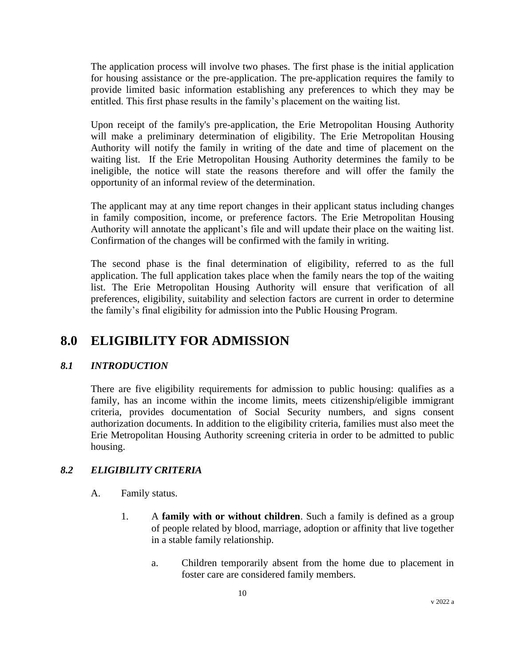The application process will involve two phases. The first phase is the initial application for housing assistance or the pre-application. The pre-application requires the family to provide limited basic information establishing any preferences to which they may be entitled. This first phase results in the family's placement on the waiting list.

Upon receipt of the family's pre-application, the Erie Metropolitan Housing Authority will make a preliminary determination of eligibility. The Erie Metropolitan Housing Authority will notify the family in writing of the date and time of placement on the waiting list. If the Erie Metropolitan Housing Authority determines the family to be ineligible, the notice will state the reasons therefore and will offer the family the opportunity of an informal review of the determination.

The applicant may at any time report changes in their applicant status including changes in family composition, income, or preference factors. The Erie Metropolitan Housing Authority will annotate the applicant's file and will update their place on the waiting list. Confirmation of the changes will be confirmed with the family in writing.

The second phase is the final determination of eligibility, referred to as the full application. The full application takes place when the family nears the top of the waiting list. The Erie Metropolitan Housing Authority will ensure that verification of all preferences, eligibility, suitability and selection factors are current in order to determine the family's final eligibility for admission into the Public Housing Program.

# **8.0 ELIGIBILITY FOR ADMISSION**

### *8.1 INTRODUCTION*

There are five eligibility requirements for admission to public housing: qualifies as a family, has an income within the income limits, meets citizenship/eligible immigrant criteria, provides documentation of Social Security numbers, and signs consent authorization documents. In addition to the eligibility criteria, families must also meet the Erie Metropolitan Housing Authority screening criteria in order to be admitted to public housing.

### *8.2 ELIGIBILITY CRITERIA*

- A. Family status.
	- 1. A **family with or without children**. Such a family is defined as a group of people related by blood, marriage, adoption or affinity that live together in a stable family relationship.
		- a. Children temporarily absent from the home due to placement in foster care are considered family members.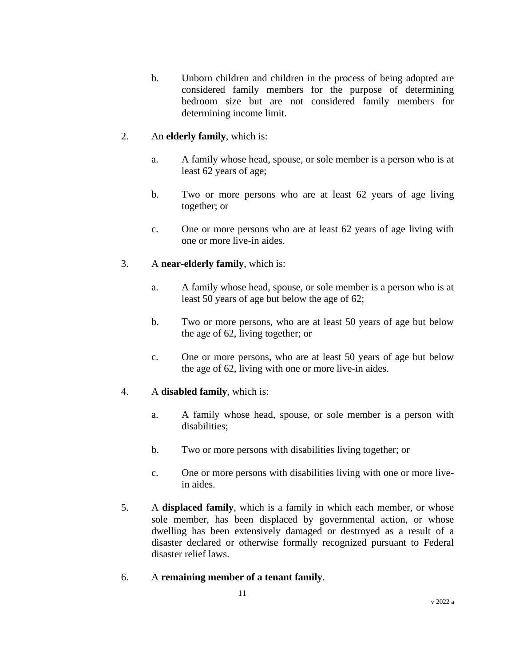b. Unborn children and children in the process of being adopted are considered family members for the purpose of determining bedroom size but are not considered family members for determining income limit.

### 2. An **elderly family**, which is:

- a. A family whose head, spouse, or sole member is a person who is at least 62 years of age;
- b. Two or more persons who are at least 62 years of age living together; or
- c. One or more persons who are at least 62 years of age living with one or more live-in aides.

### 3. A **near-elderly family**, which is:

- a. A family whose head, spouse, or sole member is a person who is at least 50 years of age but below the age of 62;
- b. Two or more persons, who are at least 50 years of age but below the age of 62, living together; or
- c. One or more persons, who are at least 50 years of age but below the age of 62, living with one or more live-in aides.

### 4. A **disabled family**, which is:

- a. A family whose head, spouse, or sole member is a person with disabilities;
- b. Two or more persons with disabilities living together; or
- c. One or more persons with disabilities living with one or more livein aides.
- 5. A **displaced family**, which is a family in which each member, or whose sole member, has been displaced by governmental action, or whose dwelling has been extensively damaged or destroyed as a result of a disaster declared or otherwise formally recognized pursuant to Federal disaster relief laws.
- 6. A **remaining member of a tenant family**.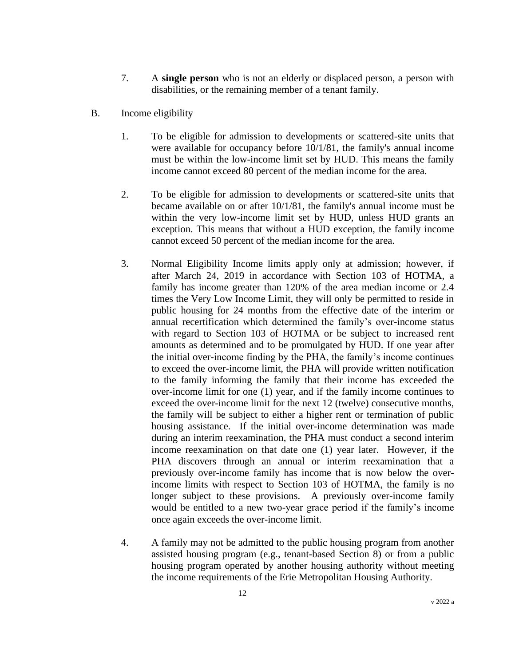- 7. A **single person** who is not an elderly or displaced person, a person with disabilities, or the remaining member of a tenant family.
- B. Income eligibility
	- 1. To be eligible for admission to developments or scattered-site units that were available for occupancy before 10/1/81, the family's annual income must be within the low-income limit set by HUD. This means the family income cannot exceed 80 percent of the median income for the area.
	- 2. To be eligible for admission to developments or scattered-site units that became available on or after 10/1/81, the family's annual income must be within the very low-income limit set by HUD, unless HUD grants an exception. This means that without a HUD exception, the family income cannot exceed 50 percent of the median income for the area.
	- 3. Normal Eligibility Income limits apply only at admission; however, if after March 24, 2019 in accordance with Section 103 of HOTMA, a family has income greater than 120% of the area median income or 2.4 times the Very Low Income Limit, they will only be permitted to reside in public housing for 24 months from the effective date of the interim or annual recertification which determined the family's over-income status with regard to Section 103 of HOTMA or be subject to increased rent amounts as determined and to be promulgated by HUD. If one year after the initial over-income finding by the PHA, the family's income continues to exceed the over-income limit, the PHA will provide written notification to the family informing the family that their income has exceeded the over-income limit for one (1) year, and if the family income continues to exceed the over-income limit for the next 12 (twelve) consecutive months, the family will be subject to either a higher rent or termination of public housing assistance. If the initial over-income determination was made during an interim reexamination, the PHA must conduct a second interim income reexamination on that date one (1) year later. However, if the PHA discovers through an annual or interim reexamination that a previously over-income family has income that is now below the overincome limits with respect to Section 103 of HOTMA, the family is no longer subject to these provisions. A previously over-income family would be entitled to a new two-year grace period if the family's income once again exceeds the over-income limit.
	- 4. A family may not be admitted to the public housing program from another assisted housing program (e.g., tenant-based Section 8) or from a public housing program operated by another housing authority without meeting the income requirements of the Erie Metropolitan Housing Authority.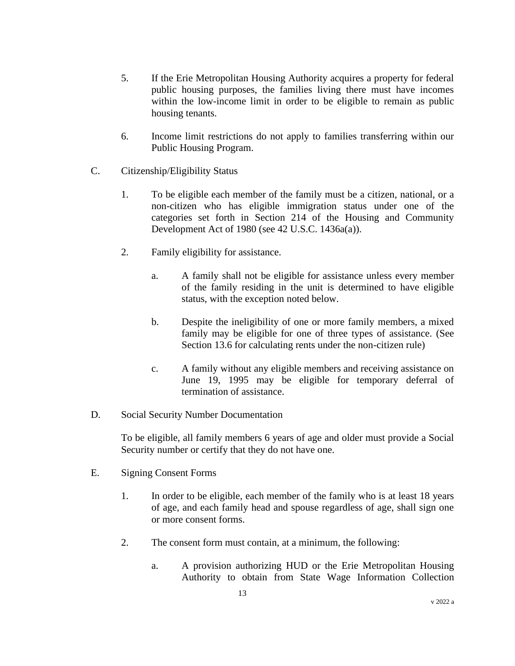- 5. If the Erie Metropolitan Housing Authority acquires a property for federal public housing purposes, the families living there must have incomes within the low-income limit in order to be eligible to remain as public housing tenants.
- 6. Income limit restrictions do not apply to families transferring within our Public Housing Program.
- C. Citizenship/Eligibility Status
	- 1. To be eligible each member of the family must be a citizen, national, or a non-citizen who has eligible immigration status under one of the categories set forth in Section 214 of the Housing and Community Development Act of 1980 (see 42 U.S.C. 1436a(a)).
	- 2. Family eligibility for assistance.
		- a. A family shall not be eligible for assistance unless every member of the family residing in the unit is determined to have eligible status, with the exception noted below.
		- b. Despite the ineligibility of one or more family members, a mixed family may be eligible for one of three types of assistance. (See Section 13.6 for calculating rents under the non-citizen rule)
		- c. A family without any eligible members and receiving assistance on June 19, 1995 may be eligible for temporary deferral of termination of assistance.
- D. Social Security Number Documentation

To be eligible, all family members 6 years of age and older must provide a Social Security number or certify that they do not have one.

- E. Signing Consent Forms
	- 1. In order to be eligible, each member of the family who is at least 18 years of age, and each family head and spouse regardless of age, shall sign one or more consent forms.
	- 2. The consent form must contain, at a minimum, the following:
		- a. A provision authorizing HUD or the Erie Metropolitan Housing Authority to obtain from State Wage Information Collection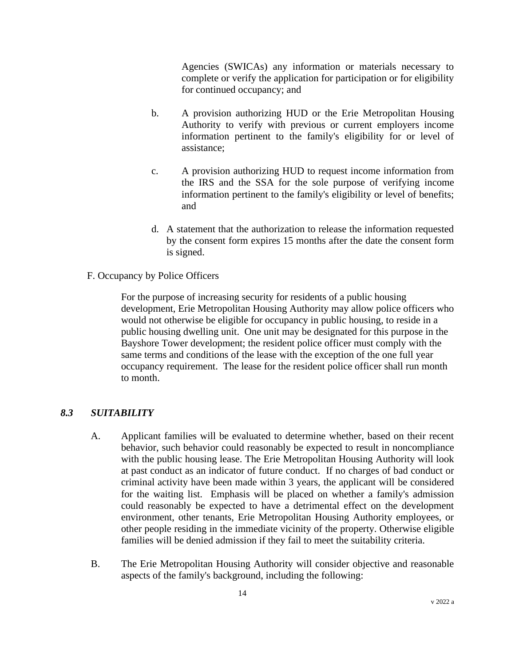Agencies (SWICAs) any information or materials necessary to complete or verify the application for participation or for eligibility for continued occupancy; and

- b. A provision authorizing HUD or the Erie Metropolitan Housing Authority to verify with previous or current employers income information pertinent to the family's eligibility for or level of assistance;
- c. A provision authorizing HUD to request income information from the IRS and the SSA for the sole purpose of verifying income information pertinent to the family's eligibility or level of benefits; and
- d. A statement that the authorization to release the information requested by the consent form expires 15 months after the date the consent form is signed.
- F. Occupancy by Police Officers

For the purpose of increasing security for residents of a public housing development, Erie Metropolitan Housing Authority may allow police officers who would not otherwise be eligible for occupancy in public housing, to reside in a public housing dwelling unit. One unit may be designated for this purpose in the Bayshore Tower development; the resident police officer must comply with the same terms and conditions of the lease with the exception of the one full year occupancy requirement. The lease for the resident police officer shall run month to month.

#### *8.3 SUITABILITY*

- A. Applicant families will be evaluated to determine whether, based on their recent behavior, such behavior could reasonably be expected to result in noncompliance with the public housing lease. The Erie Metropolitan Housing Authority will look at past conduct as an indicator of future conduct. If no charges of bad conduct or criminal activity have been made within 3 years, the applicant will be considered for the waiting list. Emphasis will be placed on whether a family's admission could reasonably be expected to have a detrimental effect on the development environment, other tenants, Erie Metropolitan Housing Authority employees, or other people residing in the immediate vicinity of the property. Otherwise eligible families will be denied admission if they fail to meet the suitability criteria.
- B. The Erie Metropolitan Housing Authority will consider objective and reasonable aspects of the family's background, including the following: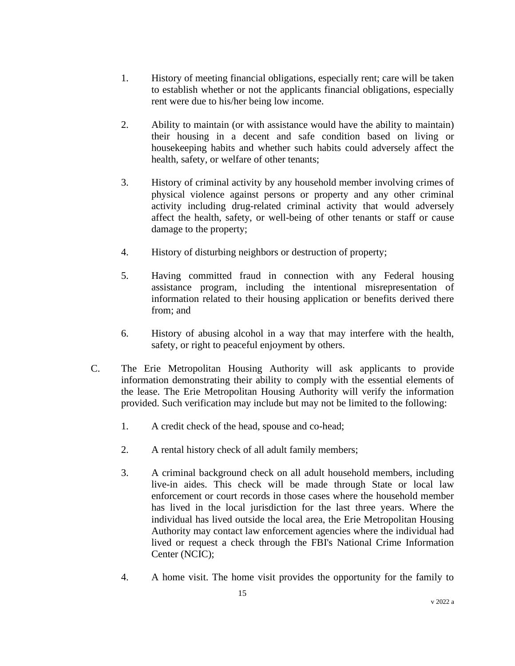- 1. History of meeting financial obligations, especially rent; care will be taken to establish whether or not the applicants financial obligations, especially rent were due to his/her being low income.
- 2. Ability to maintain (or with assistance would have the ability to maintain) their housing in a decent and safe condition based on living or housekeeping habits and whether such habits could adversely affect the health, safety, or welfare of other tenants;
- 3. History of criminal activity by any household member involving crimes of physical violence against persons or property and any other criminal activity including drug-related criminal activity that would adversely affect the health, safety, or well-being of other tenants or staff or cause damage to the property;
- 4. History of disturbing neighbors or destruction of property;
- 5. Having committed fraud in connection with any Federal housing assistance program, including the intentional misrepresentation of information related to their housing application or benefits derived there from; and
- 6. History of abusing alcohol in a way that may interfere with the health, safety, or right to peaceful enjoyment by others.
- C. The Erie Metropolitan Housing Authority will ask applicants to provide information demonstrating their ability to comply with the essential elements of the lease. The Erie Metropolitan Housing Authority will verify the information provided. Such verification may include but may not be limited to the following:
	- 1. A credit check of the head, spouse and co-head;
	- 2. A rental history check of all adult family members;
	- 3. A criminal background check on all adult household members, including live-in aides. This check will be made through State or local law enforcement or court records in those cases where the household member has lived in the local jurisdiction for the last three years. Where the individual has lived outside the local area, the Erie Metropolitan Housing Authority may contact law enforcement agencies where the individual had lived or request a check through the FBI's National Crime Information Center (NCIC);
	- 4. A home visit. The home visit provides the opportunity for the family to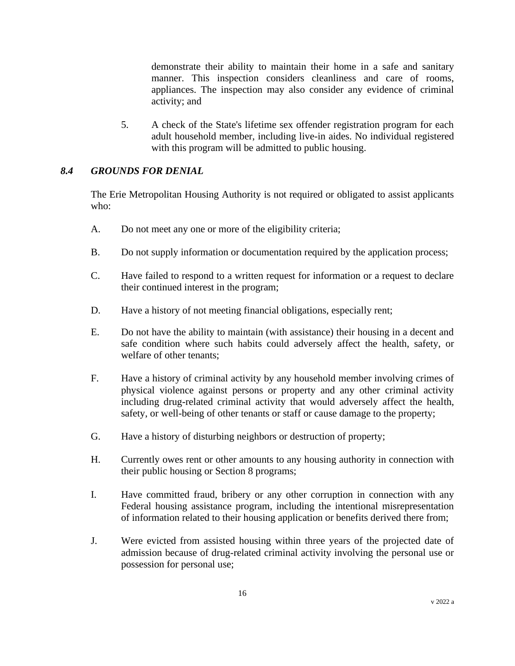demonstrate their ability to maintain their home in a safe and sanitary manner. This inspection considers cleanliness and care of rooms, appliances. The inspection may also consider any evidence of criminal activity; and

5. A check of the State's lifetime sex offender registration program for each adult household member, including live-in aides. No individual registered with this program will be admitted to public housing.

#### *8.4 GROUNDS FOR DENIAL*

The Erie Metropolitan Housing Authority is not required or obligated to assist applicants who:

- A. Do not meet any one or more of the eligibility criteria;
- B. Do not supply information or documentation required by the application process;
- C. Have failed to respond to a written request for information or a request to declare their continued interest in the program;
- D. Have a history of not meeting financial obligations, especially rent;
- E. Do not have the ability to maintain (with assistance) their housing in a decent and safe condition where such habits could adversely affect the health, safety, or welfare of other tenants;
- F. Have a history of criminal activity by any household member involving crimes of physical violence against persons or property and any other criminal activity including drug-related criminal activity that would adversely affect the health, safety, or well-being of other tenants or staff or cause damage to the property;
- G. Have a history of disturbing neighbors or destruction of property;
- H. Currently owes rent or other amounts to any housing authority in connection with their public housing or Section 8 programs;
- I. Have committed fraud, bribery or any other corruption in connection with any Federal housing assistance program, including the intentional misrepresentation of information related to their housing application or benefits derived there from;
- J. Were evicted from assisted housing within three years of the projected date of admission because of drug-related criminal activity involving the personal use or possession for personal use;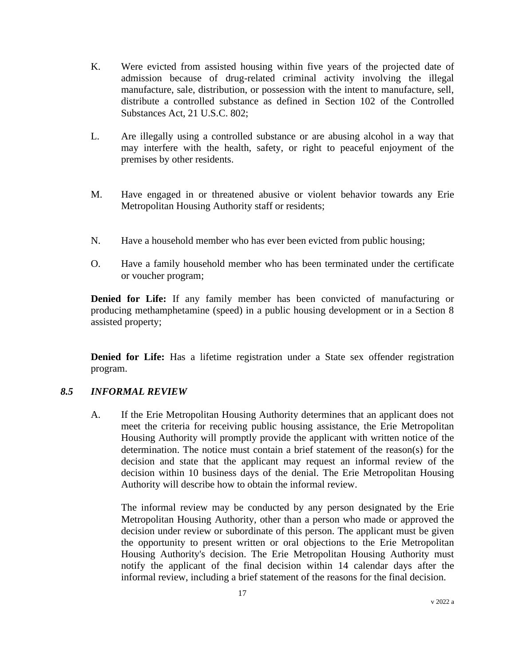- K. Were evicted from assisted housing within five years of the projected date of admission because of drug-related criminal activity involving the illegal manufacture, sale, distribution, or possession with the intent to manufacture, sell, distribute a controlled substance as defined in Section 102 of the Controlled Substances Act, 21 U.S.C. 802;
- L. Are illegally using a controlled substance or are abusing alcohol in a way that may interfere with the health, safety, or right to peaceful enjoyment of the premises by other residents.
- M. Have engaged in or threatened abusive or violent behavior towards any Erie Metropolitan Housing Authority staff or residents;
- N. Have a household member who has ever been evicted from public housing;
- O. Have a family household member who has been terminated under the certificate or voucher program;

**Denied for Life:** If any family member has been convicted of manufacturing or producing methamphetamine (speed) in a public housing development or in a Section 8 assisted property;

**Denied for Life:** Has a lifetime registration under a State sex offender registration program.

### *8.5 INFORMAL REVIEW*

A. If the Erie Metropolitan Housing Authority determines that an applicant does not meet the criteria for receiving public housing assistance, the Erie Metropolitan Housing Authority will promptly provide the applicant with written notice of the determination. The notice must contain a brief statement of the reason(s) for the decision and state that the applicant may request an informal review of the decision within 10 business days of the denial. The Erie Metropolitan Housing Authority will describe how to obtain the informal review.

The informal review may be conducted by any person designated by the Erie Metropolitan Housing Authority, other than a person who made or approved the decision under review or subordinate of this person. The applicant must be given the opportunity to present written or oral objections to the Erie Metropolitan Housing Authority's decision. The Erie Metropolitan Housing Authority must notify the applicant of the final decision within 14 calendar days after the informal review, including a brief statement of the reasons for the final decision.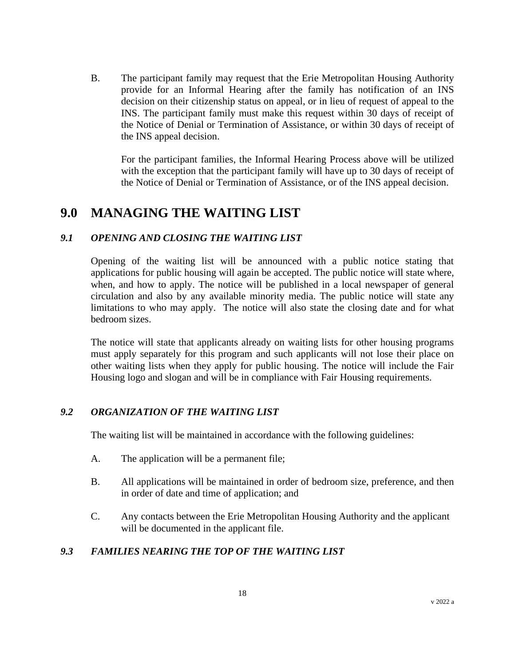B. The participant family may request that the Erie Metropolitan Housing Authority provide for an Informal Hearing after the family has notification of an INS decision on their citizenship status on appeal, or in lieu of request of appeal to the INS. The participant family must make this request within 30 days of receipt of the Notice of Denial or Termination of Assistance, or within 30 days of receipt of the INS appeal decision.

For the participant families, the Informal Hearing Process above will be utilized with the exception that the participant family will have up to 30 days of receipt of the Notice of Denial or Termination of Assistance, or of the INS appeal decision.

## **9.0 MANAGING THE WAITING LIST**

### *9.1 OPENING AND CLOSING THE WAITING LIST*

Opening of the waiting list will be announced with a public notice stating that applications for public housing will again be accepted. The public notice will state where, when, and how to apply. The notice will be published in a local newspaper of general circulation and also by any available minority media. The public notice will state any limitations to who may apply. The notice will also state the closing date and for what bedroom sizes.

The notice will state that applicants already on waiting lists for other housing programs must apply separately for this program and such applicants will not lose their place on other waiting lists when they apply for public housing. The notice will include the Fair Housing logo and slogan and will be in compliance with Fair Housing requirements.

### *9.2 ORGANIZATION OF THE WAITING LIST*

The waiting list will be maintained in accordance with the following guidelines:

- A. The application will be a permanent file;
- B. All applications will be maintained in order of bedroom size, preference, and then in order of date and time of application; and
- C. Any contacts between the Erie Metropolitan Housing Authority and the applicant will be documented in the applicant file.

### *9.3 FAMILIES NEARING THE TOP OF THE WAITING LIST*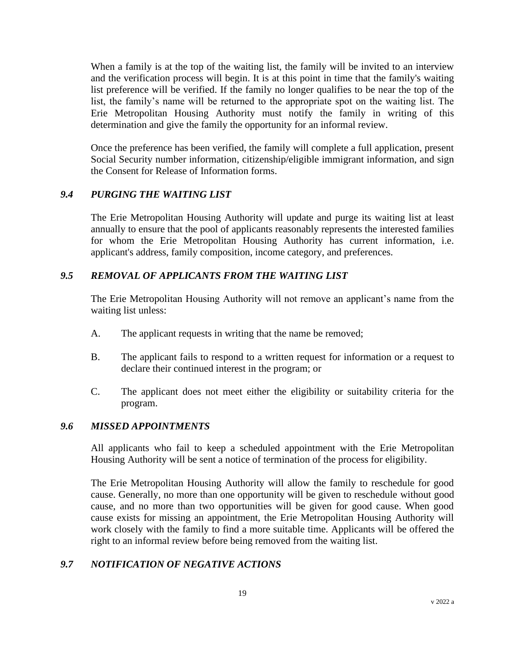When a family is at the top of the waiting list, the family will be invited to an interview and the verification process will begin. It is at this point in time that the family's waiting list preference will be verified. If the family no longer qualifies to be near the top of the list, the family's name will be returned to the appropriate spot on the waiting list. The Erie Metropolitan Housing Authority must notify the family in writing of this determination and give the family the opportunity for an informal review.

Once the preference has been verified, the family will complete a full application, present Social Security number information, citizenship/eligible immigrant information, and sign the Consent for Release of Information forms.

### *9.4 PURGING THE WAITING LIST*

The Erie Metropolitan Housing Authority will update and purge its waiting list at least annually to ensure that the pool of applicants reasonably represents the interested families for whom the Erie Metropolitan Housing Authority has current information, i.e. applicant's address, family composition, income category, and preferences.

#### *9.5 REMOVAL OF APPLICANTS FROM THE WAITING LIST*

The Erie Metropolitan Housing Authority will not remove an applicant's name from the waiting list unless:

- A. The applicant requests in writing that the name be removed;
- B. The applicant fails to respond to a written request for information or a request to declare their continued interest in the program; or
- C. The applicant does not meet either the eligibility or suitability criteria for the program.

### *9.6 MISSED APPOINTMENTS*

All applicants who fail to keep a scheduled appointment with the Erie Metropolitan Housing Authority will be sent a notice of termination of the process for eligibility.

The Erie Metropolitan Housing Authority will allow the family to reschedule for good cause. Generally, no more than one opportunity will be given to reschedule without good cause, and no more than two opportunities will be given for good cause. When good cause exists for missing an appointment, the Erie Metropolitan Housing Authority will work closely with the family to find a more suitable time. Applicants will be offered the right to an informal review before being removed from the waiting list.

### *9.7 NOTIFICATION OF NEGATIVE ACTIONS*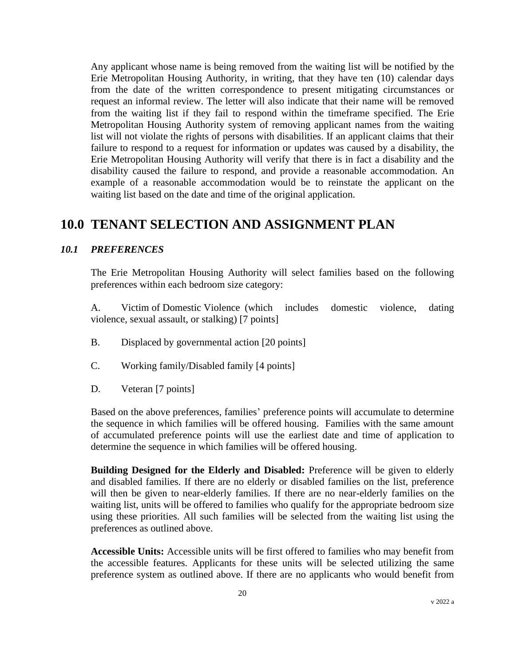Any applicant whose name is being removed from the waiting list will be notified by the Erie Metropolitan Housing Authority, in writing, that they have ten (10) calendar days from the date of the written correspondence to present mitigating circumstances or request an informal review. The letter will also indicate that their name will be removed from the waiting list if they fail to respond within the timeframe specified. The Erie Metropolitan Housing Authority system of removing applicant names from the waiting list will not violate the rights of persons with disabilities. If an applicant claims that their failure to respond to a request for information or updates was caused by a disability, the Erie Metropolitan Housing Authority will verify that there is in fact a disability and the disability caused the failure to respond, and provide a reasonable accommodation. An example of a reasonable accommodation would be to reinstate the applicant on the waiting list based on the date and time of the original application.

## **10.0 TENANT SELECTION AND ASSIGNMENT PLAN**

#### *10.1 PREFERENCES*

The Erie Metropolitan Housing Authority will select families based on the following preferences within each bedroom size category:

A. Victim of Domestic Violence (which includes domestic violence, dating violence, sexual assault, or stalking) [7 points]

- B. Displaced by governmental action [20 points]
- C. Working family/Disabled family [4 points]
- D. Veteran [7 points]

Based on the above preferences, families' preference points will accumulate to determine the sequence in which families will be offered housing. Families with the same amount of accumulated preference points will use the earliest date and time of application to determine the sequence in which families will be offered housing.

**Building Designed for the Elderly and Disabled:** Preference will be given to elderly and disabled families. If there are no elderly or disabled families on the list, preference will then be given to near-elderly families. If there are no near-elderly families on the waiting list, units will be offered to families who qualify for the appropriate bedroom size using these priorities. All such families will be selected from the waiting list using the preferences as outlined above.

**Accessible Units:** Accessible units will be first offered to families who may benefit from the accessible features. Applicants for these units will be selected utilizing the same preference system as outlined above. If there are no applicants who would benefit from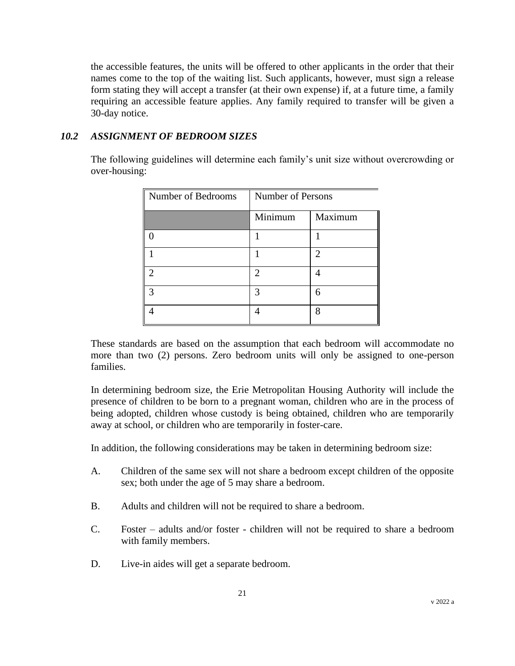the accessible features, the units will be offered to other applicants in the order that their names come to the top of the waiting list. Such applicants, however, must sign a release form stating they will accept a transfer (at their own expense) if, at a future time, a family requiring an accessible feature applies. Any family required to transfer will be given a 30-day notice.

#### *10.2 ASSIGNMENT OF BEDROOM SIZES*

The following guidelines will determine each family's unit size without overcrowding or over-housing:

| Number of Bedrooms | <b>Number of Persons</b> |                             |
|--------------------|--------------------------|-----------------------------|
|                    | Minimum                  | Maximum                     |
|                    |                          |                             |
|                    |                          | $\mathcal{D}_{\mathcal{L}}$ |
| ി                  | 2                        |                             |
| $\mathcal{R}$      | 3                        | 6                           |
|                    |                          | 8                           |

These standards are based on the assumption that each bedroom will accommodate no more than two (2) persons. Zero bedroom units will only be assigned to one-person families.

In determining bedroom size, the Erie Metropolitan Housing Authority will include the presence of children to be born to a pregnant woman, children who are in the process of being adopted, children whose custody is being obtained, children who are temporarily away at school, or children who are temporarily in foster-care.

In addition, the following considerations may be taken in determining bedroom size:

- A. Children of the same sex will not share a bedroom except children of the opposite sex; both under the age of 5 may share a bedroom.
- B. Adults and children will not be required to share a bedroom.
- C. Foster adults and/or foster children will not be required to share a bedroom with family members.
- D. Live-in aides will get a separate bedroom.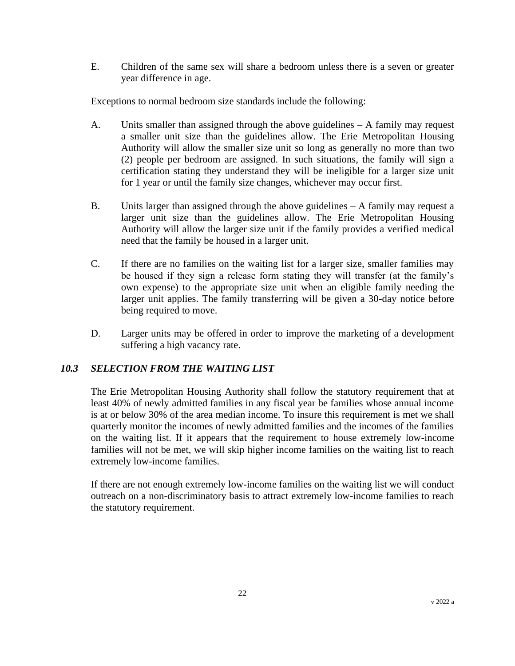E. Children of the same sex will share a bedroom unless there is a seven or greater year difference in age.

Exceptions to normal bedroom size standards include the following:

- A. Units smaller than assigned through the above guidelines A family may request a smaller unit size than the guidelines allow. The Erie Metropolitan Housing Authority will allow the smaller size unit so long as generally no more than two (2) people per bedroom are assigned. In such situations, the family will sign a certification stating they understand they will be ineligible for a larger size unit for 1 year or until the family size changes, whichever may occur first.
- B. Units larger than assigned through the above guidelines A family may request a larger unit size than the guidelines allow. The Erie Metropolitan Housing Authority will allow the larger size unit if the family provides a verified medical need that the family be housed in a larger unit.
- C. If there are no families on the waiting list for a larger size, smaller families may be housed if they sign a release form stating they will transfer (at the family's own expense) to the appropriate size unit when an eligible family needing the larger unit applies. The family transferring will be given a 30-day notice before being required to move.
- D. Larger units may be offered in order to improve the marketing of a development suffering a high vacancy rate.

### *10.3 SELECTION FROM THE WAITING LIST*

The Erie Metropolitan Housing Authority shall follow the statutory requirement that at least 40% of newly admitted families in any fiscal year be families whose annual income is at or below 30% of the area median income. To insure this requirement is met we shall quarterly monitor the incomes of newly admitted families and the incomes of the families on the waiting list. If it appears that the requirement to house extremely low-income families will not be met, we will skip higher income families on the waiting list to reach extremely low-income families.

If there are not enough extremely low-income families on the waiting list we will conduct outreach on a non-discriminatory basis to attract extremely low-income families to reach the statutory requirement.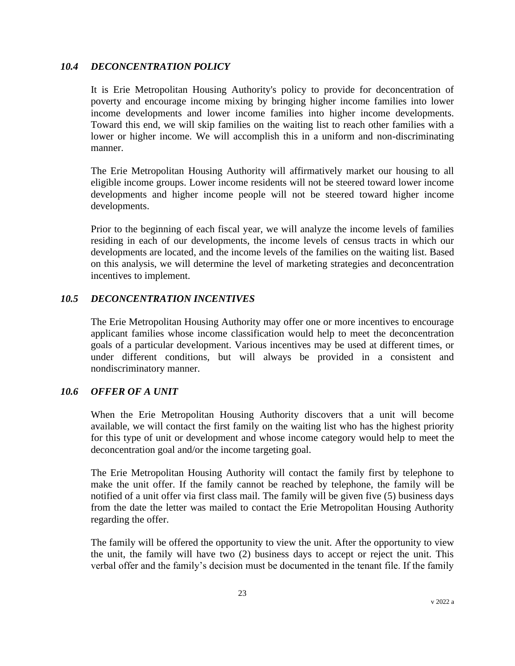#### *10.4 DECONCENTRATION POLICY*

It is Erie Metropolitan Housing Authority's policy to provide for deconcentration of poverty and encourage income mixing by bringing higher income families into lower income developments and lower income families into higher income developments. Toward this end, we will skip families on the waiting list to reach other families with a lower or higher income. We will accomplish this in a uniform and non-discriminating manner.

The Erie Metropolitan Housing Authority will affirmatively market our housing to all eligible income groups. Lower income residents will not be steered toward lower income developments and higher income people will not be steered toward higher income developments.

Prior to the beginning of each fiscal year, we will analyze the income levels of families residing in each of our developments, the income levels of census tracts in which our developments are located, and the income levels of the families on the waiting list. Based on this analysis, we will determine the level of marketing strategies and deconcentration incentives to implement.

#### *10.5 DECONCENTRATION INCENTIVES*

The Erie Metropolitan Housing Authority may offer one or more incentives to encourage applicant families whose income classification would help to meet the deconcentration goals of a particular development. Various incentives may be used at different times, or under different conditions, but will always be provided in a consistent and nondiscriminatory manner.

#### *10.6 OFFER OF A UNIT*

When the Erie Metropolitan Housing Authority discovers that a unit will become available, we will contact the first family on the waiting list who has the highest priority for this type of unit or development and whose income category would help to meet the deconcentration goal and/or the income targeting goal.

The Erie Metropolitan Housing Authority will contact the family first by telephone to make the unit offer. If the family cannot be reached by telephone, the family will be notified of a unit offer via first class mail. The family will be given five (5) business days from the date the letter was mailed to contact the Erie Metropolitan Housing Authority regarding the offer.

The family will be offered the opportunity to view the unit. After the opportunity to view the unit, the family will have two (2) business days to accept or reject the unit. This verbal offer and the family's decision must be documented in the tenant file. If the family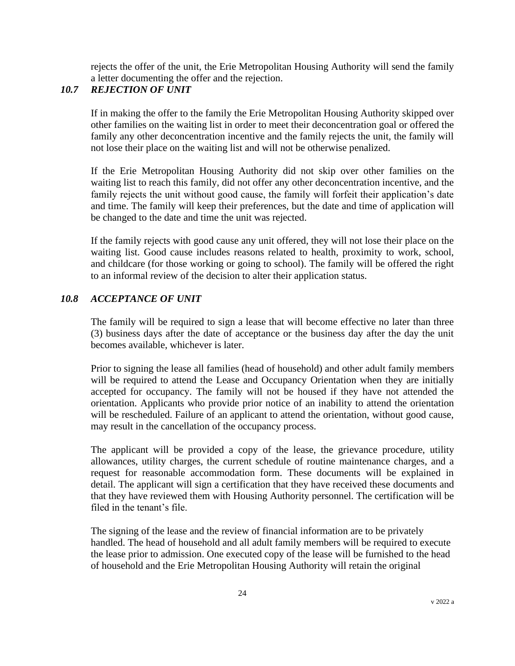rejects the offer of the unit, the Erie Metropolitan Housing Authority will send the family a letter documenting the offer and the rejection.

### *10.7 REJECTION OF UNIT*

If in making the offer to the family the Erie Metropolitan Housing Authority skipped over other families on the waiting list in order to meet their deconcentration goal or offered the family any other deconcentration incentive and the family rejects the unit, the family will not lose their place on the waiting list and will not be otherwise penalized.

If the Erie Metropolitan Housing Authority did not skip over other families on the waiting list to reach this family, did not offer any other deconcentration incentive, and the family rejects the unit without good cause, the family will forfeit their application's date and time. The family will keep their preferences, but the date and time of application will be changed to the date and time the unit was rejected.

If the family rejects with good cause any unit offered, they will not lose their place on the waiting list. Good cause includes reasons related to health, proximity to work, school, and childcare (for those working or going to school). The family will be offered the right to an informal review of the decision to alter their application status.

### *10.8 ACCEPTANCE OF UNIT*

The family will be required to sign a lease that will become effective no later than three (3) business days after the date of acceptance or the business day after the day the unit becomes available, whichever is later.

Prior to signing the lease all families (head of household) and other adult family members will be required to attend the Lease and Occupancy Orientation when they are initially accepted for occupancy. The family will not be housed if they have not attended the orientation. Applicants who provide prior notice of an inability to attend the orientation will be rescheduled. Failure of an applicant to attend the orientation, without good cause, may result in the cancellation of the occupancy process.

The applicant will be provided a copy of the lease, the grievance procedure, utility allowances, utility charges, the current schedule of routine maintenance charges, and a request for reasonable accommodation form. These documents will be explained in detail. The applicant will sign a certification that they have received these documents and that they have reviewed them with Housing Authority personnel. The certification will be filed in the tenant's file.

The signing of the lease and the review of financial information are to be privately handled. The head of household and all adult family members will be required to execute the lease prior to admission. One executed copy of the lease will be furnished to the head of household and the Erie Metropolitan Housing Authority will retain the original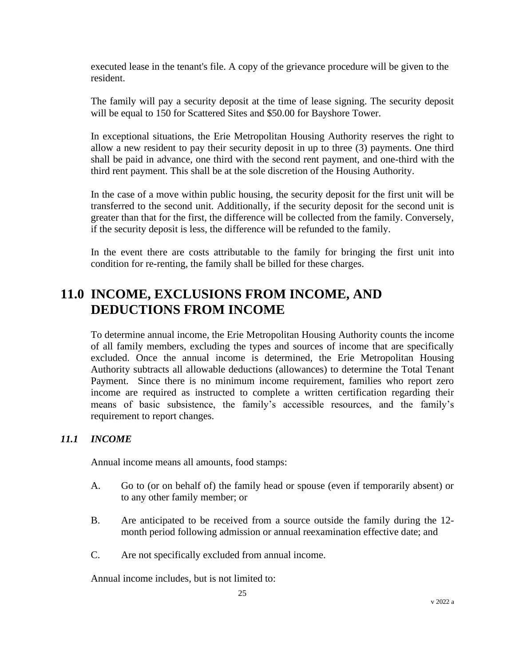executed lease in the tenant's file. A copy of the grievance procedure will be given to the resident.

The family will pay a security deposit at the time of lease signing. The security deposit will be equal to 150 for Scattered Sites and \$50.00 for Bayshore Tower.

In exceptional situations, the Erie Metropolitan Housing Authority reserves the right to allow a new resident to pay their security deposit in up to three (3) payments. One third shall be paid in advance, one third with the second rent payment, and one-third with the third rent payment. This shall be at the sole discretion of the Housing Authority.

In the case of a move within public housing, the security deposit for the first unit will be transferred to the second unit. Additionally, if the security deposit for the second unit is greater than that for the first, the difference will be collected from the family. Conversely, if the security deposit is less, the difference will be refunded to the family.

In the event there are costs attributable to the family for bringing the first unit into condition for re-renting, the family shall be billed for these charges.

# **11.0 INCOME, EXCLUSIONS FROM INCOME, AND DEDUCTIONS FROM INCOME**

To determine annual income, the Erie Metropolitan Housing Authority counts the income of all family members, excluding the types and sources of income that are specifically excluded. Once the annual income is determined, the Erie Metropolitan Housing Authority subtracts all allowable deductions (allowances) to determine the Total Tenant Payment. Since there is no minimum income requirement, families who report zero income are required as instructed to complete a written certification regarding their means of basic subsistence, the family's accessible resources, and the family's requirement to report changes.

### *11.1 INCOME*

Annual income means all amounts, food stamps:

- A. Go to (or on behalf of) the family head or spouse (even if temporarily absent) or to any other family member; or
- B. Are anticipated to be received from a source outside the family during the 12 month period following admission or annual reexamination effective date; and
- C. Are not specifically excluded from annual income.

Annual income includes, but is not limited to: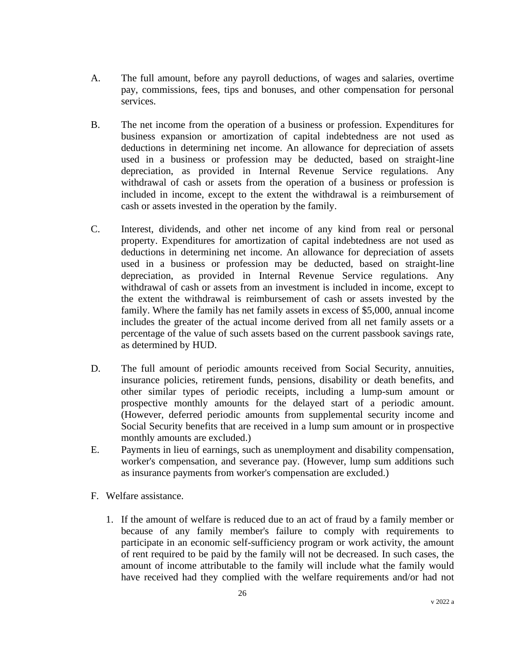- A. The full amount, before any payroll deductions, of wages and salaries, overtime pay, commissions, fees, tips and bonuses, and other compensation for personal services.
- B. The net income from the operation of a business or profession. Expenditures for business expansion or amortization of capital indebtedness are not used as deductions in determining net income. An allowance for depreciation of assets used in a business or profession may be deducted, based on straight-line depreciation, as provided in Internal Revenue Service regulations. Any withdrawal of cash or assets from the operation of a business or profession is included in income, except to the extent the withdrawal is a reimbursement of cash or assets invested in the operation by the family.
- C. Interest, dividends, and other net income of any kind from real or personal property. Expenditures for amortization of capital indebtedness are not used as deductions in determining net income. An allowance for depreciation of assets used in a business or profession may be deducted, based on straight-line depreciation, as provided in Internal Revenue Service regulations. Any withdrawal of cash or assets from an investment is included in income, except to the extent the withdrawal is reimbursement of cash or assets invested by the family. Where the family has net family assets in excess of \$5,000, annual income includes the greater of the actual income derived from all net family assets or a percentage of the value of such assets based on the current passbook savings rate, as determined by HUD.
- D. The full amount of periodic amounts received from Social Security, annuities, insurance policies, retirement funds, pensions, disability or death benefits, and other similar types of periodic receipts, including a lump-sum amount or prospective monthly amounts for the delayed start of a periodic amount. (However, deferred periodic amounts from supplemental security income and Social Security benefits that are received in a lump sum amount or in prospective monthly amounts are excluded.)
- E. Payments in lieu of earnings, such as unemployment and disability compensation, worker's compensation, and severance pay. (However, lump sum additions such as insurance payments from worker's compensation are excluded.)
- F. Welfare assistance.
	- 1. If the amount of welfare is reduced due to an act of fraud by a family member or because of any family member's failure to comply with requirements to participate in an economic self-sufficiency program or work activity, the amount of rent required to be paid by the family will not be decreased. In such cases, the amount of income attributable to the family will include what the family would have received had they complied with the welfare requirements and/or had not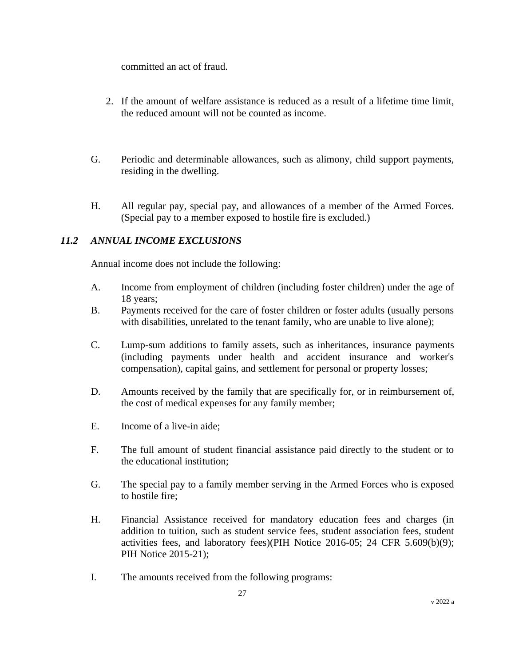committed an act of fraud.

- 2. If the amount of welfare assistance is reduced as a result of a lifetime time limit, the reduced amount will not be counted as income.
- G. Periodic and determinable allowances, such as alimony, child support payments, residing in the dwelling.
- H. All regular pay, special pay, and allowances of a member of the Armed Forces. (Special pay to a member exposed to hostile fire is excluded.)

### *11.2 ANNUAL INCOME EXCLUSIONS*

Annual income does not include the following:

- A. Income from employment of children (including foster children) under the age of 18 years;
- B. Payments received for the care of foster children or foster adults (usually persons with disabilities, unrelated to the tenant family, who are unable to live alone);
- C. Lump-sum additions to family assets, such as inheritances, insurance payments (including payments under health and accident insurance and worker's compensation), capital gains, and settlement for personal or property losses;
- D. Amounts received by the family that are specifically for, or in reimbursement of, the cost of medical expenses for any family member;
- E. Income of a live-in aide;
- F. The full amount of student financial assistance paid directly to the student or to the educational institution;
- G. The special pay to a family member serving in the Armed Forces who is exposed to hostile fire;
- H. Financial Assistance received for mandatory education fees and charges (in addition to tuition, such as student service fees, student association fees, student activities fees, and laboratory fees)(PIH Notice 2016-05; 24 CFR 5.609(b)(9); PIH Notice 2015-21);
- I. The amounts received from the following programs: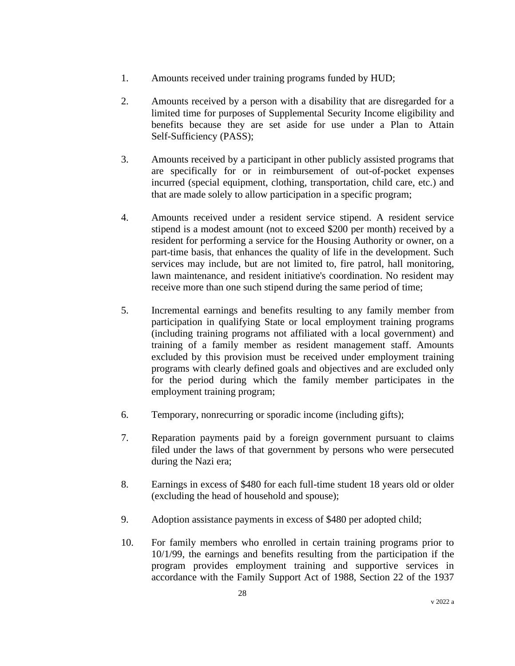- 1. Amounts received under training programs funded by HUD;
- 2. Amounts received by a person with a disability that are disregarded for a limited time for purposes of Supplemental Security Income eligibility and benefits because they are set aside for use under a Plan to Attain Self-Sufficiency (PASS);
- 3. Amounts received by a participant in other publicly assisted programs that are specifically for or in reimbursement of out-of-pocket expenses incurred (special equipment, clothing, transportation, child care, etc.) and that are made solely to allow participation in a specific program;
- 4. Amounts received under a resident service stipend. A resident service stipend is a modest amount (not to exceed \$200 per month) received by a resident for performing a service for the Housing Authority or owner, on a part-time basis, that enhances the quality of life in the development. Such services may include, but are not limited to, fire patrol, hall monitoring, lawn maintenance, and resident initiative's coordination. No resident may receive more than one such stipend during the same period of time;
- 5. Incremental earnings and benefits resulting to any family member from participation in qualifying State or local employment training programs (including training programs not affiliated with a local government) and training of a family member as resident management staff. Amounts excluded by this provision must be received under employment training programs with clearly defined goals and objectives and are excluded only for the period during which the family member participates in the employment training program;
- 6. Temporary, nonrecurring or sporadic income (including gifts);
- 7. Reparation payments paid by a foreign government pursuant to claims filed under the laws of that government by persons who were persecuted during the Nazi era;
- 8. Earnings in excess of \$480 for each full-time student 18 years old or older (excluding the head of household and spouse);
- 9. Adoption assistance payments in excess of \$480 per adopted child;
- 10. For family members who enrolled in certain training programs prior to 10/1/99, the earnings and benefits resulting from the participation if the program provides employment training and supportive services in accordance with the Family Support Act of 1988, Section 22 of the 1937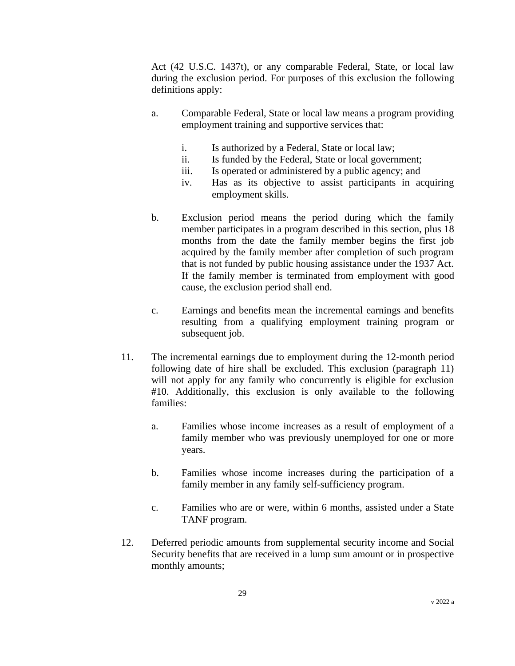Act (42 U.S.C. 1437t), or any comparable Federal, State, or local law during the exclusion period. For purposes of this exclusion the following definitions apply:

- a. Comparable Federal, State or local law means a program providing employment training and supportive services that:
	- i. Is authorized by a Federal, State or local law;
	- ii. Is funded by the Federal, State or local government;
	- iii. Is operated or administered by a public agency; and
	- iv. Has as its objective to assist participants in acquiring employment skills.
- b. Exclusion period means the period during which the family member participates in a program described in this section, plus 18 months from the date the family member begins the first job acquired by the family member after completion of such program that is not funded by public housing assistance under the 1937 Act. If the family member is terminated from employment with good cause, the exclusion period shall end.
- c. Earnings and benefits mean the incremental earnings and benefits resulting from a qualifying employment training program or subsequent job.
- 11. The incremental earnings due to employment during the 12-month period following date of hire shall be excluded. This exclusion (paragraph 11) will not apply for any family who concurrently is eligible for exclusion #10. Additionally, this exclusion is only available to the following families:
	- a. Families whose income increases as a result of employment of a family member who was previously unemployed for one or more years.
	- b. Families whose income increases during the participation of a family member in any family self-sufficiency program.
	- c. Families who are or were, within 6 months, assisted under a State TANF program.
- 12. Deferred periodic amounts from supplemental security income and Social Security benefits that are received in a lump sum amount or in prospective monthly amounts;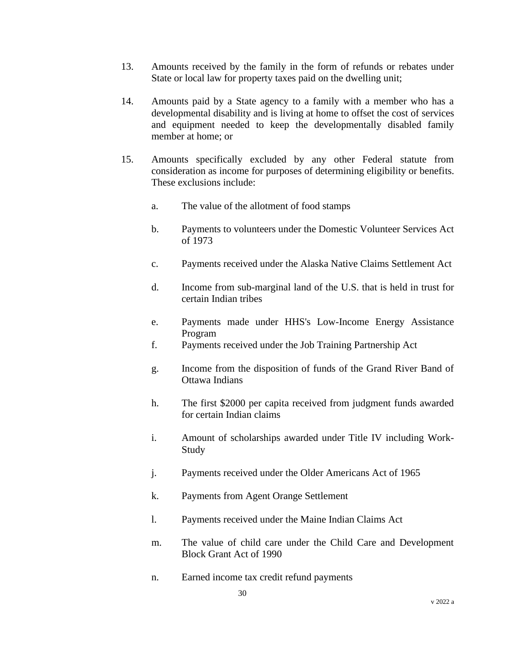- 13. Amounts received by the family in the form of refunds or rebates under State or local law for property taxes paid on the dwelling unit;
- 14. Amounts paid by a State agency to a family with a member who has a developmental disability and is living at home to offset the cost of services and equipment needed to keep the developmentally disabled family member at home; or
- 15. Amounts specifically excluded by any other Federal statute from consideration as income for purposes of determining eligibility or benefits. These exclusions include:
	- a. The value of the allotment of food stamps
	- b. Payments to volunteers under the Domestic Volunteer Services Act of 1973
	- c. Payments received under the Alaska Native Claims Settlement Act
	- d. Income from sub-marginal land of the U.S. that is held in trust for certain Indian tribes
	- e. Payments made under HHS's Low-Income Energy Assistance Program
	- f. Payments received under the Job Training Partnership Act
	- g. Income from the disposition of funds of the Grand River Band of Ottawa Indians
	- h. The first \$2000 per capita received from judgment funds awarded for certain Indian claims
	- i. Amount of scholarships awarded under Title IV including Work-Study
	- j. Payments received under the Older Americans Act of 1965
	- k. Payments from Agent Orange Settlement
	- l. Payments received under the Maine Indian Claims Act
	- m. The value of child care under the Child Care and Development Block Grant Act of 1990
	- n. Earned income tax credit refund payments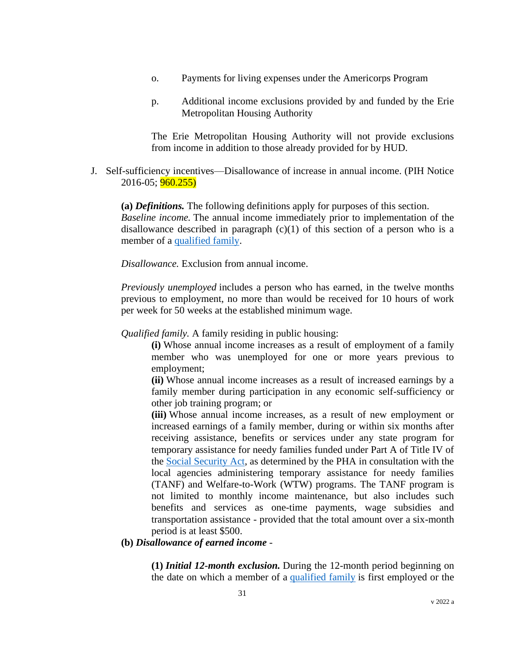- o. Payments for living expenses under the Americorps Program
- p. Additional income exclusions provided by and funded by the Erie Metropolitan Housing Authority

The Erie Metropolitan Housing Authority will not provide exclusions from income in addition to those already provided for by HUD.

J. Self-sufficiency incentives—Disallowance of increase in annual income. (PIH Notice 2016-05; **960.255)** 

**(a)** *Definitions.* The following definitions apply for purposes of this section. *Baseline income.* The annual income immediately prior to implementation of the disallowance described in paragraph  $(c)(1)$  of this section of a person who is a member of a [qualified family.](https://www.law.cornell.edu/definitions/index.php?width=840&height=800&iframe=true&def_id=ad14767f870746fc72e733c064fa0725&term_occur=999&term_src=Title:24:Subtitle:B:Chapter:IX:Part:960:Subpart:C:960.255)

*Disallowance.* Exclusion from annual income.

*Previously unemployed* includes a person who has earned, in the twelve months previous to employment, no more than would be received for 10 hours of work per week for 50 weeks at the established minimum wage.

*Qualified family.* A family residing in public housing:

**(i)** Whose annual income increases as a result of employment of a family member who was unemployed for one or more years previous to employment;

**(ii)** Whose annual income increases as a result of increased earnings by a family member during participation in any economic self-sufficiency or other job training program; or

**(iii)** Whose annual income increases, as a result of new employment or increased earnings of a family member, during or within six months after receiving assistance, benefits or services under any state program for temporary assistance for needy families funded under Part A of Title IV of the [Social Security Act,](https://www.law.cornell.edu/topn/old_age_pension_act) as determined by the PHA in consultation with the local agencies administering temporary assistance for needy families (TANF) and Welfare-to-Work (WTW) programs. The TANF program is not limited to monthly income maintenance, but also includes such benefits and services as one-time payments, wage subsidies and transportation assistance - provided that the total amount over a six-month period is at least \$500.

#### **(b)** *Disallowance of earned income* -

**(1)** *Initial 12-month exclusion.* During the 12-month period beginning on the date on which a member of a [qualified family](https://www.law.cornell.edu/definitions/index.php?width=840&height=800&iframe=true&def_id=ad14767f870746fc72e733c064fa0725&term_occur=999&term_src=Title:24:Subtitle:B:Chapter:IX:Part:960:Subpart:C:960.255) is first employed or the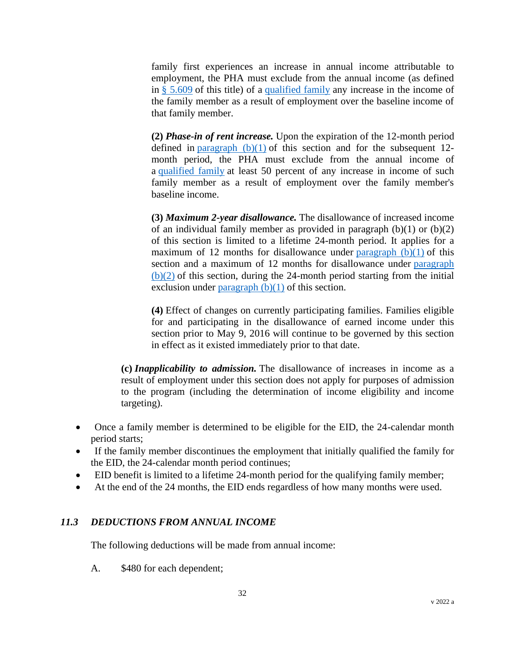family first experiences an increase in annual income attributable to employment, the PHA must exclude from the annual income (as defined in [§ 5.609](https://www.law.cornell.edu/cfr/text/24/5.609) of this title) of a [qualified family](https://www.law.cornell.edu/definitions/index.php?width=840&height=800&iframe=true&def_id=ad14767f870746fc72e733c064fa0725&term_occur=999&term_src=Title:24:Subtitle:B:Chapter:IX:Part:960:Subpart:C:960.255) any increase in the income of the family member as a result of employment over the baseline income of that family member.

**(2)** *Phase-in of rent increase.* Upon the expiration of the 12-month period defined in paragraph  $(b)(1)$  of this section and for the subsequent 12month period, the PHA must exclude from the annual income of a [qualified family](https://www.law.cornell.edu/definitions/index.php?width=840&height=800&iframe=true&def_id=ad14767f870746fc72e733c064fa0725&term_occur=999&term_src=Title:24:Subtitle:B:Chapter:IX:Part:960:Subpart:C:960.255) at least 50 percent of any increase in income of such family member as a result of employment over the family member's baseline income.

**(3)** *Maximum 2-year disallowance.* The disallowance of increased income of an individual family member as provided in paragraph  $(b)(1)$  or  $(b)(2)$ of this section is limited to a lifetime 24-month period. It applies for a maximum of 12 months for disallowance under paragraph  $(b)(1)$  of this section and a maximum of 12 months for disallowance under [paragraph](https://www.law.cornell.edu/cfr/text/24/960.255#b_2)   $(b)(2)$  of this section, during the 24-month period starting from the initial exclusion under paragraph  $(b)(1)$  of this section.

**(4)** Effect of changes on currently participating families. Families eligible for and participating in the disallowance of earned income under this section prior to May 9, 2016 will continue to be governed by this section in effect as it existed immediately prior to that date.

**(c)** *Inapplicability to admission.* The disallowance of increases in income as a result of employment under this section does not apply for purposes of admission to the program (including the determination of income eligibility and income targeting).

- Once a family member is determined to be eligible for the EID, the 24-calendar month period starts;
- If the family member discontinues the employment that initially qualified the family for the EID, the 24-calendar month period continues;
- EID benefit is limited to a lifetime 24-month period for the qualifying family member;
- At the end of the 24 months, the EID ends regardless of how many months were used.

### *11.3 DEDUCTIONS FROM ANNUAL INCOME*

The following deductions will be made from annual income:

A. \$480 for each dependent;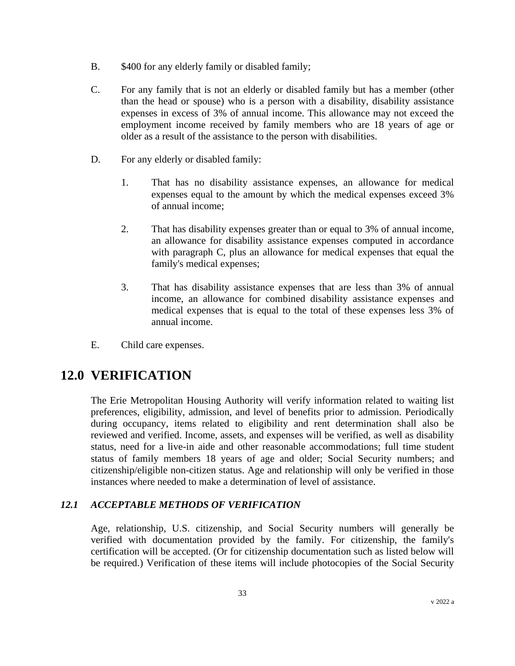- B. \$400 for any elderly family or disabled family;
- C. For any family that is not an elderly or disabled family but has a member (other than the head or spouse) who is a person with a disability, disability assistance expenses in excess of 3% of annual income. This allowance may not exceed the employment income received by family members who are 18 years of age or older as a result of the assistance to the person with disabilities.
- D. For any elderly or disabled family:
	- 1. That has no disability assistance expenses, an allowance for medical expenses equal to the amount by which the medical expenses exceed 3% of annual income;
	- 2. That has disability expenses greater than or equal to 3% of annual income, an allowance for disability assistance expenses computed in accordance with paragraph C, plus an allowance for medical expenses that equal the family's medical expenses;
	- 3. That has disability assistance expenses that are less than 3% of annual income, an allowance for combined disability assistance expenses and medical expenses that is equal to the total of these expenses less 3% of annual income.
- E. Child care expenses.

## **12.0 VERIFICATION**

The Erie Metropolitan Housing Authority will verify information related to waiting list preferences, eligibility, admission, and level of benefits prior to admission. Periodically during occupancy, items related to eligibility and rent determination shall also be reviewed and verified. Income, assets, and expenses will be verified, as well as disability status, need for a live-in aide and other reasonable accommodations; full time student status of family members 18 years of age and older; Social Security numbers; and citizenship/eligible non-citizen status. Age and relationship will only be verified in those instances where needed to make a determination of level of assistance.

### *12.1 ACCEPTABLE METHODS OF VERIFICATION*

Age, relationship, U.S. citizenship, and Social Security numbers will generally be verified with documentation provided by the family. For citizenship, the family's certification will be accepted. (Or for citizenship documentation such as listed below will be required.) Verification of these items will include photocopies of the Social Security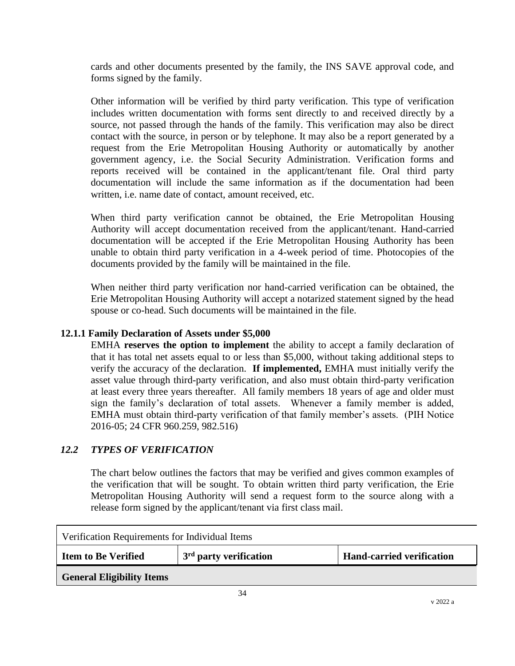cards and other documents presented by the family, the INS SAVE approval code, and forms signed by the family.

Other information will be verified by third party verification. This type of verification includes written documentation with forms sent directly to and received directly by a source, not passed through the hands of the family. This verification may also be direct contact with the source, in person or by telephone. It may also be a report generated by a request from the Erie Metropolitan Housing Authority or automatically by another government agency, i.e. the Social Security Administration. Verification forms and reports received will be contained in the applicant/tenant file. Oral third party documentation will include the same information as if the documentation had been written, i.e. name date of contact, amount received, etc.

When third party verification cannot be obtained, the Erie Metropolitan Housing Authority will accept documentation received from the applicant/tenant. Hand-carried documentation will be accepted if the Erie Metropolitan Housing Authority has been unable to obtain third party verification in a 4-week period of time. Photocopies of the documents provided by the family will be maintained in the file.

When neither third party verification nor hand-carried verification can be obtained, the Erie Metropolitan Housing Authority will accept a notarized statement signed by the head spouse or co-head. Such documents will be maintained in the file.

#### **12.1.1 Family Declaration of Assets under \$5,000**

EMHA **reserves the option to implement** the ability to accept a family declaration of that it has total net assets equal to or less than \$5,000, without taking additional steps to verify the accuracy of the declaration. **If implemented,** EMHA must initially verify the asset value through third-party verification, and also must obtain third-party verification at least every three years thereafter. All family members 18 years of age and older must sign the family's declaration of total assets. Whenever a family member is added, EMHA must obtain third-party verification of that family member's assets. (PIH Notice 2016-05; 24 CFR 960.259, 982.516)

### *12.2 TYPES OF VERIFICATION*

The chart below outlines the factors that may be verified and gives common examples of the verification that will be sought. To obtain written third party verification, the Erie Metropolitan Housing Authority will send a request form to the source along with a release form signed by the applicant/tenant via first class mail.

| Verification Requirements for Individual Items |                                                 |                                  |  |
|------------------------------------------------|-------------------------------------------------|----------------------------------|--|
| <b>Item to Be Verified</b>                     | <sup>1</sup> 3 <sup>rd</sup> party verification | <b>Hand-carried verification</b> |  |
| <b>General Eligibility Items</b>               |                                                 |                                  |  |
|                                                |                                                 |                                  |  |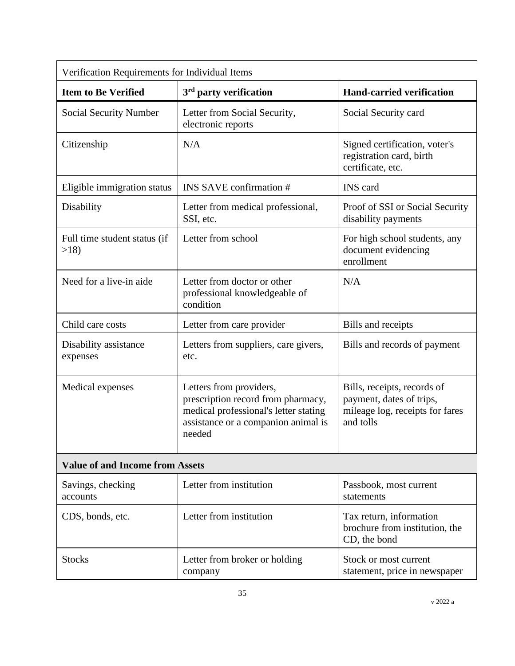| Verification Requirements for Individual Items |                                                                                                                                                         |                                                                                                         |  |
|------------------------------------------------|---------------------------------------------------------------------------------------------------------------------------------------------------------|---------------------------------------------------------------------------------------------------------|--|
| <b>Item to Be Verified</b>                     | $3rd$ party verification                                                                                                                                | <b>Hand-carried verification</b>                                                                        |  |
| Social Security Number                         | Letter from Social Security,<br>electronic reports                                                                                                      | Social Security card                                                                                    |  |
| Citizenship                                    | N/A                                                                                                                                                     | Signed certification, voter's<br>registration card, birth<br>certificate, etc.                          |  |
| Eligible immigration status                    | <b>INS SAVE confirmation #</b>                                                                                                                          | <b>INS</b> card                                                                                         |  |
| Disability                                     | Letter from medical professional,<br>SSI, etc.                                                                                                          | Proof of SSI or Social Security<br>disability payments                                                  |  |
| Full time student status (if<br>>18            | Letter from school                                                                                                                                      | For high school students, any<br>document evidencing<br>enrollment                                      |  |
| Need for a live-in aide                        | Letter from doctor or other<br>professional knowledgeable of<br>condition                                                                               | N/A                                                                                                     |  |
| Child care costs                               | Letter from care provider                                                                                                                               | Bills and receipts                                                                                      |  |
| Disability assistance<br>expenses              | Letters from suppliers, care givers,<br>etc.                                                                                                            | Bills and records of payment                                                                            |  |
| Medical expenses                               | Letters from providers,<br>prescription record from pharmacy,<br>medical professional's letter stating<br>assistance or a companion animal is<br>needed | Bills, receipts, records of<br>payment, dates of trips,<br>mileage log, receipts for fares<br>and tolls |  |
| <b>Value of and Income from Assets</b>         |                                                                                                                                                         |                                                                                                         |  |
| Savings, checking<br>accounts                  | Letter from institution                                                                                                                                 | Passbook, most current<br>statements                                                                    |  |
| CDS, bonds, etc.                               | Letter from institution                                                                                                                                 | Tax return, information<br>brochure from institution, the<br>CD, the bond                               |  |
| Stocks                                         | Letter from broker or holding<br>company                                                                                                                | Stock or most current<br>statement, price in newspaper                                                  |  |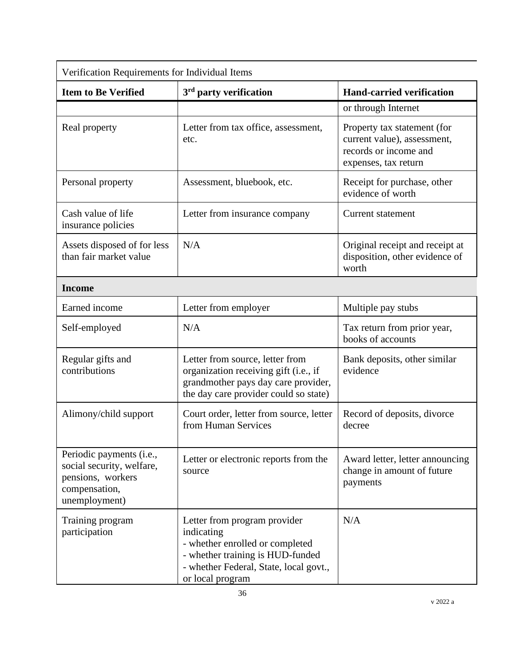| Verification Requirements for Individual Items                                                               |                                                                                                                                                                                 |                                                                                                             |  |
|--------------------------------------------------------------------------------------------------------------|---------------------------------------------------------------------------------------------------------------------------------------------------------------------------------|-------------------------------------------------------------------------------------------------------------|--|
| <b>Item to Be Verified</b>                                                                                   | $3rd$ party verification                                                                                                                                                        | <b>Hand-carried verification</b>                                                                            |  |
|                                                                                                              |                                                                                                                                                                                 | or through Internet                                                                                         |  |
| Real property                                                                                                | Letter from tax office, assessment,<br>etc.                                                                                                                                     | Property tax statement (for<br>current value), assessment,<br>records or income and<br>expenses, tax return |  |
| Personal property                                                                                            | Assessment, bluebook, etc.                                                                                                                                                      | Receipt for purchase, other<br>evidence of worth                                                            |  |
| Cash value of life<br>insurance policies                                                                     | Letter from insurance company                                                                                                                                                   | <b>Current statement</b>                                                                                    |  |
| Assets disposed of for less<br>than fair market value                                                        | N/A                                                                                                                                                                             | Original receipt and receipt at<br>disposition, other evidence of<br>worth                                  |  |
| <b>Income</b>                                                                                                |                                                                                                                                                                                 |                                                                                                             |  |
| Earned income                                                                                                | Letter from employer                                                                                                                                                            | Multiple pay stubs                                                                                          |  |
| Self-employed                                                                                                | N/A                                                                                                                                                                             | Tax return from prior year,<br>books of accounts                                                            |  |
| Regular gifts and<br>contributions                                                                           | Letter from source, letter from<br>organization receiving gift (i.e., if<br>grandmother pays day care provider,<br>the day care provider could so state)                        | Bank deposits, other similar<br>evidence                                                                    |  |
| Alimony/child support                                                                                        | Court order, letter from source, letter<br>from Human Services                                                                                                                  | Record of deposits, divorce<br>decree                                                                       |  |
| Periodic payments (i.e.,<br>social security, welfare,<br>pensions, workers<br>compensation,<br>unemployment) | Letter or electronic reports from the<br>source                                                                                                                                 | Award letter, letter announcing<br>change in amount of future<br>payments                                   |  |
| Training program<br>participation                                                                            | Letter from program provider<br>indicating<br>- whether enrolled or completed<br>- whether training is HUD-funded<br>- whether Federal, State, local govt.,<br>or local program | N/A                                                                                                         |  |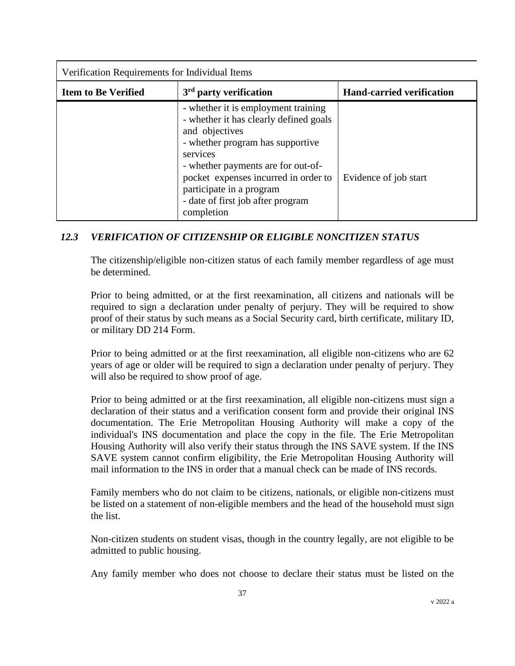| Verification Requirements for Individual Items |                                                                                                                                                                                                                                                                                                              |                                  |
|------------------------------------------------|--------------------------------------------------------------------------------------------------------------------------------------------------------------------------------------------------------------------------------------------------------------------------------------------------------------|----------------------------------|
| <b>Item to Be Verified</b>                     | $3rd$ party verification                                                                                                                                                                                                                                                                                     | <b>Hand-carried verification</b> |
|                                                | - whether it is employment training<br>- whether it has clearly defined goals<br>and objectives<br>- whether program has supportive<br>services<br>- whether payments are for out-of-<br>pocket expenses incurred in order to<br>participate in a program<br>- date of first job after program<br>completion | Evidence of job start            |

# *12.3 VERIFICATION OF CITIZENSHIP OR ELIGIBLE NONCITIZEN STATUS*

The citizenship/eligible non-citizen status of each family member regardless of age must be determined.

Prior to being admitted, or at the first reexamination, all citizens and nationals will be required to sign a declaration under penalty of perjury. They will be required to show proof of their status by such means as a Social Security card, birth certificate, military ID, or military DD 214 Form.

Prior to being admitted or at the first reexamination, all eligible non-citizens who are 62 years of age or older will be required to sign a declaration under penalty of perjury. They will also be required to show proof of age.

Prior to being admitted or at the first reexamination, all eligible non-citizens must sign a declaration of their status and a verification consent form and provide their original INS documentation. The Erie Metropolitan Housing Authority will make a copy of the individual's INS documentation and place the copy in the file. The Erie Metropolitan Housing Authority will also verify their status through the INS SAVE system. If the INS SAVE system cannot confirm eligibility, the Erie Metropolitan Housing Authority will mail information to the INS in order that a manual check can be made of INS records.

Family members who do not claim to be citizens, nationals, or eligible non-citizens must be listed on a statement of non-eligible members and the head of the household must sign the list.

Non-citizen students on student visas, though in the country legally, are not eligible to be admitted to public housing.

Any family member who does not choose to declare their status must be listed on the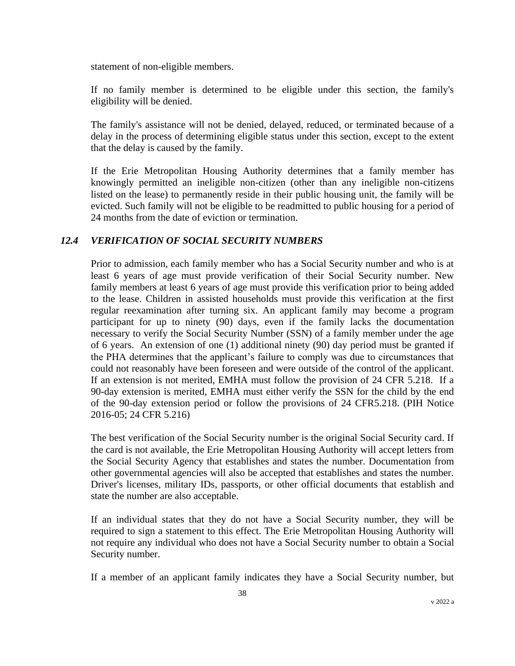statement of non-eligible members.

If no family member is determined to be eligible under this section, the family's eligibility will be denied.

The family's assistance will not be denied, delayed, reduced, or terminated because of a delay in the process of determining eligible status under this section, except to the extent that the delay is caused by the family.

If the Erie Metropolitan Housing Authority determines that a family member has knowingly permitted an ineligible non-citizen (other than any ineligible non-citizens listed on the lease) to permanently reside in their public housing unit, the family will be evicted. Such family will not be eligible to be readmitted to public housing for a period of 24 months from the date of eviction or termination.

# *12.4 VERIFICATION OF SOCIAL SECURITY NUMBERS*

Prior to admission, each family member who has a Social Security number and who is at least 6 years of age must provide verification of their Social Security number. New family members at least 6 years of age must provide this verification prior to being added to the lease. Children in assisted households must provide this verification at the first regular reexamination after turning six. An applicant family may become a program participant for up to ninety (90) days, even if the family lacks the documentation necessary to verify the Social Security Number (SSN) of a family member under the age of 6 years. An extension of one (1) additional ninety (90) day period must be granted if the PHA determines that the applicant's failure to comply was due to circumstances that could not reasonably have been foreseen and were outside of the control of the applicant. If an extension is not merited, EMHA must follow the provision of 24 CFR 5.218. If a 90-day extension is merited, EMHA must either verify the SSN for the child by the end of the 90-day extension period or follow the provisions of 24 CFR5.218. (PIH Notice 2016-05; 24 CFR 5.216)

The best verification of the Social Security number is the original Social Security card. If the card is not available, the Erie Metropolitan Housing Authority will accept letters from the Social Security Agency that establishes and states the number. Documentation from other governmental agencies will also be accepted that establishes and states the number. Driver's licenses, military IDs, passports, or other official documents that establish and state the number are also acceptable.

If an individual states that they do not have a Social Security number, they will be required to sign a statement to this effect. The Erie Metropolitan Housing Authority will not require any individual who does not have a Social Security number to obtain a Social Security number.

If a member of an applicant family indicates they have a Social Security number, but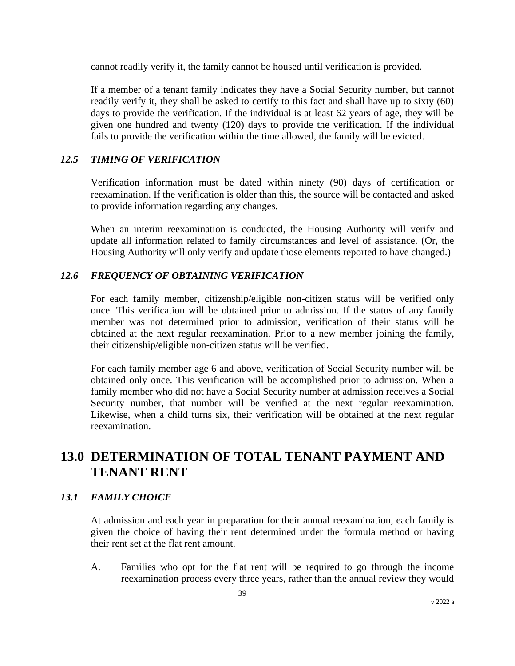cannot readily verify it, the family cannot be housed until verification is provided.

If a member of a tenant family indicates they have a Social Security number, but cannot readily verify it, they shall be asked to certify to this fact and shall have up to sixty (60) days to provide the verification. If the individual is at least 62 years of age, they will be given one hundred and twenty (120) days to provide the verification. If the individual fails to provide the verification within the time allowed, the family will be evicted.

## *12.5 TIMING OF VERIFICATION*

Verification information must be dated within ninety (90) days of certification or reexamination. If the verification is older than this, the source will be contacted and asked to provide information regarding any changes.

When an interim reexamination is conducted, the Housing Authority will verify and update all information related to family circumstances and level of assistance. (Or, the Housing Authority will only verify and update those elements reported to have changed.)

## *12.6 FREQUENCY OF OBTAINING VERIFICATION*

For each family member, citizenship/eligible non-citizen status will be verified only once. This verification will be obtained prior to admission. If the status of any family member was not determined prior to admission, verification of their status will be obtained at the next regular reexamination. Prior to a new member joining the family, their citizenship/eligible non-citizen status will be verified.

For each family member age 6 and above, verification of Social Security number will be obtained only once. This verification will be accomplished prior to admission. When a family member who did not have a Social Security number at admission receives a Social Security number, that number will be verified at the next regular reexamination. Likewise, when a child turns six, their verification will be obtained at the next regular reexamination.

# **13.0 DETERMINATION OF TOTAL TENANT PAYMENT AND TENANT RENT**

# *13.1 FAMILY CHOICE*

At admission and each year in preparation for their annual reexamination, each family is given the choice of having their rent determined under the formula method or having their rent set at the flat rent amount.

A. Families who opt for the flat rent will be required to go through the income reexamination process every three years, rather than the annual review they would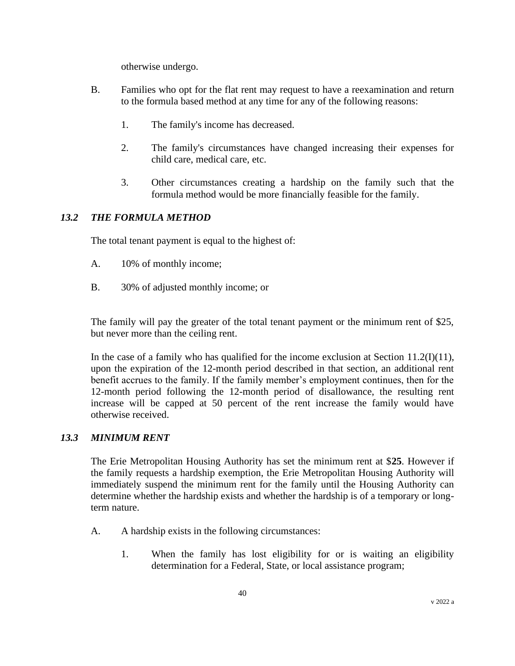otherwise undergo.

- B. Families who opt for the flat rent may request to have a reexamination and return to the formula based method at any time for any of the following reasons:
	- 1. The family's income has decreased.
	- 2. The family's circumstances have changed increasing their expenses for child care, medical care, etc.
	- 3. Other circumstances creating a hardship on the family such that the formula method would be more financially feasible for the family.

# *13.2 THE FORMULA METHOD*

The total tenant payment is equal to the highest of:

- A. 10% of monthly income;
- B. 30% of adjusted monthly income; or

The family will pay the greater of the total tenant payment or the minimum rent of \$25, but never more than the ceiling rent.

In the case of a family who has qualified for the income exclusion at Section 11.2(I)(11), upon the expiration of the 12-month period described in that section, an additional rent benefit accrues to the family. If the family member's employment continues, then for the 12-month period following the 12-month period of disallowance, the resulting rent increase will be capped at 50 percent of the rent increase the family would have otherwise received.

# *13.3 MINIMUM RENT*

The Erie Metropolitan Housing Authority has set the minimum rent at \$**25**. However if the family requests a hardship exemption, the Erie Metropolitan Housing Authority will immediately suspend the minimum rent for the family until the Housing Authority can determine whether the hardship exists and whether the hardship is of a temporary or longterm nature.

- A. A hardship exists in the following circumstances:
	- 1. When the family has lost eligibility for or is waiting an eligibility determination for a Federal, State, or local assistance program;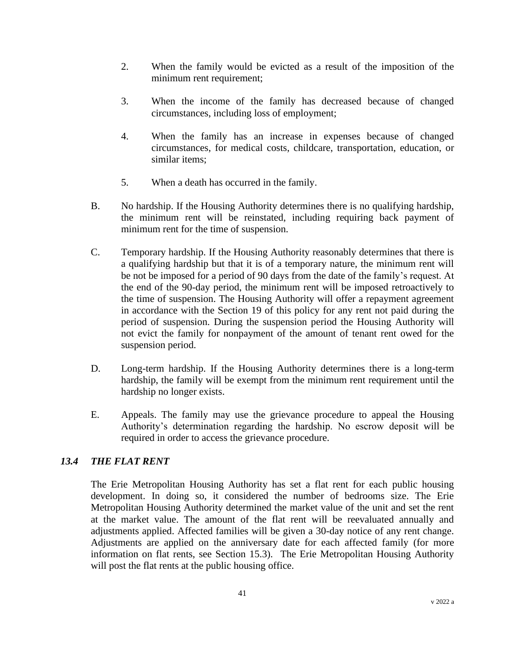- 2. When the family would be evicted as a result of the imposition of the minimum rent requirement;
- 3. When the income of the family has decreased because of changed circumstances, including loss of employment;
- 4. When the family has an increase in expenses because of changed circumstances, for medical costs, childcare, transportation, education, or similar items;
- 5. When a death has occurred in the family.
- B. No hardship. If the Housing Authority determines there is no qualifying hardship, the minimum rent will be reinstated, including requiring back payment of minimum rent for the time of suspension.
- C. Temporary hardship. If the Housing Authority reasonably determines that there is a qualifying hardship but that it is of a temporary nature, the minimum rent will be not be imposed for a period of 90 days from the date of the family's request. At the end of the 90-day period, the minimum rent will be imposed retroactively to the time of suspension. The Housing Authority will offer a repayment agreement in accordance with the Section 19 of this policy for any rent not paid during the period of suspension. During the suspension period the Housing Authority will not evict the family for nonpayment of the amount of tenant rent owed for the suspension period.
- D. Long-term hardship. If the Housing Authority determines there is a long-term hardship, the family will be exempt from the minimum rent requirement until the hardship no longer exists.
- E. Appeals. The family may use the grievance procedure to appeal the Housing Authority's determination regarding the hardship. No escrow deposit will be required in order to access the grievance procedure.

# *13.4 THE FLAT RENT*

The Erie Metropolitan Housing Authority has set a flat rent for each public housing development. In doing so, it considered the number of bedrooms size. The Erie Metropolitan Housing Authority determined the market value of the unit and set the rent at the market value. The amount of the flat rent will be reevaluated annually and adjustments applied. Affected families will be given a 30-day notice of any rent change. Adjustments are applied on the anniversary date for each affected family (for more information on flat rents, see Section 15.3). The Erie Metropolitan Housing Authority will post the flat rents at the public housing office.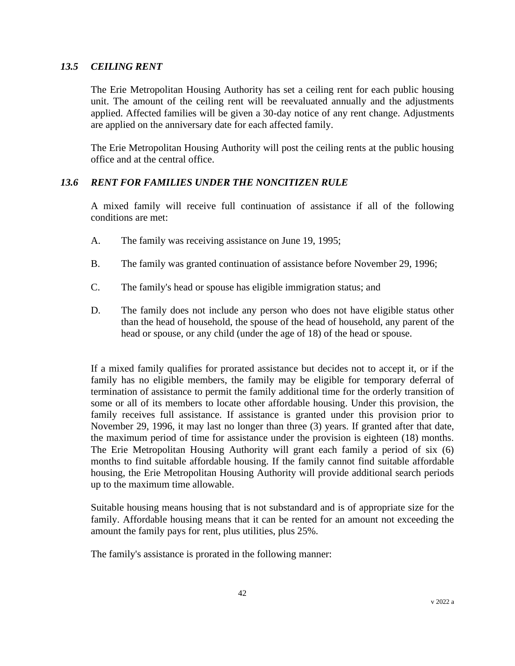#### *13.5 CEILING RENT*

The Erie Metropolitan Housing Authority has set a ceiling rent for each public housing unit. The amount of the ceiling rent will be reevaluated annually and the adjustments applied. Affected families will be given a 30-day notice of any rent change. Adjustments are applied on the anniversary date for each affected family.

The Erie Metropolitan Housing Authority will post the ceiling rents at the public housing office and at the central office.

# *13.6 RENT FOR FAMILIES UNDER THE NONCITIZEN RULE*

A mixed family will receive full continuation of assistance if all of the following conditions are met:

- A. The family was receiving assistance on June 19, 1995;
- B. The family was granted continuation of assistance before November 29, 1996;
- C. The family's head or spouse has eligible immigration status; and
- D. The family does not include any person who does not have eligible status other than the head of household, the spouse of the head of household, any parent of the head or spouse, or any child (under the age of 18) of the head or spouse.

If a mixed family qualifies for prorated assistance but decides not to accept it, or if the family has no eligible members, the family may be eligible for temporary deferral of termination of assistance to permit the family additional time for the orderly transition of some or all of its members to locate other affordable housing. Under this provision, the family receives full assistance. If assistance is granted under this provision prior to November 29, 1996, it may last no longer than three (3) years. If granted after that date, the maximum period of time for assistance under the provision is eighteen (18) months. The Erie Metropolitan Housing Authority will grant each family a period of six (6) months to find suitable affordable housing. If the family cannot find suitable affordable housing, the Erie Metropolitan Housing Authority will provide additional search periods up to the maximum time allowable.

Suitable housing means housing that is not substandard and is of appropriate size for the family. Affordable housing means that it can be rented for an amount not exceeding the amount the family pays for rent, plus utilities, plus 25%.

The family's assistance is prorated in the following manner: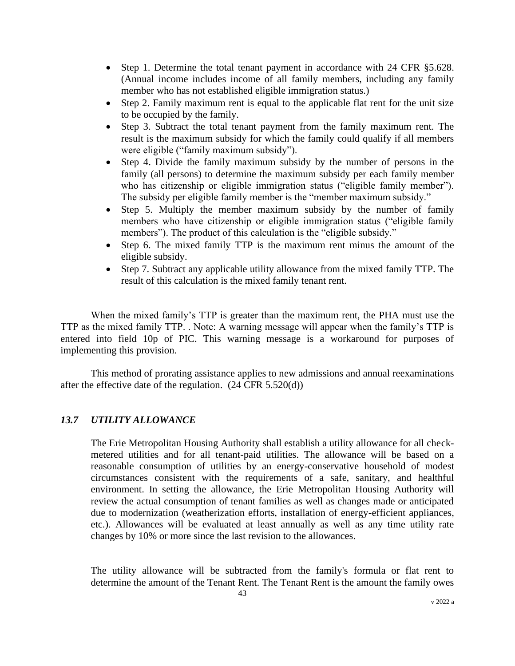- Step 1. Determine the total tenant payment in accordance with 24 CFR §5.628. (Annual income includes income of all family members, including any family member who has not established eligible immigration status.)
- Step 2. Family maximum rent is equal to the applicable flat rent for the unit size to be occupied by the family.
- Step 3. Subtract the total tenant payment from the family maximum rent. The result is the maximum subsidy for which the family could qualify if all members were eligible ("family maximum subsidy").
- Step 4. Divide the family maximum subsidy by the number of persons in the family (all persons) to determine the maximum subsidy per each family member who has citizenship or eligible immigration status ("eligible family member"). The subsidy per eligible family member is the "member maximum subsidy."
- Step 5. Multiply the member maximum subsidy by the number of family members who have citizenship or eligible immigration status ("eligible family members"). The product of this calculation is the "eligible subsidy."
- Step 6. The mixed family TTP is the maximum rent minus the amount of the eligible subsidy.
- Step 7. Subtract any applicable utility allowance from the mixed family TTP. The result of this calculation is the mixed family tenant rent.

When the mixed family's TTP is greater than the maximum rent, the PHA must use the TTP as the mixed family TTP. . Note: A warning message will appear when the family's TTP is entered into field 10p of PIC. This warning message is a workaround for purposes of implementing this provision.

This method of prorating assistance applies to new admissions and annual reexaminations after the effective date of the regulation.  $(24 \text{ CFR } 5.520(d))$ 

#### *13.7 UTILITY ALLOWANCE*

The Erie Metropolitan Housing Authority shall establish a utility allowance for all checkmetered utilities and for all tenant-paid utilities. The allowance will be based on a reasonable consumption of utilities by an energy-conservative household of modest circumstances consistent with the requirements of a safe, sanitary, and healthful environment. In setting the allowance, the Erie Metropolitan Housing Authority will review the actual consumption of tenant families as well as changes made or anticipated due to modernization (weatherization efforts, installation of energy-efficient appliances, etc.). Allowances will be evaluated at least annually as well as any time utility rate changes by 10% or more since the last revision to the allowances.

The utility allowance will be subtracted from the family's formula or flat rent to determine the amount of the Tenant Rent. The Tenant Rent is the amount the family owes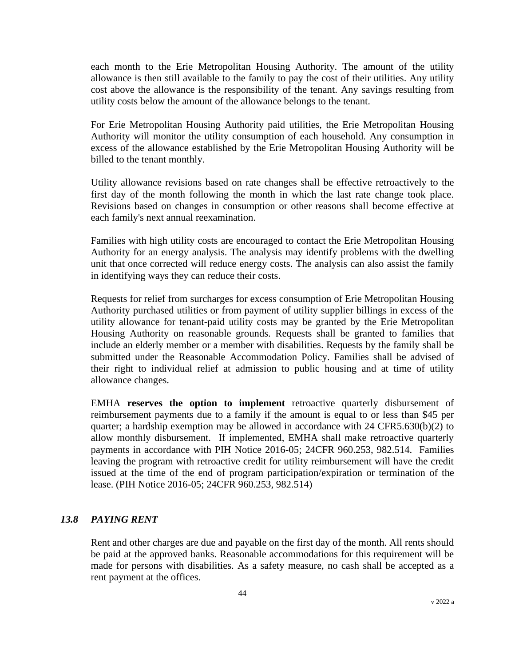each month to the Erie Metropolitan Housing Authority. The amount of the utility allowance is then still available to the family to pay the cost of their utilities. Any utility cost above the allowance is the responsibility of the tenant. Any savings resulting from utility costs below the amount of the allowance belongs to the tenant.

For Erie Metropolitan Housing Authority paid utilities, the Erie Metropolitan Housing Authority will monitor the utility consumption of each household. Any consumption in excess of the allowance established by the Erie Metropolitan Housing Authority will be billed to the tenant monthly.

Utility allowance revisions based on rate changes shall be effective retroactively to the first day of the month following the month in which the last rate change took place. Revisions based on changes in consumption or other reasons shall become effective at each family's next annual reexamination.

Families with high utility costs are encouraged to contact the Erie Metropolitan Housing Authority for an energy analysis. The analysis may identify problems with the dwelling unit that once corrected will reduce energy costs. The analysis can also assist the family in identifying ways they can reduce their costs.

Requests for relief from surcharges for excess consumption of Erie Metropolitan Housing Authority purchased utilities or from payment of utility supplier billings in excess of the utility allowance for tenant-paid utility costs may be granted by the Erie Metropolitan Housing Authority on reasonable grounds. Requests shall be granted to families that include an elderly member or a member with disabilities. Requests by the family shall be submitted under the Reasonable Accommodation Policy. Families shall be advised of their right to individual relief at admission to public housing and at time of utility allowance changes.

EMHA **reserves the option to implement** retroactive quarterly disbursement of reimbursement payments due to a family if the amount is equal to or less than \$45 per quarter; a hardship exemption may be allowed in accordance with 24 CFR5.630(b)(2) to allow monthly disbursement. If implemented, EMHA shall make retroactive quarterly payments in accordance with PIH Notice 2016-05; 24CFR 960.253, 982.514. Families leaving the program with retroactive credit for utility reimbursement will have the credit issued at the time of the end of program participation/expiration or termination of the lease. (PIH Notice 2016-05; 24CFR 960.253, 982.514)

#### *13.8 PAYING RENT*

Rent and other charges are due and payable on the first day of the month. All rents should be paid at the approved banks. Reasonable accommodations for this requirement will be made for persons with disabilities. As a safety measure, no cash shall be accepted as a rent payment at the offices.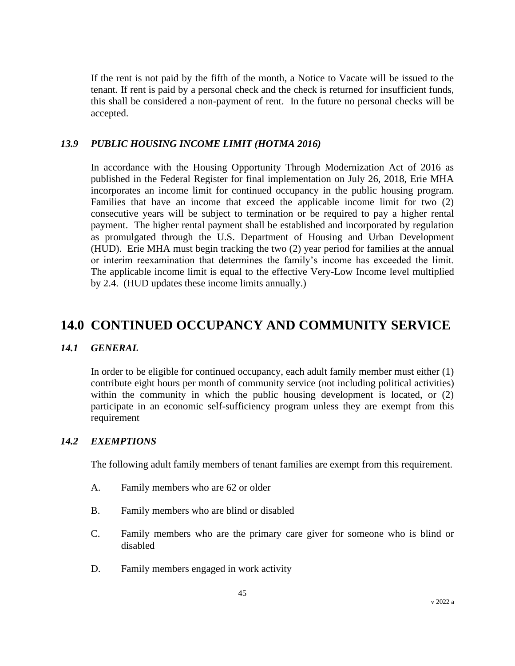If the rent is not paid by the fifth of the month, a Notice to Vacate will be issued to the tenant. If rent is paid by a personal check and the check is returned for insufficient funds, this shall be considered a non-payment of rent. In the future no personal checks will be accepted.

#### *13.9 PUBLIC HOUSING INCOME LIMIT (HOTMA 2016)*

In accordance with the Housing Opportunity Through Modernization Act of 2016 as published in the Federal Register for final implementation on July 26, 2018, Erie MHA incorporates an income limit for continued occupancy in the public housing program. Families that have an income that exceed the applicable income limit for two (2) consecutive years will be subject to termination or be required to pay a higher rental payment. The higher rental payment shall be established and incorporated by regulation as promulgated through the U.S. Department of Housing and Urban Development (HUD). Erie MHA must begin tracking the two (2) year period for families at the annual or interim reexamination that determines the family's income has exceeded the limit. The applicable income limit is equal to the effective Very-Low Income level multiplied by 2.4. (HUD updates these income limits annually.)

# **14.0 CONTINUED OCCUPANCY AND COMMUNITY SERVICE**

## *14.1 GENERAL*

In order to be eligible for continued occupancy, each adult family member must either (1) contribute eight hours per month of community service (not including political activities) within the community in which the public housing development is located, or  $(2)$ participate in an economic self-sufficiency program unless they are exempt from this requirement

### *14.2 EXEMPTIONS*

The following adult family members of tenant families are exempt from this requirement.

- A. Family members who are 62 or older
- B. Family members who are blind or disabled
- C. Family members who are the primary care giver for someone who is blind or disabled
- D. Family members engaged in work activity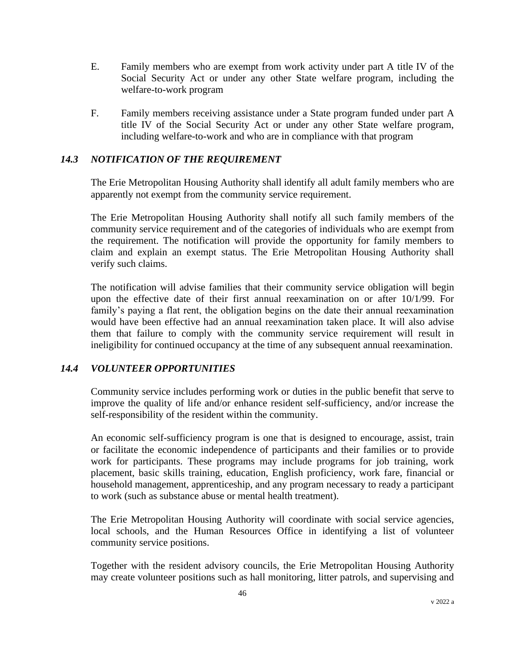- E. Family members who are exempt from work activity under part A title IV of the Social Security Act or under any other State welfare program, including the welfare-to-work program
- F. Family members receiving assistance under a State program funded under part A title IV of the Social Security Act or under any other State welfare program, including welfare-to-work and who are in compliance with that program

## *14.3 NOTIFICATION OF THE REQUIREMENT*

The Erie Metropolitan Housing Authority shall identify all adult family members who are apparently not exempt from the community service requirement.

The Erie Metropolitan Housing Authority shall notify all such family members of the community service requirement and of the categories of individuals who are exempt from the requirement. The notification will provide the opportunity for family members to claim and explain an exempt status. The Erie Metropolitan Housing Authority shall verify such claims.

The notification will advise families that their community service obligation will begin upon the effective date of their first annual reexamination on or after 10/1/99. For family's paying a flat rent, the obligation begins on the date their annual reexamination would have been effective had an annual reexamination taken place. It will also advise them that failure to comply with the community service requirement will result in ineligibility for continued occupancy at the time of any subsequent annual reexamination.

#### *14.4 VOLUNTEER OPPORTUNITIES*

Community service includes performing work or duties in the public benefit that serve to improve the quality of life and/or enhance resident self-sufficiency, and/or increase the self-responsibility of the resident within the community.

An economic self-sufficiency program is one that is designed to encourage, assist, train or facilitate the economic independence of participants and their families or to provide work for participants. These programs may include programs for job training, work placement, basic skills training, education, English proficiency, work fare, financial or household management, apprenticeship, and any program necessary to ready a participant to work (such as substance abuse or mental health treatment).

The Erie Metropolitan Housing Authority will coordinate with social service agencies, local schools, and the Human Resources Office in identifying a list of volunteer community service positions.

Together with the resident advisory councils, the Erie Metropolitan Housing Authority may create volunteer positions such as hall monitoring, litter patrols, and supervising and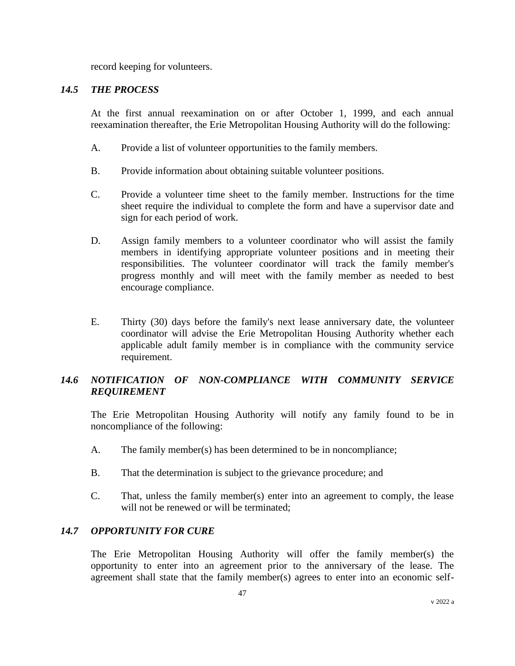record keeping for volunteers.

#### *14.5 THE PROCESS*

At the first annual reexamination on or after October 1, 1999, and each annual reexamination thereafter, the Erie Metropolitan Housing Authority will do the following:

- A. Provide a list of volunteer opportunities to the family members.
- B. Provide information about obtaining suitable volunteer positions.
- C. Provide a volunteer time sheet to the family member. Instructions for the time sheet require the individual to complete the form and have a supervisor date and sign for each period of work.
- D. Assign family members to a volunteer coordinator who will assist the family members in identifying appropriate volunteer positions and in meeting their responsibilities. The volunteer coordinator will track the family member's progress monthly and will meet with the family member as needed to best encourage compliance.
- E. Thirty (30) days before the family's next lease anniversary date, the volunteer coordinator will advise the Erie Metropolitan Housing Authority whether each applicable adult family member is in compliance with the community service requirement.

# *14.6 NOTIFICATION OF NON-COMPLIANCE WITH COMMUNITY SERVICE REQUIREMENT*

The Erie Metropolitan Housing Authority will notify any family found to be in noncompliance of the following:

- A. The family member(s) has been determined to be in noncompliance;
- B. That the determination is subject to the grievance procedure; and
- C. That, unless the family member(s) enter into an agreement to comply, the lease will not be renewed or will be terminated:

#### *14.7 OPPORTUNITY FOR CURE*

The Erie Metropolitan Housing Authority will offer the family member(s) the opportunity to enter into an agreement prior to the anniversary of the lease. The agreement shall state that the family member(s) agrees to enter into an economic self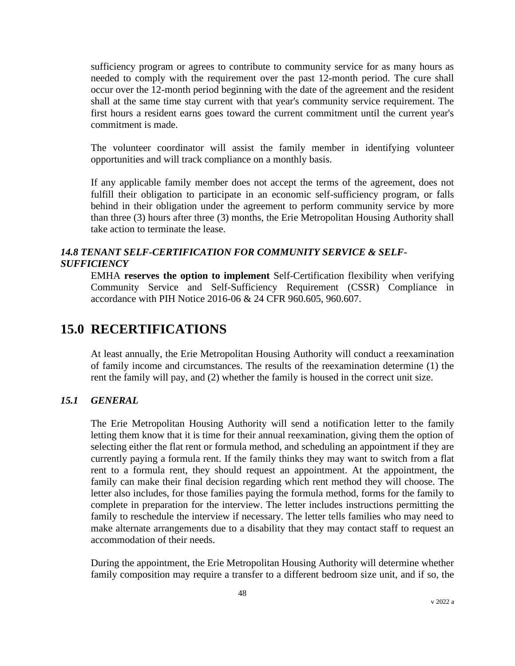sufficiency program or agrees to contribute to community service for as many hours as needed to comply with the requirement over the past 12-month period. The cure shall occur over the 12-month period beginning with the date of the agreement and the resident shall at the same time stay current with that year's community service requirement. The first hours a resident earns goes toward the current commitment until the current year's commitment is made.

The volunteer coordinator will assist the family member in identifying volunteer opportunities and will track compliance on a monthly basis.

If any applicable family member does not accept the terms of the agreement, does not fulfill their obligation to participate in an economic self-sufficiency program, or falls behind in their obligation under the agreement to perform community service by more than three (3) hours after three (3) months, the Erie Metropolitan Housing Authority shall take action to terminate the lease.

# *14.8 TENANT SELF-CERTIFICATION FOR COMMUNITY SERVICE & SELF-SUFFICIENCY*

EMHA **reserves the option to implement** Self-Certification flexibility when verifying Community Service and Self-Sufficiency Requirement (CSSR) Compliance in accordance with PIH Notice 2016-06 & 24 CFR 960.605, 960.607.

# **15.0 RECERTIFICATIONS**

At least annually, the Erie Metropolitan Housing Authority will conduct a reexamination of family income and circumstances. The results of the reexamination determine (1) the rent the family will pay, and (2) whether the family is housed in the correct unit size.

#### *15.1 GENERAL*

The Erie Metropolitan Housing Authority will send a notification letter to the family letting them know that it is time for their annual reexamination, giving them the option of selecting either the flat rent or formula method, and scheduling an appointment if they are currently paying a formula rent. If the family thinks they may want to switch from a flat rent to a formula rent, they should request an appointment. At the appointment, the family can make their final decision regarding which rent method they will choose. The letter also includes, for those families paying the formula method, forms for the family to complete in preparation for the interview. The letter includes instructions permitting the family to reschedule the interview if necessary. The letter tells families who may need to make alternate arrangements due to a disability that they may contact staff to request an accommodation of their needs.

During the appointment, the Erie Metropolitan Housing Authority will determine whether family composition may require a transfer to a different bedroom size unit, and if so, the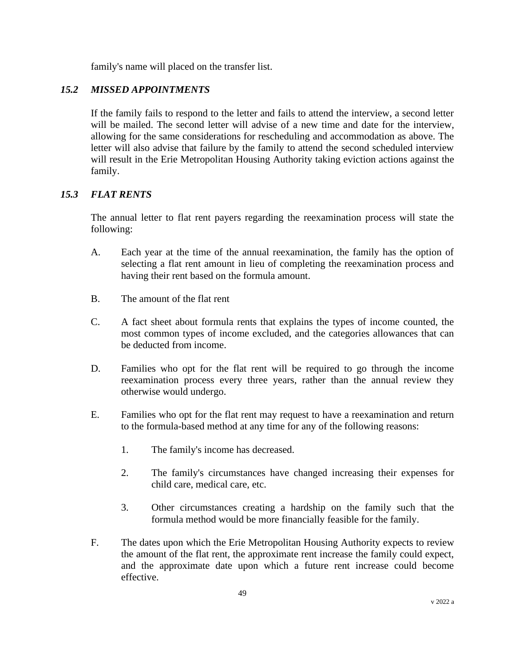family's name will placed on the transfer list.

# *15.2 MISSED APPOINTMENTS*

If the family fails to respond to the letter and fails to attend the interview, a second letter will be mailed. The second letter will advise of a new time and date for the interview, allowing for the same considerations for rescheduling and accommodation as above. The letter will also advise that failure by the family to attend the second scheduled interview will result in the Erie Metropolitan Housing Authority taking eviction actions against the family.

# *15.3 FLAT RENTS*

The annual letter to flat rent payers regarding the reexamination process will state the following:

- A. Each year at the time of the annual reexamination, the family has the option of selecting a flat rent amount in lieu of completing the reexamination process and having their rent based on the formula amount.
- B. The amount of the flat rent
- C. A fact sheet about formula rents that explains the types of income counted, the most common types of income excluded, and the categories allowances that can be deducted from income.
- D. Families who opt for the flat rent will be required to go through the income reexamination process every three years, rather than the annual review they otherwise would undergo.
- E. Families who opt for the flat rent may request to have a reexamination and return to the formula-based method at any time for any of the following reasons:
	- 1. The family's income has decreased.
	- 2. The family's circumstances have changed increasing their expenses for child care, medical care, etc.
	- 3. Other circumstances creating a hardship on the family such that the formula method would be more financially feasible for the family.
- F. The dates upon which the Erie Metropolitan Housing Authority expects to review the amount of the flat rent, the approximate rent increase the family could expect, and the approximate date upon which a future rent increase could become effective.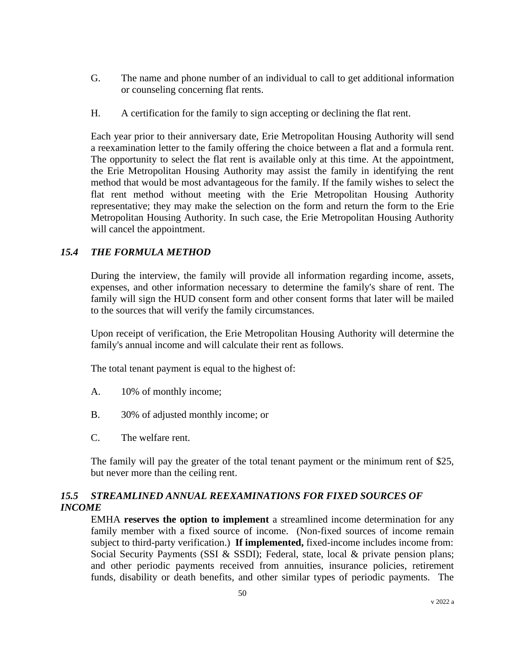- G. The name and phone number of an individual to call to get additional information or counseling concerning flat rents.
- H. A certification for the family to sign accepting or declining the flat rent.

Each year prior to their anniversary date, Erie Metropolitan Housing Authority will send a reexamination letter to the family offering the choice between a flat and a formula rent. The opportunity to select the flat rent is available only at this time. At the appointment, the Erie Metropolitan Housing Authority may assist the family in identifying the rent method that would be most advantageous for the family. If the family wishes to select the flat rent method without meeting with the Erie Metropolitan Housing Authority representative; they may make the selection on the form and return the form to the Erie Metropolitan Housing Authority. In such case, the Erie Metropolitan Housing Authority will cancel the appointment.

# *15.4 THE FORMULA METHOD*

During the interview, the family will provide all information regarding income, assets, expenses, and other information necessary to determine the family's share of rent. The family will sign the HUD consent form and other consent forms that later will be mailed to the sources that will verify the family circumstances.

Upon receipt of verification, the Erie Metropolitan Housing Authority will determine the family's annual income and will calculate their rent as follows.

The total tenant payment is equal to the highest of:

- A. 10% of monthly income;
- B. 30% of adjusted monthly income; or
- C. The welfare rent.

The family will pay the greater of the total tenant payment or the minimum rent of \$25, but never more than the ceiling rent.

# *15.5 STREAMLINED ANNUAL REEXAMINATIONS FOR FIXED SOURCES OF INCOME*

EMHA **reserves the option to implement** a streamlined income determination for any family member with a fixed source of income. (Non-fixed sources of income remain subject to third-party verification.) **If implemented,** fixed-income includes income from: Social Security Payments (SSI & SSDI); Federal, state, local & private pension plans; and other periodic payments received from annuities, insurance policies, retirement funds, disability or death benefits, and other similar types of periodic payments. The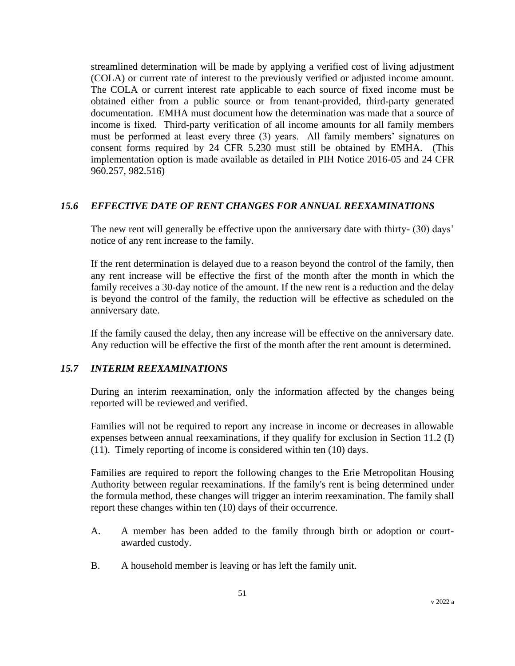streamlined determination will be made by applying a verified cost of living adjustment (COLA) or current rate of interest to the previously verified or adjusted income amount. The COLA or current interest rate applicable to each source of fixed income must be obtained either from a public source or from tenant-provided, third-party generated documentation. EMHA must document how the determination was made that a source of income is fixed. Third-party verification of all income amounts for all family members must be performed at least every three (3) years. All family members' signatures on consent forms required by 24 CFR 5.230 must still be obtained by EMHA. (This implementation option is made available as detailed in PIH Notice 2016-05 and 24 CFR 960.257, 982.516)

## *15.6 EFFECTIVE DATE OF RENT CHANGES FOR ANNUAL REEXAMINATIONS*

The new rent will generally be effective upon the anniversary date with thirty- (30) days' notice of any rent increase to the family.

If the rent determination is delayed due to a reason beyond the control of the family, then any rent increase will be effective the first of the month after the month in which the family receives a 30-day notice of the amount. If the new rent is a reduction and the delay is beyond the control of the family, the reduction will be effective as scheduled on the anniversary date.

If the family caused the delay, then any increase will be effective on the anniversary date. Any reduction will be effective the first of the month after the rent amount is determined.

# *15.7 INTERIM REEXAMINATIONS*

During an interim reexamination, only the information affected by the changes being reported will be reviewed and verified.

Families will not be required to report any increase in income or decreases in allowable expenses between annual reexaminations, if they qualify for exclusion in Section 11.2 (I) (11). Timely reporting of income is considered within ten (10) days.

Families are required to report the following changes to the Erie Metropolitan Housing Authority between regular reexaminations. If the family's rent is being determined under the formula method, these changes will trigger an interim reexamination. The family shall report these changes within ten (10) days of their occurrence.

- A. A member has been added to the family through birth or adoption or courtawarded custody.
- B. A household member is leaving or has left the family unit.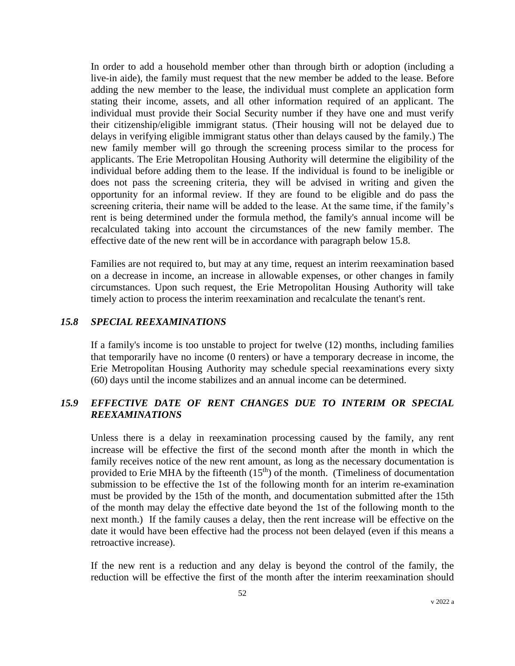In order to add a household member other than through birth or adoption (including a live-in aide), the family must request that the new member be added to the lease. Before adding the new member to the lease, the individual must complete an application form stating their income, assets, and all other information required of an applicant. The individual must provide their Social Security number if they have one and must verify their citizenship/eligible immigrant status. (Their housing will not be delayed due to delays in verifying eligible immigrant status other than delays caused by the family.) The new family member will go through the screening process similar to the process for applicants. The Erie Metropolitan Housing Authority will determine the eligibility of the individual before adding them to the lease. If the individual is found to be ineligible or does not pass the screening criteria, they will be advised in writing and given the opportunity for an informal review. If they are found to be eligible and do pass the screening criteria, their name will be added to the lease. At the same time, if the family's rent is being determined under the formula method, the family's annual income will be recalculated taking into account the circumstances of the new family member. The effective date of the new rent will be in accordance with paragraph below 15.8.

Families are not required to, but may at any time, request an interim reexamination based on a decrease in income, an increase in allowable expenses, or other changes in family circumstances. Upon such request, the Erie Metropolitan Housing Authority will take timely action to process the interim reexamination and recalculate the tenant's rent.

#### *15.8 SPECIAL REEXAMINATIONS*

If a family's income is too unstable to project for twelve (12) months, including families that temporarily have no income (0 renters) or have a temporary decrease in income, the Erie Metropolitan Housing Authority may schedule special reexaminations every sixty (60) days until the income stabilizes and an annual income can be determined.

### *15.9 EFFECTIVE DATE OF RENT CHANGES DUE TO INTERIM OR SPECIAL REEXAMINATIONS*

Unless there is a delay in reexamination processing caused by the family, any rent increase will be effective the first of the second month after the month in which the family receives notice of the new rent amount, as long as the necessary documentation is provided to Erie MHA by the fifteenth  $(15<sup>th</sup>)$  of the month. (Timeliness of documentation submission to be effective the 1st of the following month for an interim re-examination must be provided by the 15th of the month, and documentation submitted after the 15th of the month may delay the effective date beyond the 1st of the following month to the next month.) If the family causes a delay, then the rent increase will be effective on the date it would have been effective had the process not been delayed (even if this means a retroactive increase).

If the new rent is a reduction and any delay is beyond the control of the family, the reduction will be effective the first of the month after the interim reexamination should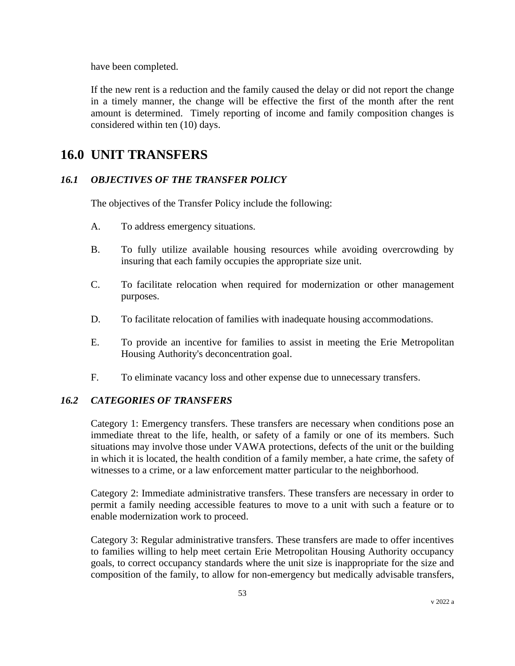have been completed.

If the new rent is a reduction and the family caused the delay or did not report the change in a timely manner, the change will be effective the first of the month after the rent amount is determined. Timely reporting of income and family composition changes is considered within ten (10) days.

# **16.0 UNIT TRANSFERS**

# *16.1 OBJECTIVES OF THE TRANSFER POLICY*

The objectives of the Transfer Policy include the following:

- A. To address emergency situations.
- B. To fully utilize available housing resources while avoiding overcrowding by insuring that each family occupies the appropriate size unit.
- C. To facilitate relocation when required for modernization or other management purposes.
- D. To facilitate relocation of families with inadequate housing accommodations.
- E. To provide an incentive for families to assist in meeting the Erie Metropolitan Housing Authority's deconcentration goal.
- F. To eliminate vacancy loss and other expense due to unnecessary transfers.

# *16.2 CATEGORIES OF TRANSFERS*

Category 1: Emergency transfers. These transfers are necessary when conditions pose an immediate threat to the life, health, or safety of a family or one of its members. Such situations may involve those under VAWA protections, defects of the unit or the building in which it is located, the health condition of a family member, a hate crime, the safety of witnesses to a crime, or a law enforcement matter particular to the neighborhood.

Category 2: Immediate administrative transfers. These transfers are necessary in order to permit a family needing accessible features to move to a unit with such a feature or to enable modernization work to proceed.

Category 3: Regular administrative transfers. These transfers are made to offer incentives to families willing to help meet certain Erie Metropolitan Housing Authority occupancy goals, to correct occupancy standards where the unit size is inappropriate for the size and composition of the family, to allow for non-emergency but medically advisable transfers,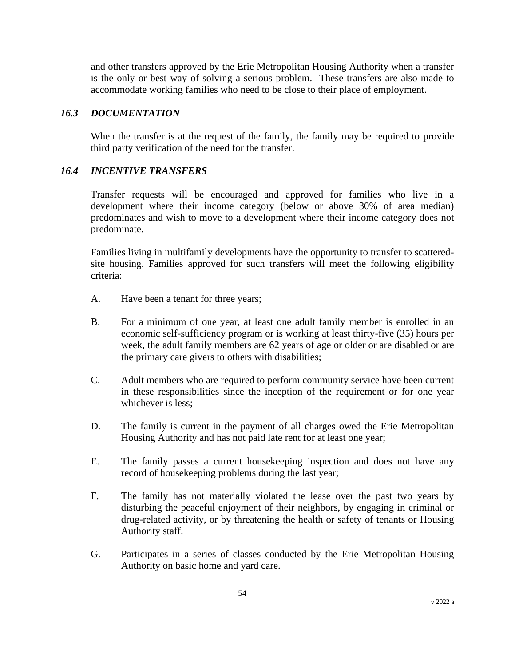and other transfers approved by the Erie Metropolitan Housing Authority when a transfer is the only or best way of solving a serious problem. These transfers are also made to accommodate working families who need to be close to their place of employment.

## *16.3 DOCUMENTATION*

When the transfer is at the request of the family, the family may be required to provide third party verification of the need for the transfer.

## *16.4 INCENTIVE TRANSFERS*

Transfer requests will be encouraged and approved for families who live in a development where their income category (below or above 30% of area median) predominates and wish to move to a development where their income category does not predominate.

Families living in multifamily developments have the opportunity to transfer to scatteredsite housing. Families approved for such transfers will meet the following eligibility criteria:

- A. Have been a tenant for three years;
- B. For a minimum of one year, at least one adult family member is enrolled in an economic self-sufficiency program or is working at least thirty-five (35) hours per week, the adult family members are 62 years of age or older or are disabled or are the primary care givers to others with disabilities;
- C. Adult members who are required to perform community service have been current in these responsibilities since the inception of the requirement or for one year whichever is less;
- D. The family is current in the payment of all charges owed the Erie Metropolitan Housing Authority and has not paid late rent for at least one year;
- E. The family passes a current housekeeping inspection and does not have any record of housekeeping problems during the last year;
- F. The family has not materially violated the lease over the past two years by disturbing the peaceful enjoyment of their neighbors, by engaging in criminal or drug-related activity, or by threatening the health or safety of tenants or Housing Authority staff.
- G. Participates in a series of classes conducted by the Erie Metropolitan Housing Authority on basic home and yard care.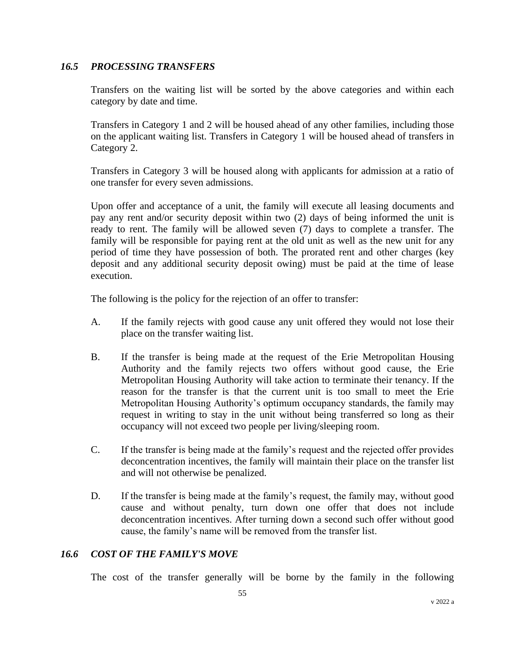#### *16.5 PROCESSING TRANSFERS*

Transfers on the waiting list will be sorted by the above categories and within each category by date and time.

Transfers in Category 1 and 2 will be housed ahead of any other families, including those on the applicant waiting list. Transfers in Category 1 will be housed ahead of transfers in Category 2.

Transfers in Category 3 will be housed along with applicants for admission at a ratio of one transfer for every seven admissions.

Upon offer and acceptance of a unit, the family will execute all leasing documents and pay any rent and/or security deposit within two (2) days of being informed the unit is ready to rent. The family will be allowed seven (7) days to complete a transfer. The family will be responsible for paying rent at the old unit as well as the new unit for any period of time they have possession of both. The prorated rent and other charges (key deposit and any additional security deposit owing) must be paid at the time of lease execution.

The following is the policy for the rejection of an offer to transfer:

- A. If the family rejects with good cause any unit offered they would not lose their place on the transfer waiting list.
- B. If the transfer is being made at the request of the Erie Metropolitan Housing Authority and the family rejects two offers without good cause, the Erie Metropolitan Housing Authority will take action to terminate their tenancy. If the reason for the transfer is that the current unit is too small to meet the Erie Metropolitan Housing Authority's optimum occupancy standards, the family may request in writing to stay in the unit without being transferred so long as their occupancy will not exceed two people per living/sleeping room.
- C. If the transfer is being made at the family's request and the rejected offer provides deconcentration incentives, the family will maintain their place on the transfer list and will not otherwise be penalized.
- D. If the transfer is being made at the family's request, the family may, without good cause and without penalty, turn down one offer that does not include deconcentration incentives. After turning down a second such offer without good cause, the family's name will be removed from the transfer list.

#### *16.6 COST OF THE FAMILY'S MOVE*

The cost of the transfer generally will be borne by the family in the following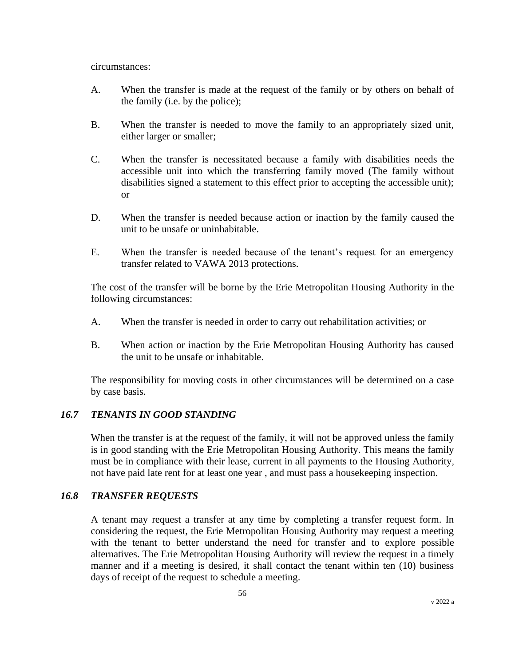circumstances:

- A. When the transfer is made at the request of the family or by others on behalf of the family (i.e. by the police);
- B. When the transfer is needed to move the family to an appropriately sized unit, either larger or smaller;
- C. When the transfer is necessitated because a family with disabilities needs the accessible unit into which the transferring family moved (The family without disabilities signed a statement to this effect prior to accepting the accessible unit); or
- D. When the transfer is needed because action or inaction by the family caused the unit to be unsafe or uninhabitable.
- E. When the transfer is needed because of the tenant's request for an emergency transfer related to VAWA 2013 protections.

The cost of the transfer will be borne by the Erie Metropolitan Housing Authority in the following circumstances:

- A. When the transfer is needed in order to carry out rehabilitation activities; or
- B. When action or inaction by the Erie Metropolitan Housing Authority has caused the unit to be unsafe or inhabitable.

The responsibility for moving costs in other circumstances will be determined on a case by case basis.

#### *16.7 TENANTS IN GOOD STANDING*

When the transfer is at the request of the family, it will not be approved unless the family is in good standing with the Erie Metropolitan Housing Authority. This means the family must be in compliance with their lease, current in all payments to the Housing Authority, not have paid late rent for at least one year , and must pass a housekeeping inspection.

#### *16.8 TRANSFER REQUESTS*

A tenant may request a transfer at any time by completing a transfer request form. In considering the request, the Erie Metropolitan Housing Authority may request a meeting with the tenant to better understand the need for transfer and to explore possible alternatives. The Erie Metropolitan Housing Authority will review the request in a timely manner and if a meeting is desired, it shall contact the tenant within ten (10) business days of receipt of the request to schedule a meeting.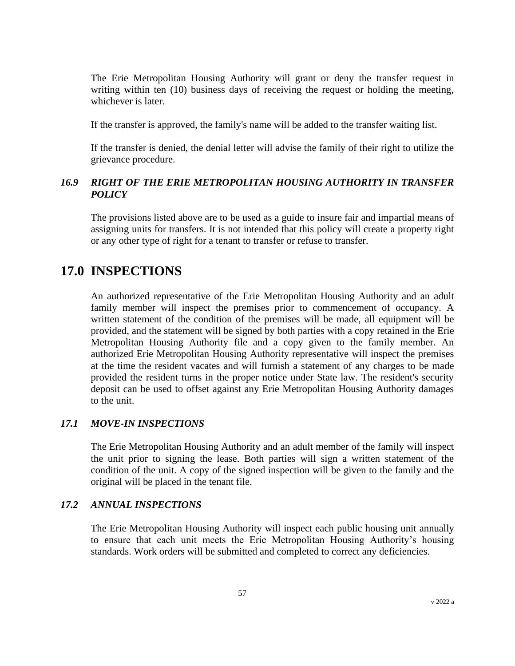The Erie Metropolitan Housing Authority will grant or deny the transfer request in writing within ten (10) business days of receiving the request or holding the meeting, whichever is later.

If the transfer is approved, the family's name will be added to the transfer waiting list.

If the transfer is denied, the denial letter will advise the family of their right to utilize the grievance procedure.

# *16.9 RIGHT OF THE ERIE METROPOLITAN HOUSING AUTHORITY IN TRANSFER POLICY*

The provisions listed above are to be used as a guide to insure fair and impartial means of assigning units for transfers. It is not intended that this policy will create a property right or any other type of right for a tenant to transfer or refuse to transfer.

# **17.0 INSPECTIONS**

An authorized representative of the Erie Metropolitan Housing Authority and an adult family member will inspect the premises prior to commencement of occupancy. A written statement of the condition of the premises will be made, all equipment will be provided, and the statement will be signed by both parties with a copy retained in the Erie Metropolitan Housing Authority file and a copy given to the family member. An authorized Erie Metropolitan Housing Authority representative will inspect the premises at the time the resident vacates and will furnish a statement of any charges to be made provided the resident turns in the proper notice under State law. The resident's security deposit can be used to offset against any Erie Metropolitan Housing Authority damages to the unit.

#### *17.1 MOVE-IN INSPECTIONS*

The Erie Metropolitan Housing Authority and an adult member of the family will inspect the unit prior to signing the lease. Both parties will sign a written statement of the condition of the unit. A copy of the signed inspection will be given to the family and the original will be placed in the tenant file.

#### *17.2 ANNUAL INSPECTIONS*

The Erie Metropolitan Housing Authority will inspect each public housing unit annually to ensure that each unit meets the Erie Metropolitan Housing Authority's housing standards. Work orders will be submitted and completed to correct any deficiencies.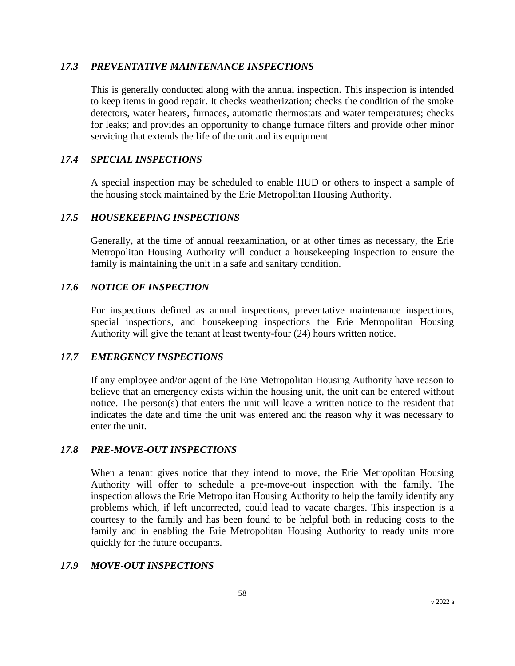#### *17.3 PREVENTATIVE MAINTENANCE INSPECTIONS*

This is generally conducted along with the annual inspection. This inspection is intended to keep items in good repair. It checks weatherization; checks the condition of the smoke detectors, water heaters, furnaces, automatic thermostats and water temperatures; checks for leaks; and provides an opportunity to change furnace filters and provide other minor servicing that extends the life of the unit and its equipment.

#### *17.4 SPECIAL INSPECTIONS*

A special inspection may be scheduled to enable HUD or others to inspect a sample of the housing stock maintained by the Erie Metropolitan Housing Authority.

#### *17.5 HOUSEKEEPING INSPECTIONS*

Generally, at the time of annual reexamination, or at other times as necessary, the Erie Metropolitan Housing Authority will conduct a housekeeping inspection to ensure the family is maintaining the unit in a safe and sanitary condition.

#### *17.6 NOTICE OF INSPECTION*

For inspections defined as annual inspections, preventative maintenance inspections, special inspections, and housekeeping inspections the Erie Metropolitan Housing Authority will give the tenant at least twenty-four (24) hours written notice.

#### *17.7 EMERGENCY INSPECTIONS*

If any employee and/or agent of the Erie Metropolitan Housing Authority have reason to believe that an emergency exists within the housing unit, the unit can be entered without notice. The person(s) that enters the unit will leave a written notice to the resident that indicates the date and time the unit was entered and the reason why it was necessary to enter the unit.

#### *17.8 PRE-MOVE-OUT INSPECTIONS*

When a tenant gives notice that they intend to move, the Erie Metropolitan Housing Authority will offer to schedule a pre-move-out inspection with the family. The inspection allows the Erie Metropolitan Housing Authority to help the family identify any problems which, if left uncorrected, could lead to vacate charges. This inspection is a courtesy to the family and has been found to be helpful both in reducing costs to the family and in enabling the Erie Metropolitan Housing Authority to ready units more quickly for the future occupants.

#### *17.9 MOVE-OUT INSPECTIONS*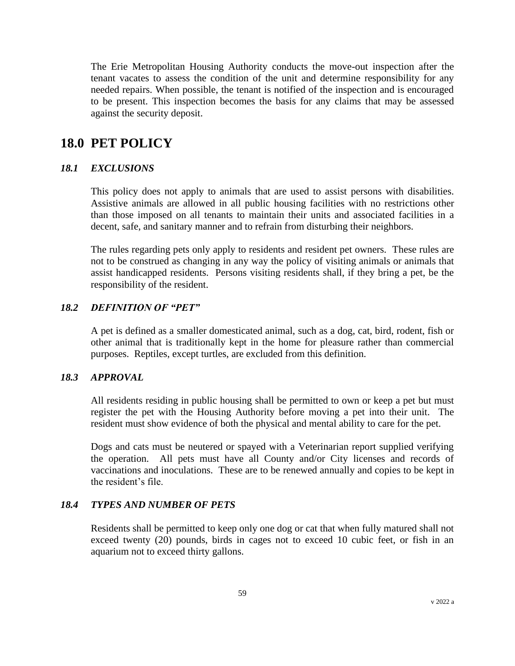The Erie Metropolitan Housing Authority conducts the move-out inspection after the tenant vacates to assess the condition of the unit and determine responsibility for any needed repairs. When possible, the tenant is notified of the inspection and is encouraged to be present. This inspection becomes the basis for any claims that may be assessed against the security deposit.

# **18.0 PET POLICY**

#### *18.1 EXCLUSIONS*

This policy does not apply to animals that are used to assist persons with disabilities. Assistive animals are allowed in all public housing facilities with no restrictions other than those imposed on all tenants to maintain their units and associated facilities in a decent, safe, and sanitary manner and to refrain from disturbing their neighbors.

The rules regarding pets only apply to residents and resident pet owners. These rules are not to be construed as changing in any way the policy of visiting animals or animals that assist handicapped residents. Persons visiting residents shall, if they bring a pet, be the responsibility of the resident.

#### *18.2 DEFINITION OF "PET"*

A pet is defined as a smaller domesticated animal, such as a dog, cat, bird, rodent, fish or other animal that is traditionally kept in the home for pleasure rather than commercial purposes. Reptiles, except turtles, are excluded from this definition.

#### *18.3 APPROVAL*

All residents residing in public housing shall be permitted to own or keep a pet but must register the pet with the Housing Authority before moving a pet into their unit. The resident must show evidence of both the physical and mental ability to care for the pet.

Dogs and cats must be neutered or spayed with a Veterinarian report supplied verifying the operation. All pets must have all County and/or City licenses and records of vaccinations and inoculations. These are to be renewed annually and copies to be kept in the resident's file.

#### *18.4 TYPES AND NUMBER OF PETS*

Residents shall be permitted to keep only one dog or cat that when fully matured shall not exceed twenty (20) pounds, birds in cages not to exceed 10 cubic feet, or fish in an aquarium not to exceed thirty gallons.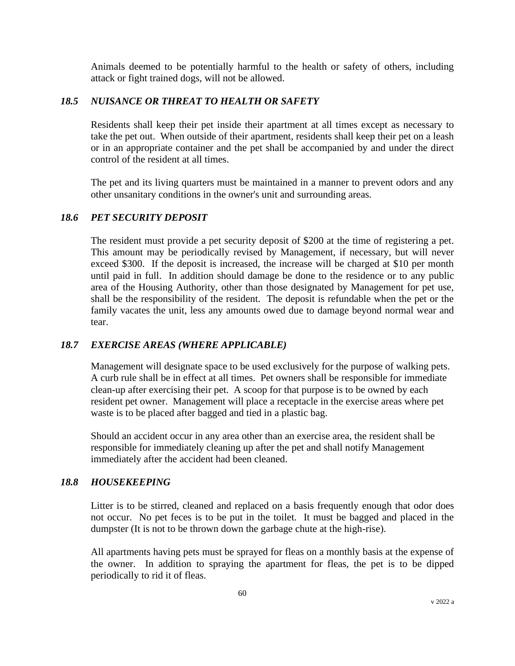Animals deemed to be potentially harmful to the health or safety of others, including attack or fight trained dogs, will not be allowed.

# *18.5 NUISANCE OR THREAT TO HEALTH OR SAFETY*

Residents shall keep their pet inside their apartment at all times except as necessary to take the pet out. When outside of their apartment, residents shall keep their pet on a leash or in an appropriate container and the pet shall be accompanied by and under the direct control of the resident at all times.

The pet and its living quarters must be maintained in a manner to prevent odors and any other unsanitary conditions in the owner's unit and surrounding areas.

# *18.6 PET SECURITY DEPOSIT*

The resident must provide a pet security deposit of \$200 at the time of registering a pet. This amount may be periodically revised by Management, if necessary, but will never exceed \$300. If the deposit is increased, the increase will be charged at \$10 per month until paid in full. In addition should damage be done to the residence or to any public area of the Housing Authority, other than those designated by Management for pet use, shall be the responsibility of the resident. The deposit is refundable when the pet or the family vacates the unit, less any amounts owed due to damage beyond normal wear and tear.

# *18.7 EXERCISE AREAS (WHERE APPLICABLE)*

Management will designate space to be used exclusively for the purpose of walking pets. A curb rule shall be in effect at all times. Pet owners shall be responsible for immediate clean-up after exercising their pet. A scoop for that purpose is to be owned by each resident pet owner. Management will place a receptacle in the exercise areas where pet waste is to be placed after bagged and tied in a plastic bag.

Should an accident occur in any area other than an exercise area, the resident shall be responsible for immediately cleaning up after the pet and shall notify Management immediately after the accident had been cleaned.

# *18.8 HOUSEKEEPING*

Litter is to be stirred, cleaned and replaced on a basis frequently enough that odor does not occur. No pet feces is to be put in the toilet. It must be bagged and placed in the dumpster (It is not to be thrown down the garbage chute at the high-rise).

All apartments having pets must be sprayed for fleas on a monthly basis at the expense of the owner. In addition to spraying the apartment for fleas, the pet is to be dipped periodically to rid it of fleas.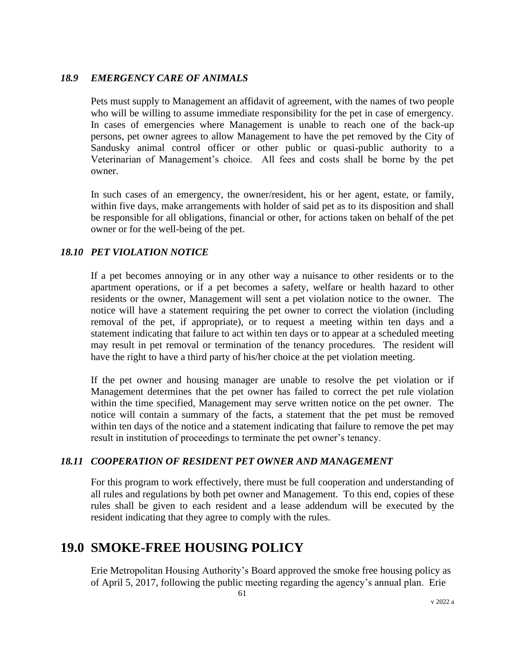### *18.9 EMERGENCY CARE OF ANIMALS*

Pets must supply to Management an affidavit of agreement, with the names of two people who will be willing to assume immediate responsibility for the pet in case of emergency. In cases of emergencies where Management is unable to reach one of the back-up persons, pet owner agrees to allow Management to have the pet removed by the City of Sandusky animal control officer or other public or quasi-public authority to a Veterinarian of Management's choice. All fees and costs shall be borne by the pet owner.

In such cases of an emergency, the owner/resident, his or her agent, estate, or family, within five days, make arrangements with holder of said pet as to its disposition and shall be responsible for all obligations, financial or other, for actions taken on behalf of the pet owner or for the well-being of the pet.

## *18.10 PET VIOLATION NOTICE*

If a pet becomes annoying or in any other way a nuisance to other residents or to the apartment operations, or if a pet becomes a safety, welfare or health hazard to other residents or the owner, Management will sent a pet violation notice to the owner. The notice will have a statement requiring the pet owner to correct the violation (including removal of the pet, if appropriate), or to request a meeting within ten days and a statement indicating that failure to act within ten days or to appear at a scheduled meeting may result in pet removal or termination of the tenancy procedures. The resident will have the right to have a third party of his/her choice at the pet violation meeting.

If the pet owner and housing manager are unable to resolve the pet violation or if Management determines that the pet owner has failed to correct the pet rule violation within the time specified, Management may serve written notice on the pet owner. The notice will contain a summary of the facts, a statement that the pet must be removed within ten days of the notice and a statement indicating that failure to remove the pet may result in institution of proceedings to terminate the pet owner's tenancy.

#### *18.11 COOPERATION OF RESIDENT PET OWNER AND MANAGEMENT*

For this program to work effectively, there must be full cooperation and understanding of all rules and regulations by both pet owner and Management. To this end, copies of these rules shall be given to each resident and a lease addendum will be executed by the resident indicating that they agree to comply with the rules.

# **19.0 SMOKE-FREE HOUSING POLICY**

Erie Metropolitan Housing Authority's Board approved the smoke free housing policy as of April 5, 2017, following the public meeting regarding the agency's annual plan. Erie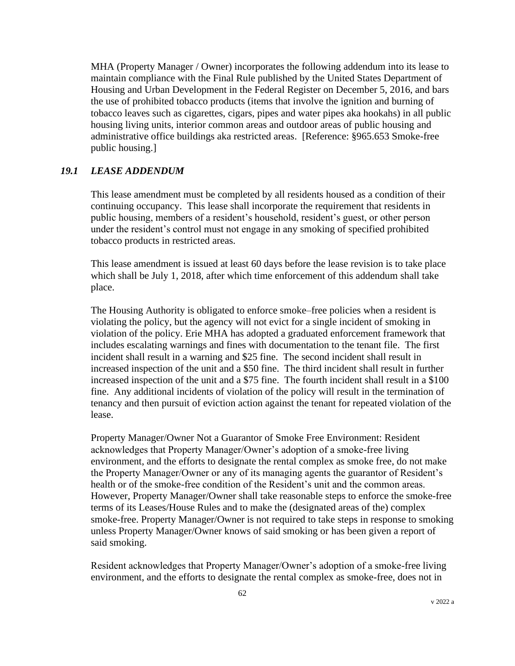MHA (Property Manager / Owner) incorporates the following addendum into its lease to maintain compliance with the Final Rule published by the United States Department of Housing and Urban Development in the Federal Register on December 5, 2016, and bars the use of prohibited tobacco products (items that involve the ignition and burning of tobacco leaves such as cigarettes, cigars, pipes and water pipes aka hookahs) in all public housing living units, interior common areas and outdoor areas of public housing and administrative office buildings aka restricted areas. [Reference: §965.653 Smoke-free public housing.]

## *19.1 LEASE ADDENDUM*

This lease amendment must be completed by all residents housed as a condition of their continuing occupancy. This lease shall incorporate the requirement that residents in public housing, members of a resident's household, resident's guest, or other person under the resident's control must not engage in any smoking of specified prohibited tobacco products in restricted areas.

This lease amendment is issued at least 60 days before the lease revision is to take place which shall be July 1, 2018, after which time enforcement of this addendum shall take place.

The Housing Authority is obligated to enforce smoke–free policies when a resident is violating the policy, but the agency will not evict for a single incident of smoking in violation of the policy. Erie MHA has adopted a graduated enforcement framework that includes escalating warnings and fines with documentation to the tenant file. The first incident shall result in a warning and \$25 fine. The second incident shall result in increased inspection of the unit and a \$50 fine. The third incident shall result in further increased inspection of the unit and a \$75 fine. The fourth incident shall result in a \$100 fine. Any additional incidents of violation of the policy will result in the termination of tenancy and then pursuit of eviction action against the tenant for repeated violation of the lease.

Property Manager/Owner Not a Guarantor of Smoke Free Environment: Resident acknowledges that Property Manager/Owner's adoption of a smoke-free living environment, and the efforts to designate the rental complex as smoke free, do not make the Property Manager/Owner or any of its managing agents the guarantor of Resident's health or of the smoke-free condition of the Resident's unit and the common areas. However, Property Manager/Owner shall take reasonable steps to enforce the smoke-free terms of its Leases/House Rules and to make the (designated areas of the) complex smoke-free. Property Manager/Owner is not required to take steps in response to smoking unless Property Manager/Owner knows of said smoking or has been given a report of said smoking.

Resident acknowledges that Property Manager/Owner's adoption of a smoke-free living environment, and the efforts to designate the rental complex as smoke-free, does not in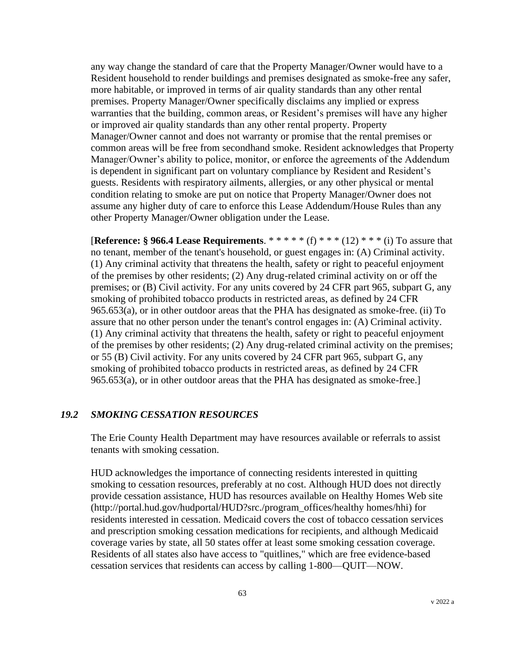any way change the standard of care that the Property Manager/Owner would have to a Resident household to render buildings and premises designated as smoke-free any safer, more habitable, or improved in terms of air quality standards than any other rental premises. Property Manager/Owner specifically disclaims any implied or express warranties that the building, common areas, or Resident's premises will have any higher or improved air quality standards than any other rental property. Property Manager/Owner cannot and does not warranty or promise that the rental premises or common areas will be free from secondhand smoke. Resident acknowledges that Property Manager/Owner's ability to police, monitor, or enforce the agreements of the Addendum is dependent in significant part on voluntary compliance by Resident and Resident's guests. Residents with respiratory ailments, allergies, or any other physical or mental condition relating to smoke are put on notice that Property Manager/Owner does not assume any higher duty of care to enforce this Lease Addendum/House Rules than any other Property Manager/Owner obligation under the Lease.

[**Reference: § 966.4 Lease Requirements**. \* \* \* \* \* (f) \* \* \* (12) \* \* \* (i) To assure that no tenant, member of the tenant's household, or guest engages in: (A) Criminal activity. (1) Any criminal activity that threatens the health, safety or right to peaceful enjoyment of the premises by other residents; (2) Any drug-related criminal activity on or off the premises; or (B) Civil activity. For any units covered by 24 CFR part 965, subpart G, any smoking of prohibited tobacco products in restricted areas, as defined by 24 CFR 965.653(a), or in other outdoor areas that the PHA has designated as smoke-free. (ii) To assure that no other person under the tenant's control engages in: (A) Criminal activity. (1) Any criminal activity that threatens the health, safety or right to peaceful enjoyment of the premises by other residents; (2) Any drug-related criminal activity on the premises; or 55 (B) Civil activity. For any units covered by 24 CFR part 965, subpart G, any smoking of prohibited tobacco products in restricted areas, as defined by 24 CFR 965.653(a), or in other outdoor areas that the PHA has designated as smoke-free.]

#### *19.2 SMOKING CESSATION RESOURCES*

The Erie County Health Department may have resources available or referrals to assist tenants with smoking cessation.

HUD acknowledges the importance of connecting residents interested in quitting smoking to cessation resources, preferably at no cost. Although HUD does not directly provide cessation assistance, HUD has resources available on Healthy Homes Web site (http://portal.hud.gov/hudportal/HUD?src./program\_offices/healthy homes/hhi) for residents interested in cessation. Medicaid covers the cost of tobacco cessation services and prescription smoking cessation medications for recipients, and although Medicaid coverage varies by state, all 50 states offer at least some smoking cessation coverage. Residents of all states also have access to "quitlines," which are free evidence-based cessation services that residents can access by calling 1-800—QUIT—NOW.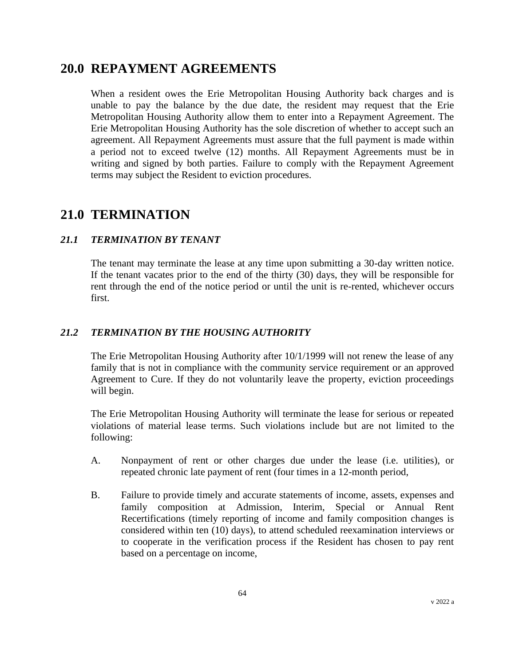# **20.0 REPAYMENT AGREEMENTS**

When a resident owes the Erie Metropolitan Housing Authority back charges and is unable to pay the balance by the due date, the resident may request that the Erie Metropolitan Housing Authority allow them to enter into a Repayment Agreement. The Erie Metropolitan Housing Authority has the sole discretion of whether to accept such an agreement. All Repayment Agreements must assure that the full payment is made within a period not to exceed twelve (12) months. All Repayment Agreements must be in writing and signed by both parties. Failure to comply with the Repayment Agreement terms may subject the Resident to eviction procedures.

# **21.0 TERMINATION**

# *21.1 TERMINATION BY TENANT*

The tenant may terminate the lease at any time upon submitting a 30-day written notice. If the tenant vacates prior to the end of the thirty (30) days, they will be responsible for rent through the end of the notice period or until the unit is re-rented, whichever occurs first.

# *21.2 TERMINATION BY THE HOUSING AUTHORITY*

The Erie Metropolitan Housing Authority after 10/1/1999 will not renew the lease of any family that is not in compliance with the community service requirement or an approved Agreement to Cure. If they do not voluntarily leave the property, eviction proceedings will begin.

The Erie Metropolitan Housing Authority will terminate the lease for serious or repeated violations of material lease terms. Such violations include but are not limited to the following:

- A. Nonpayment of rent or other charges due under the lease (i.e. utilities), or repeated chronic late payment of rent (four times in a 12-month period,
- B. Failure to provide timely and accurate statements of income, assets, expenses and family composition at Admission, Interim, Special or Annual Rent Recertifications (timely reporting of income and family composition changes is considered within ten (10) days), to attend scheduled reexamination interviews or to cooperate in the verification process if the Resident has chosen to pay rent based on a percentage on income,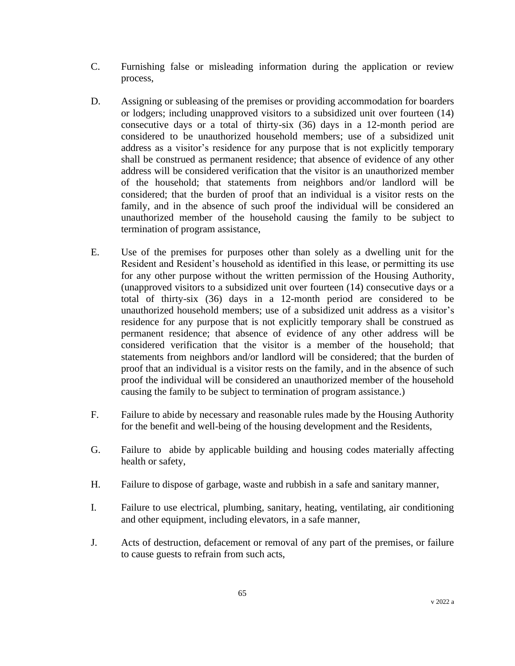- C. Furnishing false or misleading information during the application or review process,
- D. Assigning or subleasing of the premises or providing accommodation for boarders or lodgers; including unapproved visitors to a subsidized unit over fourteen (14) consecutive days or a total of thirty-six (36) days in a 12-month period are considered to be unauthorized household members; use of a subsidized unit address as a visitor's residence for any purpose that is not explicitly temporary shall be construed as permanent residence; that absence of evidence of any other address will be considered verification that the visitor is an unauthorized member of the household; that statements from neighbors and/or landlord will be considered; that the burden of proof that an individual is a visitor rests on the family, and in the absence of such proof the individual will be considered an unauthorized member of the household causing the family to be subject to termination of program assistance,
- E. Use of the premises for purposes other than solely as a dwelling unit for the Resident and Resident's household as identified in this lease, or permitting its use for any other purpose without the written permission of the Housing Authority, (unapproved visitors to a subsidized unit over fourteen (14) consecutive days or a total of thirty-six (36) days in a 12-month period are considered to be unauthorized household members; use of a subsidized unit address as a visitor's residence for any purpose that is not explicitly temporary shall be construed as permanent residence; that absence of evidence of any other address will be considered verification that the visitor is a member of the household; that statements from neighbors and/or landlord will be considered; that the burden of proof that an individual is a visitor rests on the family, and in the absence of such proof the individual will be considered an unauthorized member of the household causing the family to be subject to termination of program assistance.)
- F. Failure to abide by necessary and reasonable rules made by the Housing Authority for the benefit and well-being of the housing development and the Residents,
- G. Failure to abide by applicable building and housing codes materially affecting health or safety,
- H. Failure to dispose of garbage, waste and rubbish in a safe and sanitary manner,
- I. Failure to use electrical, plumbing, sanitary, heating, ventilating, air conditioning and other equipment, including elevators, in a safe manner,
- J. Acts of destruction, defacement or removal of any part of the premises, or failure to cause guests to refrain from such acts,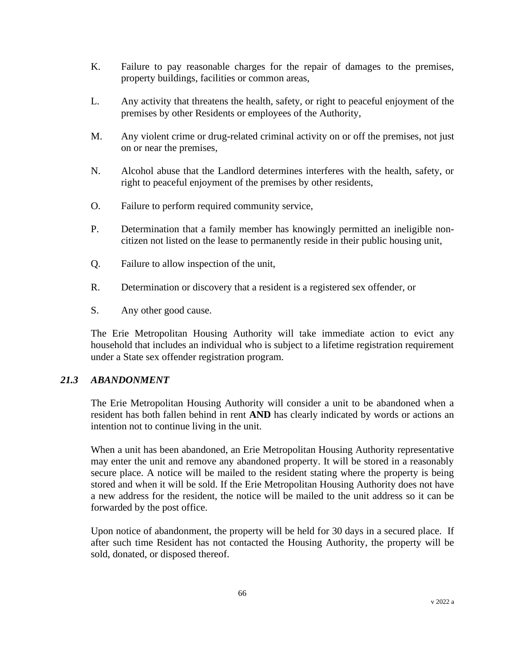- K. Failure to pay reasonable charges for the repair of damages to the premises, property buildings, facilities or common areas,
- L. Any activity that threatens the health, safety, or right to peaceful enjoyment of the premises by other Residents or employees of the Authority,
- M. Any violent crime or drug-related criminal activity on or off the premises, not just on or near the premises,
- N. Alcohol abuse that the Landlord determines interferes with the health, safety, or right to peaceful enjoyment of the premises by other residents,
- O. Failure to perform required community service,
- P. Determination that a family member has knowingly permitted an ineligible noncitizen not listed on the lease to permanently reside in their public housing unit,
- Q. Failure to allow inspection of the unit,
- R. Determination or discovery that a resident is a registered sex offender, or
- S. Any other good cause.

The Erie Metropolitan Housing Authority will take immediate action to evict any household that includes an individual who is subject to a lifetime registration requirement under a State sex offender registration program.

#### *21.3 ABANDONMENT*

The Erie Metropolitan Housing Authority will consider a unit to be abandoned when a resident has both fallen behind in rent **AND** has clearly indicated by words or actions an intention not to continue living in the unit.

When a unit has been abandoned, an Erie Metropolitan Housing Authority representative may enter the unit and remove any abandoned property. It will be stored in a reasonably secure place. A notice will be mailed to the resident stating where the property is being stored and when it will be sold. If the Erie Metropolitan Housing Authority does not have a new address for the resident, the notice will be mailed to the unit address so it can be forwarded by the post office.

Upon notice of abandonment, the property will be held for 30 days in a secured place. If after such time Resident has not contacted the Housing Authority, the property will be sold, donated, or disposed thereof.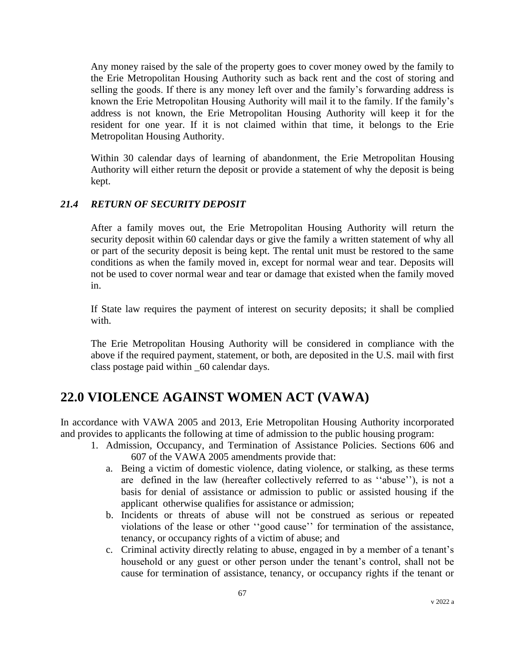Any money raised by the sale of the property goes to cover money owed by the family to the Erie Metropolitan Housing Authority such as back rent and the cost of storing and selling the goods. If there is any money left over and the family's forwarding address is known the Erie Metropolitan Housing Authority will mail it to the family. If the family's address is not known, the Erie Metropolitan Housing Authority will keep it for the resident for one year. If it is not claimed within that time, it belongs to the Erie Metropolitan Housing Authority.

Within 30 calendar days of learning of abandonment, the Erie Metropolitan Housing Authority will either return the deposit or provide a statement of why the deposit is being kept.

## *21.4 RETURN OF SECURITY DEPOSIT*

After a family moves out, the Erie Metropolitan Housing Authority will return the security deposit within 60 calendar days or give the family a written statement of why all or part of the security deposit is being kept. The rental unit must be restored to the same conditions as when the family moved in, except for normal wear and tear. Deposits will not be used to cover normal wear and tear or damage that existed when the family moved in.

If State law requires the payment of interest on security deposits; it shall be complied with.

The Erie Metropolitan Housing Authority will be considered in compliance with the above if the required payment, statement, or both, are deposited in the U.S. mail with first class postage paid within \_60 calendar days.

# **22.0 VIOLENCE AGAINST WOMEN ACT (VAWA)**

In accordance with VAWA 2005 and 2013, Erie Metropolitan Housing Authority incorporated and provides to applicants the following at time of admission to the public housing program:

- 1. Admission, Occupancy, and Termination of Assistance Policies. Sections 606 and 607 of the VAWA 2005 amendments provide that:
	- a. Being a victim of domestic violence, dating violence, or stalking, as these terms are defined in the law (hereafter collectively referred to as ''abuse''), is not a basis for denial of assistance or admission to public or assisted housing if the applicant otherwise qualifies for assistance or admission;
	- b. Incidents or threats of abuse will not be construed as serious or repeated violations of the lease or other ''good cause'' for termination of the assistance, tenancy, or occupancy rights of a victim of abuse; and
	- c. Criminal activity directly relating to abuse, engaged in by a member of a tenant's household or any guest or other person under the tenant's control, shall not be cause for termination of assistance, tenancy, or occupancy rights if the tenant or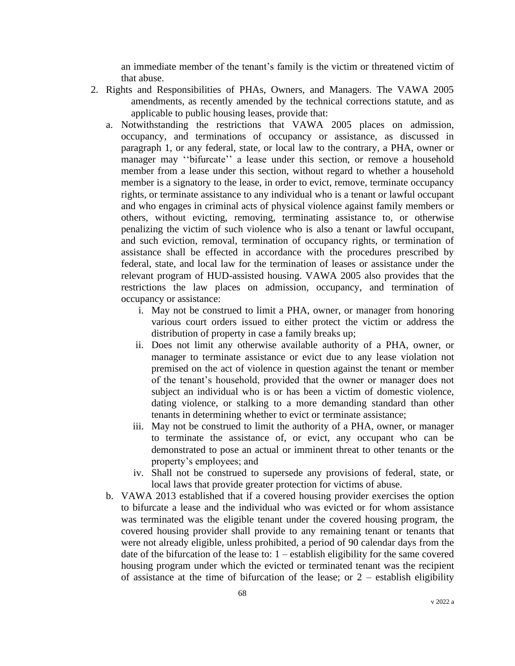an immediate member of the tenant's family is the victim or threatened victim of that abuse.

- 2. Rights and Responsibilities of PHAs, Owners, and Managers. The VAWA 2005 amendments, as recently amended by the technical corrections statute, and as applicable to public housing leases, provide that:
	- a. Notwithstanding the restrictions that VAWA 2005 places on admission, occupancy, and terminations of occupancy or assistance, as discussed in paragraph 1, or any federal, state, or local law to the contrary, a PHA, owner or manager may ''bifurcate'' a lease under this section, or remove a household member from a lease under this section, without regard to whether a household member is a signatory to the lease, in order to evict, remove, terminate occupancy rights, or terminate assistance to any individual who is a tenant or lawful occupant and who engages in criminal acts of physical violence against family members or others, without evicting, removing, terminating assistance to, or otherwise penalizing the victim of such violence who is also a tenant or lawful occupant, and such eviction, removal, termination of occupancy rights, or termination of assistance shall be effected in accordance with the procedures prescribed by federal, state, and local law for the termination of leases or assistance under the relevant program of HUD-assisted housing. VAWA 2005 also provides that the restrictions the law places on admission, occupancy, and termination of occupancy or assistance:
		- i. May not be construed to limit a PHA, owner, or manager from honoring various court orders issued to either protect the victim or address the distribution of property in case a family breaks up;
		- ii. Does not limit any otherwise available authority of a PHA, owner, or manager to terminate assistance or evict due to any lease violation not premised on the act of violence in question against the tenant or member of the tenant's household, provided that the owner or manager does not subject an individual who is or has been a victim of domestic violence, dating violence, or stalking to a more demanding standard than other tenants in determining whether to evict or terminate assistance;
		- iii. May not be construed to limit the authority of a PHA, owner, or manager to terminate the assistance of, or evict, any occupant who can be demonstrated to pose an actual or imminent threat to other tenants or the property's employees; and
		- iv. Shall not be construed to supersede any provisions of federal, state, or local laws that provide greater protection for victims of abuse.
	- b. VAWA 2013 established that if a covered housing provider exercises the option to bifurcate a lease and the individual who was evicted or for whom assistance was terminated was the eligible tenant under the covered housing program, the covered housing provider shall provide to any remaining tenant or tenants that were not already eligible, unless prohibited, a period of 90 calendar days from the date of the bifurcation of the lease to: 1 – establish eligibility for the same covered housing program under which the evicted or terminated tenant was the recipient of assistance at the time of bifurcation of the lease; or  $2$  – establish eligibility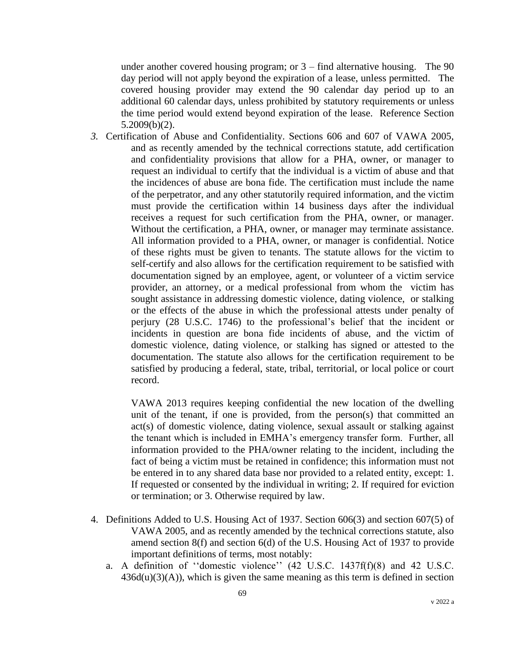under another covered housing program; or  $3 - \text{find}$  alternative housing. The 90 day period will not apply beyond the expiration of a lease, unless permitted. The covered housing provider may extend the 90 calendar day period up to an additional 60 calendar days, unless prohibited by statutory requirements or unless the time period would extend beyond expiration of the lease. Reference Section 5.2009(b)(2).

*3.* Certification of Abuse and Confidentiality. Sections 606 and 607 of VAWA 2005, and as recently amended by the technical corrections statute, add certification and confidentiality provisions that allow for a PHA, owner, or manager to request an individual to certify that the individual is a victim of abuse and that the incidences of abuse are bona fide. The certification must include the name of the perpetrator, and any other statutorily required information, and the victim must provide the certification within 14 business days after the individual receives a request for such certification from the PHA, owner, or manager. Without the certification, a PHA, owner, or manager may terminate assistance. All information provided to a PHA, owner, or manager is confidential. Notice of these rights must be given to tenants. The statute allows for the victim to self-certify and also allows for the certification requirement to be satisfied with documentation signed by an employee, agent, or volunteer of a victim service provider, an attorney, or a medical professional from whom the victim has sought assistance in addressing domestic violence, dating violence, or stalking or the effects of the abuse in which the professional attests under penalty of perjury (28 U.S.C. 1746) to the professional's belief that the incident or incidents in question are bona fide incidents of abuse, and the victim of domestic violence, dating violence, or stalking has signed or attested to the documentation. The statute also allows for the certification requirement to be satisfied by producing a federal, state, tribal, territorial, or local police or court record.

> VAWA 2013 requires keeping confidential the new location of the dwelling unit of the tenant, if one is provided, from the person(s) that committed an act(s) of domestic violence, dating violence, sexual assault or stalking against the tenant which is included in EMHA's emergency transfer form. Further, all information provided to the PHA/owner relating to the incident, including the fact of being a victim must be retained in confidence; this information must not be entered in to any shared data base nor provided to a related entity, except: 1. If requested or consented by the individual in writing; 2. If required for eviction or termination; or 3. Otherwise required by law.

- 4. Definitions Added to U.S. Housing Act of 1937. Section 606(3) and section 607(5) of VAWA 2005, and as recently amended by the technical corrections statute, also amend section 8(f) and section 6(d) of the U.S. Housing Act of 1937 to provide important definitions of terms, most notably:
	- a. A definition of ''domestic violence'' (42 U.S.C. 1437f(f)(8) and 42 U.S.C.  $436d(u)(3)(A)$ , which is given the same meaning as this term is defined in section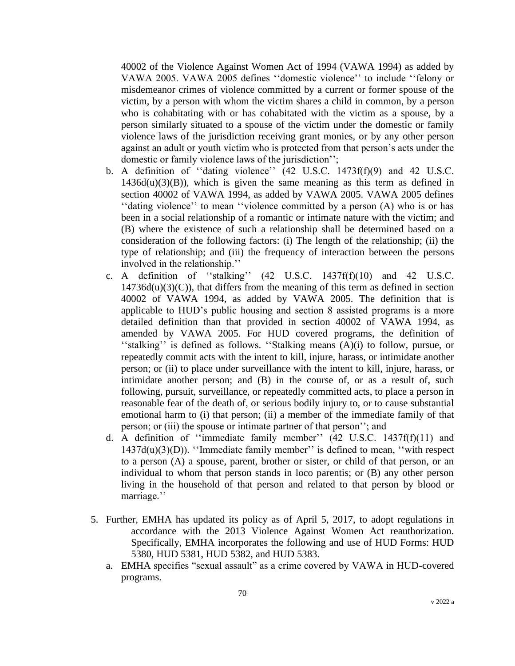40002 of the Violence Against Women Act of 1994 (VAWA 1994) as added by VAWA 2005. VAWA 2005 defines ''domestic violence'' to include ''felony or misdemeanor crimes of violence committed by a current or former spouse of the victim, by a person with whom the victim shares a child in common, by a person who is cohabitating with or has cohabitated with the victim as a spouse, by a person similarly situated to a spouse of the victim under the domestic or family violence laws of the jurisdiction receiving grant monies, or by any other person against an adult or youth victim who is protected from that person's acts under the domestic or family violence laws of the jurisdiction'';

- b. A definition of ''dating violence'' (42 U.S.C. 1473f(f)(9) and 42 U.S.C.  $1436d(u)(3)(B)$ , which is given the same meaning as this term as defined in section 40002 of VAWA 1994, as added by VAWA 2005. VAWA 2005 defines ''dating violence'' to mean ''violence committed by a person (A) who is or has been in a social relationship of a romantic or intimate nature with the victim; and (B) where the existence of such a relationship shall be determined based on a consideration of the following factors: (i) The length of the relationship; (ii) the type of relationship; and (iii) the frequency of interaction between the persons involved in the relationship.''
- c. A definition of ''stalking'' (42 U.S.C. 1437f(f)(10) and 42 U.S.C.  $14736d(u)(3)(C)$ , that differs from the meaning of this term as defined in section 40002 of VAWA 1994, as added by VAWA 2005. The definition that is applicable to HUD's public housing and section 8 assisted programs is a more detailed definition than that provided in section 40002 of VAWA 1994, as amended by VAWA 2005. For HUD covered programs, the definition of ''stalking'' is defined as follows. ''Stalking means (A)(i) to follow, pursue, or repeatedly commit acts with the intent to kill, injure, harass, or intimidate another person; or (ii) to place under surveillance with the intent to kill, injure, harass, or intimidate another person; and (B) in the course of, or as a result of, such following, pursuit, surveillance, or repeatedly committed acts, to place a person in reasonable fear of the death of, or serious bodily injury to, or to cause substantial emotional harm to (i) that person; (ii) a member of the immediate family of that person; or (iii) the spouse or intimate partner of that person''; and
- d. A definition of ''immediate family member'' (42 U.S.C. 1437f(f)(11) and  $1437d(u)(3)(D)$ . "Immediate family member" is defined to mean, "with respect to a person (A) a spouse, parent, brother or sister, or child of that person, or an individual to whom that person stands in loco parentis; or (B) any other person living in the household of that person and related to that person by blood or marriage.''
- 5. Further, EMHA has updated its policy as of April 5, 2017, to adopt regulations in accordance with the 2013 Violence Against Women Act reauthorization. Specifically, EMHA incorporates the following and use of HUD Forms: HUD 5380, HUD 5381, HUD 5382, and HUD 5383.
	- a. EMHA specifies "sexual assault" as a crime covered by VAWA in HUD-covered programs.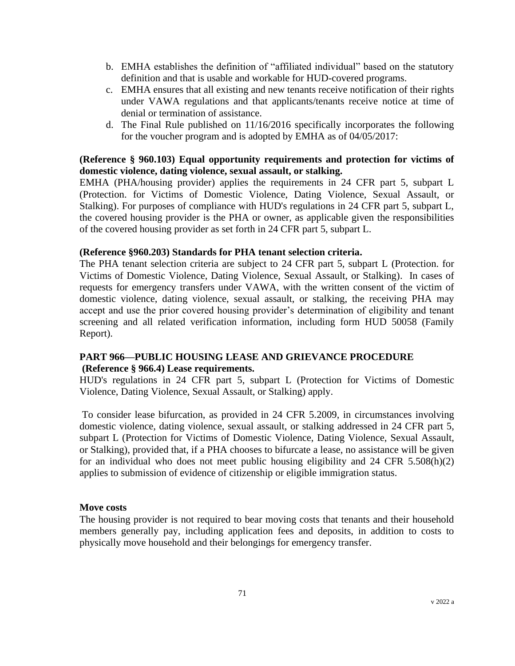- b. EMHA establishes the definition of "affiliated individual" based on the statutory definition and that is usable and workable for HUD-covered programs.
- c. EMHA ensures that all existing and new tenants receive notification of their rights under VAWA regulations and that applicants/tenants receive notice at time of denial or termination of assistance.
- d. The Final Rule published on 11/16/2016 specifically incorporates the following for the voucher program and is adopted by EMHA as of 04/05/2017:

## **(Reference § 960.103) Equal opportunity requirements and protection for victims of domestic violence, dating violence, sexual assault, or stalking.**

EMHA (PHA/housing provider) applies the requirements in 24 CFR part 5, subpart L (Protection. for Victims of Domestic Violence, Dating Violence, Sexual Assault, or Stalking). For purposes of compliance with HUD's regulations in 24 CFR part 5, subpart L, the covered housing provider is the PHA or owner, as applicable given the responsibilities of the covered housing provider as set forth in 24 CFR part 5, subpart L.

#### **(Reference §960.203) Standards for PHA tenant selection criteria.**

The PHA tenant selection criteria are subject to 24 CFR part 5, subpart L (Protection. for Victims of Domestic Violence, Dating Violence, Sexual Assault, or Stalking). In cases of requests for emergency transfers under VAWA, with the written consent of the victim of domestic violence, dating violence, sexual assault, or stalking, the receiving PHA may accept and use the prior covered housing provider's determination of eligibility and tenant screening and all related verification information, including form HUD 50058 (Family Report).

# **PART 966—PUBLIC HOUSING LEASE AND GRIEVANCE PROCEDURE (Reference § 966.4) Lease requirements.**

HUD's regulations in 24 CFR part 5, subpart L (Protection for Victims of Domestic Violence, Dating Violence, Sexual Assault, or Stalking) apply.

To consider lease bifurcation, as provided in 24 CFR 5.2009, in circumstances involving domestic violence, dating violence, sexual assault, or stalking addressed in 24 CFR part 5, subpart L (Protection for Victims of Domestic Violence, Dating Violence, Sexual Assault, or Stalking), provided that, if a PHA chooses to bifurcate a lease, no assistance will be given for an individual who does not meet public housing eligibility and 24 CFR 5.508(h)(2) applies to submission of evidence of citizenship or eligible immigration status.

#### **Move costs**

The housing provider is not required to bear moving costs that tenants and their household members generally pay, including application fees and deposits, in addition to costs to physically move household and their belongings for emergency transfer.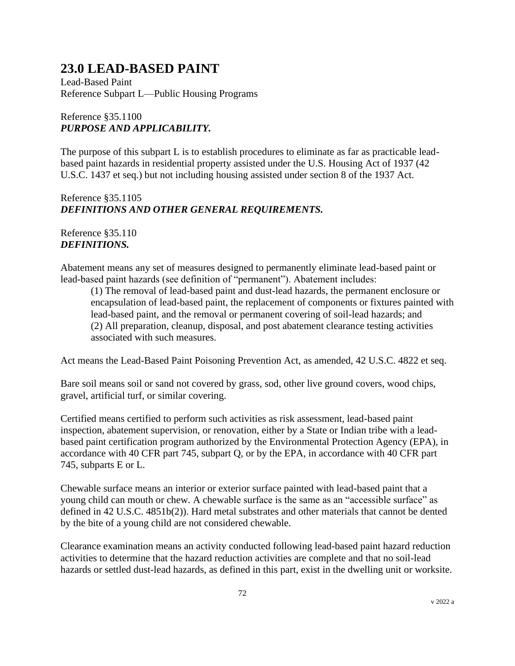# **23.0 LEAD-BASED PAINT**

Lead-Based Paint Reference Subpart L—Public Housing Programs

# Reference §35.1100 *PURPOSE AND APPLICABILITY.*

The purpose of this subpart L is to establish procedures to eliminate as far as practicable leadbased paint hazards in residential property assisted under the U.S. Housing Act of 1937 (42 U.S.C. 1437 et seq.) but not including housing assisted under section 8 of the 1937 Act.

# Reference §35.1105 *DEFINITIONS AND OTHER GENERAL REQUIREMENTS.*

# Reference §35.110 *DEFINITIONS.*

Abatement means any set of measures designed to permanently eliminate lead-based paint or lead-based paint hazards (see definition of "permanent"). Abatement includes:

(1) The removal of lead-based paint and dust-lead hazards, the permanent enclosure or encapsulation of lead-based paint, the replacement of components or fixtures painted with lead-based paint, and the removal or permanent covering of soil-lead hazards; and (2) All preparation, cleanup, disposal, and post abatement clearance testing activities associated with such measures.

Act means the Lead-Based Paint Poisoning Prevention Act, as amended, 42 U.S.C. 4822 et seq.

Bare soil means soil or sand not covered by grass, sod, other live ground covers, wood chips, gravel, artificial turf, or similar covering.

Certified means certified to perform such activities as risk assessment, lead-based paint inspection, abatement supervision, or renovation, either by a State or Indian tribe with a leadbased paint certification program authorized by the Environmental Protection Agency (EPA), in accordance with 40 CFR part 745, subpart Q, or by the EPA, in accordance with 40 CFR part 745, subparts E or L.

Chewable surface means an interior or exterior surface painted with lead-based paint that a young child can mouth or chew. A chewable surface is the same as an "accessible surface" as defined in 42 U.S.C. 4851b(2)). Hard metal substrates and other materials that cannot be dented by the bite of a young child are not considered chewable.

Clearance examination means an activity conducted following lead-based paint hazard reduction activities to determine that the hazard reduction activities are complete and that no soil-lead hazards or settled dust-lead hazards, as defined in this part, exist in the dwelling unit or worksite.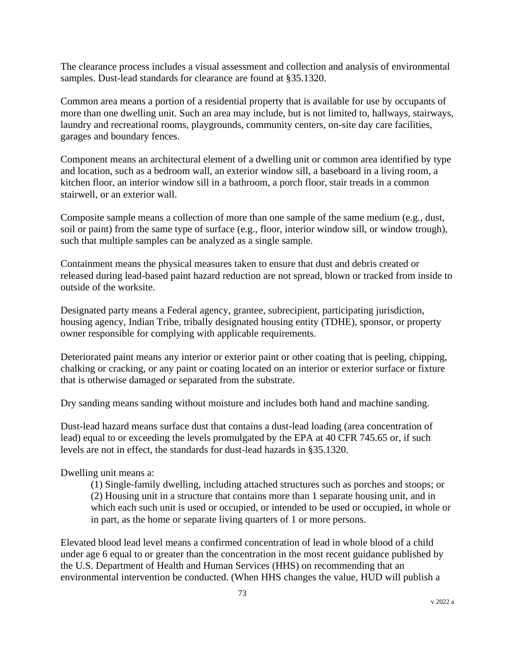The clearance process includes a visual assessment and collection and analysis of environmental samples. Dust-lead standards for clearance are found at §35.1320.

Common area means a portion of a residential property that is available for use by occupants of more than one dwelling unit. Such an area may include, but is not limited to, hallways, stairways, laundry and recreational rooms, playgrounds, community centers, on-site day care facilities, garages and boundary fences.

Component means an architectural element of a dwelling unit or common area identified by type and location, such as a bedroom wall, an exterior window sill, a baseboard in a living room, a kitchen floor, an interior window sill in a bathroom, a porch floor, stair treads in a common stairwell, or an exterior wall.

Composite sample means a collection of more than one sample of the same medium (e.g., dust, soil or paint) from the same type of surface (e.g., floor, interior window sill, or window trough), such that multiple samples can be analyzed as a single sample.

Containment means the physical measures taken to ensure that dust and debris created or released during lead-based paint hazard reduction are not spread, blown or tracked from inside to outside of the worksite.

Designated party means a Federal agency, grantee, subrecipient, participating jurisdiction, housing agency, Indian Tribe, tribally designated housing entity (TDHE), sponsor, or property owner responsible for complying with applicable requirements.

Deteriorated paint means any interior or exterior paint or other coating that is peeling, chipping, chalking or cracking, or any paint or coating located on an interior or exterior surface or fixture that is otherwise damaged or separated from the substrate.

Dry sanding means sanding without moisture and includes both hand and machine sanding.

Dust-lead hazard means surface dust that contains a dust-lead loading (area concentration of lead) equal to or exceeding the levels promulgated by the EPA at 40 CFR 745.65 or, if such levels are not in effect, the standards for dust-lead hazards in §35.1320.

Dwelling unit means a:

(1) Single-family dwelling, including attached structures such as porches and stoops; or (2) Housing unit in a structure that contains more than 1 separate housing unit, and in which each such unit is used or occupied, or intended to be used or occupied, in whole or in part, as the home or separate living quarters of 1 or more persons.

Elevated blood lead level means a confirmed concentration of lead in whole blood of a child under age 6 equal to or greater than the concentration in the most recent guidance published by the U.S. Department of Health and Human Services (HHS) on recommending that an environmental intervention be conducted. (When HHS changes the value, HUD will publish a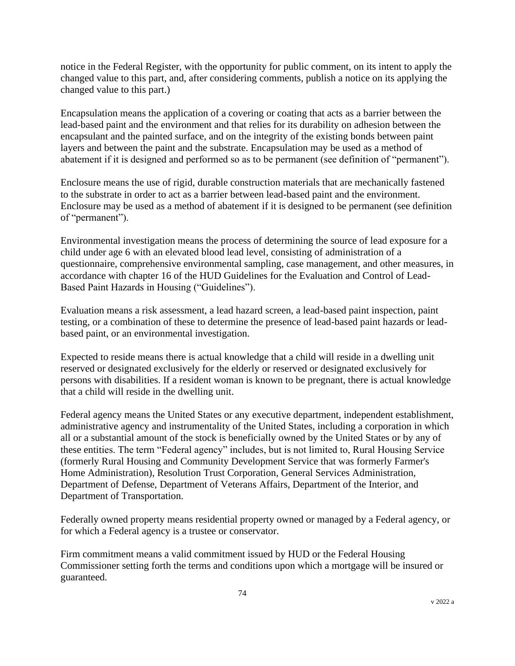notice in the Federal Register, with the opportunity for public comment, on its intent to apply the changed value to this part, and, after considering comments, publish a notice on its applying the changed value to this part.)

Encapsulation means the application of a covering or coating that acts as a barrier between the lead-based paint and the environment and that relies for its durability on adhesion between the encapsulant and the painted surface, and on the integrity of the existing bonds between paint layers and between the paint and the substrate. Encapsulation may be used as a method of abatement if it is designed and performed so as to be permanent (see definition of "permanent").

Enclosure means the use of rigid, durable construction materials that are mechanically fastened to the substrate in order to act as a barrier between lead-based paint and the environment. Enclosure may be used as a method of abatement if it is designed to be permanent (see definition of "permanent").

Environmental investigation means the process of determining the source of lead exposure for a child under age 6 with an elevated blood lead level, consisting of administration of a questionnaire, comprehensive environmental sampling, case management, and other measures, in accordance with chapter 16 of the HUD Guidelines for the Evaluation and Control of Lead-Based Paint Hazards in Housing ("Guidelines").

Evaluation means a risk assessment, a lead hazard screen, a lead-based paint inspection, paint testing, or a combination of these to determine the presence of lead-based paint hazards or leadbased paint, or an environmental investigation.

Expected to reside means there is actual knowledge that a child will reside in a dwelling unit reserved or designated exclusively for the elderly or reserved or designated exclusively for persons with disabilities. If a resident woman is known to be pregnant, there is actual knowledge that a child will reside in the dwelling unit.

Federal agency means the United States or any executive department, independent establishment, administrative agency and instrumentality of the United States, including a corporation in which all or a substantial amount of the stock is beneficially owned by the United States or by any of these entities. The term "Federal agency" includes, but is not limited to, Rural Housing Service (formerly Rural Housing and Community Development Service that was formerly Farmer's Home Administration), Resolution Trust Corporation, General Services Administration, Department of Defense, Department of Veterans Affairs, Department of the Interior, and Department of Transportation.

Federally owned property means residential property owned or managed by a Federal agency, or for which a Federal agency is a trustee or conservator.

Firm commitment means a valid commitment issued by HUD or the Federal Housing Commissioner setting forth the terms and conditions upon which a mortgage will be insured or guaranteed.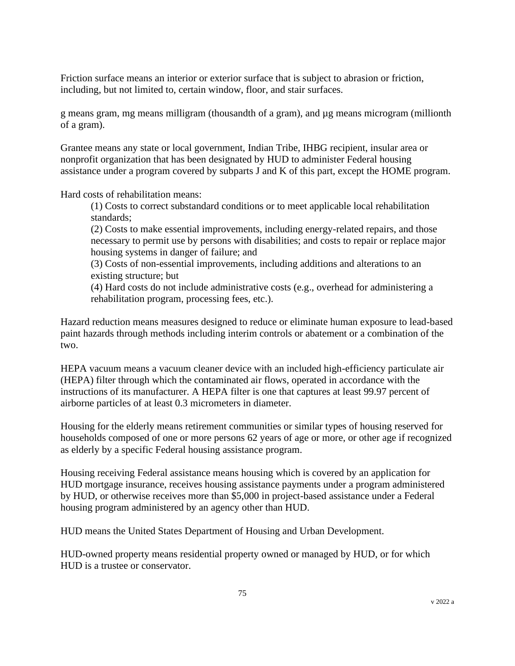Friction surface means an interior or exterior surface that is subject to abrasion or friction, including, but not limited to, certain window, floor, and stair surfaces.

g means gram, mg means milligram (thousandth of a gram), and µg means microgram (millionth of a gram).

Grantee means any state or local government, Indian Tribe, IHBG recipient, insular area or nonprofit organization that has been designated by HUD to administer Federal housing assistance under a program covered by subparts J and K of this part, except the HOME program.

Hard costs of rehabilitation means:

(1) Costs to correct substandard conditions or to meet applicable local rehabilitation standards;

(2) Costs to make essential improvements, including energy-related repairs, and those necessary to permit use by persons with disabilities; and costs to repair or replace major housing systems in danger of failure; and

(3) Costs of non-essential improvements, including additions and alterations to an existing structure; but

(4) Hard costs do not include administrative costs (e.g., overhead for administering a rehabilitation program, processing fees, etc.).

Hazard reduction means measures designed to reduce or eliminate human exposure to lead-based paint hazards through methods including interim controls or abatement or a combination of the two.

HEPA vacuum means a vacuum cleaner device with an included high-efficiency particulate air (HEPA) filter through which the contaminated air flows, operated in accordance with the instructions of its manufacturer. A HEPA filter is one that captures at least 99.97 percent of airborne particles of at least 0.3 micrometers in diameter.

Housing for the elderly means retirement communities or similar types of housing reserved for households composed of one or more persons 62 years of age or more, or other age if recognized as elderly by a specific Federal housing assistance program.

Housing receiving Federal assistance means housing which is covered by an application for HUD mortgage insurance, receives housing assistance payments under a program administered by HUD, or otherwise receives more than \$5,000 in project-based assistance under a Federal housing program administered by an agency other than HUD.

HUD means the United States Department of Housing and Urban Development.

HUD-owned property means residential property owned or managed by HUD, or for which HUD is a trustee or conservator.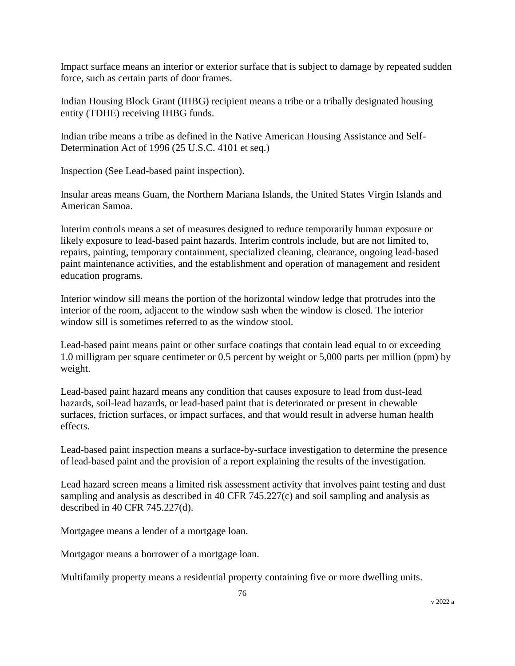Impact surface means an interior or exterior surface that is subject to damage by repeated sudden force, such as certain parts of door frames.

Indian Housing Block Grant (IHBG) recipient means a tribe or a tribally designated housing entity (TDHE) receiving IHBG funds.

Indian tribe means a tribe as defined in the Native American Housing Assistance and Self-Determination Act of 1996 (25 U.S.C. 4101 et seq.)

Inspection (See Lead-based paint inspection).

Insular areas means Guam, the Northern Mariana Islands, the United States Virgin Islands and American Samoa.

Interim controls means a set of measures designed to reduce temporarily human exposure or likely exposure to lead-based paint hazards. Interim controls include, but are not limited to, repairs, painting, temporary containment, specialized cleaning, clearance, ongoing lead-based paint maintenance activities, and the establishment and operation of management and resident education programs.

Interior window sill means the portion of the horizontal window ledge that protrudes into the interior of the room, adjacent to the window sash when the window is closed. The interior window sill is sometimes referred to as the window stool.

Lead-based paint means paint or other surface coatings that contain lead equal to or exceeding 1.0 milligram per square centimeter or 0.5 percent by weight or 5,000 parts per million (ppm) by weight.

Lead-based paint hazard means any condition that causes exposure to lead from dust-lead hazards, soil-lead hazards, or lead-based paint that is deteriorated or present in chewable surfaces, friction surfaces, or impact surfaces, and that would result in adverse human health effects.

Lead-based paint inspection means a surface-by-surface investigation to determine the presence of lead-based paint and the provision of a report explaining the results of the investigation.

Lead hazard screen means a limited risk assessment activity that involves paint testing and dust sampling and analysis as described in 40 CFR 745.227(c) and soil sampling and analysis as described in 40 CFR 745.227(d).

Mortgagee means a lender of a mortgage loan.

Mortgagor means a borrower of a mortgage loan.

Multifamily property means a residential property containing five or more dwelling units.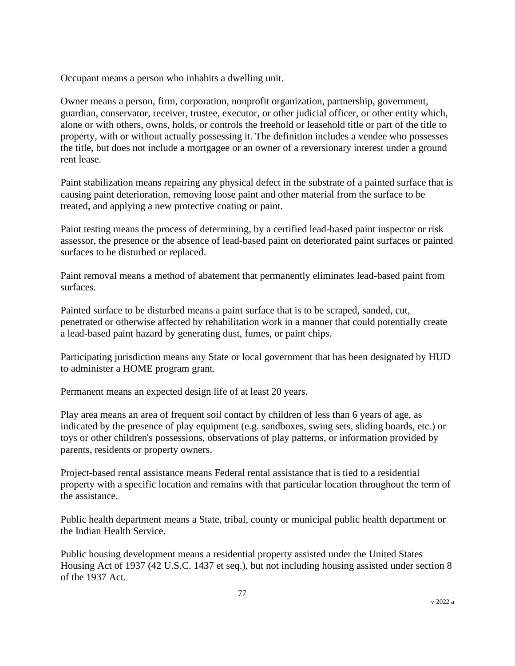Occupant means a person who inhabits a dwelling unit.

Owner means a person, firm, corporation, nonprofit organization, partnership, government, guardian, conservator, receiver, trustee, executor, or other judicial officer, or other entity which, alone or with others, owns, holds, or controls the freehold or leasehold title or part of the title to property, with or without actually possessing it. The definition includes a vendee who possesses the title, but does not include a mortgagee or an owner of a reversionary interest under a ground rent lease.

Paint stabilization means repairing any physical defect in the substrate of a painted surface that is causing paint deterioration, removing loose paint and other material from the surface to be treated, and applying a new protective coating or paint.

Paint testing means the process of determining, by a certified lead-based paint inspector or risk assessor, the presence or the absence of lead-based paint on deteriorated paint surfaces or painted surfaces to be disturbed or replaced.

Paint removal means a method of abatement that permanently eliminates lead-based paint from surfaces.

Painted surface to be disturbed means a paint surface that is to be scraped, sanded, cut, penetrated or otherwise affected by rehabilitation work in a manner that could potentially create a lead-based paint hazard by generating dust, fumes, or paint chips.

Participating jurisdiction means any State or local government that has been designated by HUD to administer a HOME program grant.

Permanent means an expected design life of at least 20 years.

Play area means an area of frequent soil contact by children of less than 6 years of age, as indicated by the presence of play equipment (e.g. sandboxes, swing sets, sliding boards, etc.) or toys or other children's possessions, observations of play patterns, or information provided by parents, residents or property owners.

Project-based rental assistance means Federal rental assistance that is tied to a residential property with a specific location and remains with that particular location throughout the term of the assistance.

Public health department means a State, tribal, county or municipal public health department or the Indian Health Service.

Public housing development means a residential property assisted under the United States Housing Act of 1937 (42 U.S.C. 1437 et seq.), but not including housing assisted under section 8 of the 1937 Act.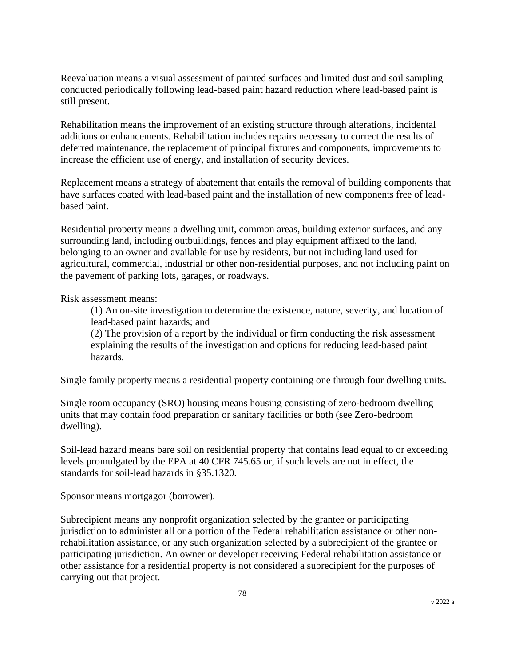Reevaluation means a visual assessment of painted surfaces and limited dust and soil sampling conducted periodically following lead-based paint hazard reduction where lead-based paint is still present.

Rehabilitation means the improvement of an existing structure through alterations, incidental additions or enhancements. Rehabilitation includes repairs necessary to correct the results of deferred maintenance, the replacement of principal fixtures and components, improvements to increase the efficient use of energy, and installation of security devices.

Replacement means a strategy of abatement that entails the removal of building components that have surfaces coated with lead-based paint and the installation of new components free of leadbased paint.

Residential property means a dwelling unit, common areas, building exterior surfaces, and any surrounding land, including outbuildings, fences and play equipment affixed to the land, belonging to an owner and available for use by residents, but not including land used for agricultural, commercial, industrial or other non-residential purposes, and not including paint on the pavement of parking lots, garages, or roadways.

Risk assessment means:

(1) An on-site investigation to determine the existence, nature, severity, and location of lead-based paint hazards; and

(2) The provision of a report by the individual or firm conducting the risk assessment explaining the results of the investigation and options for reducing lead-based paint hazards.

Single family property means a residential property containing one through four dwelling units.

Single room occupancy (SRO) housing means housing consisting of zero-bedroom dwelling units that may contain food preparation or sanitary facilities or both (see Zero-bedroom dwelling).

Soil-lead hazard means bare soil on residential property that contains lead equal to or exceeding levels promulgated by the EPA at 40 CFR 745.65 or, if such levels are not in effect, the standards for soil-lead hazards in §35.1320.

Sponsor means mortgagor (borrower).

Subrecipient means any nonprofit organization selected by the grantee or participating jurisdiction to administer all or a portion of the Federal rehabilitation assistance or other nonrehabilitation assistance, or any such organization selected by a subrecipient of the grantee or participating jurisdiction. An owner or developer receiving Federal rehabilitation assistance or other assistance for a residential property is not considered a subrecipient for the purposes of carrying out that project.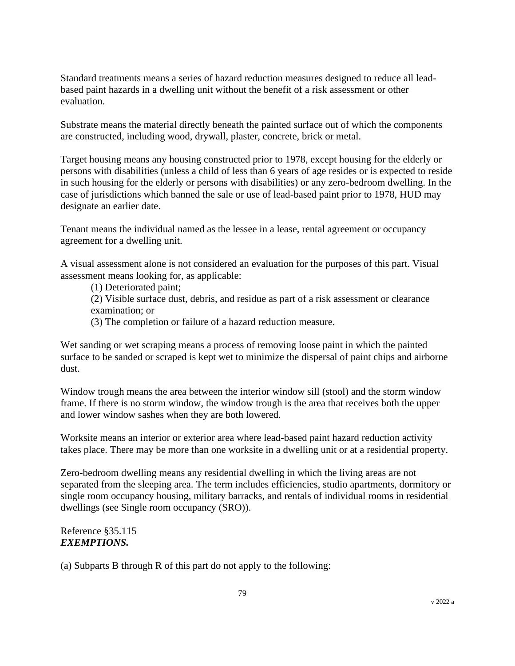Standard treatments means a series of hazard reduction measures designed to reduce all leadbased paint hazards in a dwelling unit without the benefit of a risk assessment or other evaluation.

Substrate means the material directly beneath the painted surface out of which the components are constructed, including wood, drywall, plaster, concrete, brick or metal.

Target housing means any housing constructed prior to 1978, except housing for the elderly or persons with disabilities (unless a child of less than 6 years of age resides or is expected to reside in such housing for the elderly or persons with disabilities) or any zero-bedroom dwelling. In the case of jurisdictions which banned the sale or use of lead-based paint prior to 1978, HUD may designate an earlier date.

Tenant means the individual named as the lessee in a lease, rental agreement or occupancy agreement for a dwelling unit.

A visual assessment alone is not considered an evaluation for the purposes of this part. Visual assessment means looking for, as applicable:

(1) Deteriorated paint;

(2) Visible surface dust, debris, and residue as part of a risk assessment or clearance examination; or

(3) The completion or failure of a hazard reduction measure.

Wet sanding or wet scraping means a process of removing loose paint in which the painted surface to be sanded or scraped is kept wet to minimize the dispersal of paint chips and airborne dust.

Window trough means the area between the interior window sill (stool) and the storm window frame. If there is no storm window, the window trough is the area that receives both the upper and lower window sashes when they are both lowered.

Worksite means an interior or exterior area where lead-based paint hazard reduction activity takes place. There may be more than one worksite in a dwelling unit or at a residential property.

Zero-bedroom dwelling means any residential dwelling in which the living areas are not separated from the sleeping area. The term includes efficiencies, studio apartments, dormitory or single room occupancy housing, military barracks, and rentals of individual rooms in residential dwellings (see Single room occupancy (SRO)).

Reference §35.115 *EXEMPTIONS.*

(a) Subparts B through R of this part do not apply to the following: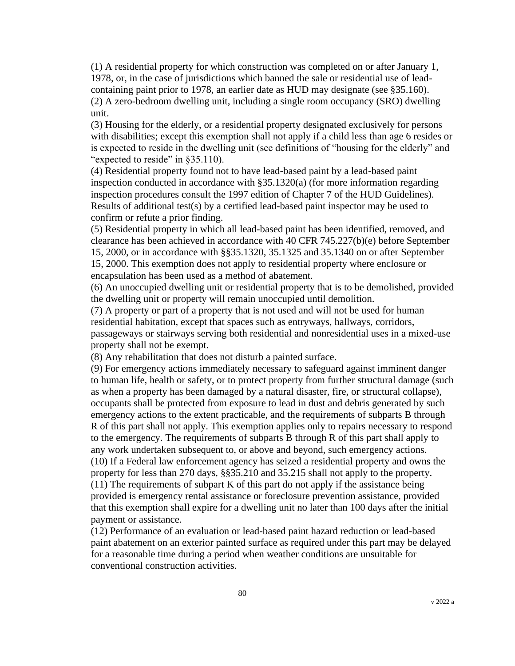(1) A residential property for which construction was completed on or after January 1, 1978, or, in the case of jurisdictions which banned the sale or residential use of leadcontaining paint prior to 1978, an earlier date as HUD may designate (see §35.160). (2) A zero-bedroom dwelling unit, including a single room occupancy (SRO) dwelling unit.

(3) Housing for the elderly, or a residential property designated exclusively for persons with disabilities; except this exemption shall not apply if a child less than age 6 resides or is expected to reside in the dwelling unit (see definitions of "housing for the elderly" and "expected to reside" in §35.110).

(4) Residential property found not to have lead-based paint by a lead-based paint inspection conducted in accordance with §35.1320(a) (for more information regarding inspection procedures consult the 1997 edition of Chapter 7 of the HUD Guidelines). Results of additional test(s) by a certified lead-based paint inspector may be used to confirm or refute a prior finding.

(5) Residential property in which all lead-based paint has been identified, removed, and clearance has been achieved in accordance with 40 CFR 745.227(b)(e) before September 15, 2000, or in accordance with §§35.1320, 35.1325 and 35.1340 on or after September 15, 2000. This exemption does not apply to residential property where enclosure or

encapsulation has been used as a method of abatement.

(6) An unoccupied dwelling unit or residential property that is to be demolished, provided the dwelling unit or property will remain unoccupied until demolition.

(7) A property or part of a property that is not used and will not be used for human residential habitation, except that spaces such as entryways, hallways, corridors, passageways or stairways serving both residential and nonresidential uses in a mixed-use property shall not be exempt.

(8) Any rehabilitation that does not disturb a painted surface.

(9) For emergency actions immediately necessary to safeguard against imminent danger to human life, health or safety, or to protect property from further structural damage (such as when a property has been damaged by a natural disaster, fire, or structural collapse), occupants shall be protected from exposure to lead in dust and debris generated by such emergency actions to the extent practicable, and the requirements of subparts B through R of this part shall not apply. This exemption applies only to repairs necessary to respond to the emergency. The requirements of subparts B through R of this part shall apply to any work undertaken subsequent to, or above and beyond, such emergency actions. (10) If a Federal law enforcement agency has seized a residential property and owns the property for less than 270 days, §§35.210 and 35.215 shall not apply to the property. (11) The requirements of subpart K of this part do not apply if the assistance being provided is emergency rental assistance or foreclosure prevention assistance, provided that this exemption shall expire for a dwelling unit no later than 100 days after the initial payment or assistance.

(12) Performance of an evaluation or lead-based paint hazard reduction or lead-based paint abatement on an exterior painted surface as required under this part may be delayed for a reasonable time during a period when weather conditions are unsuitable for conventional construction activities.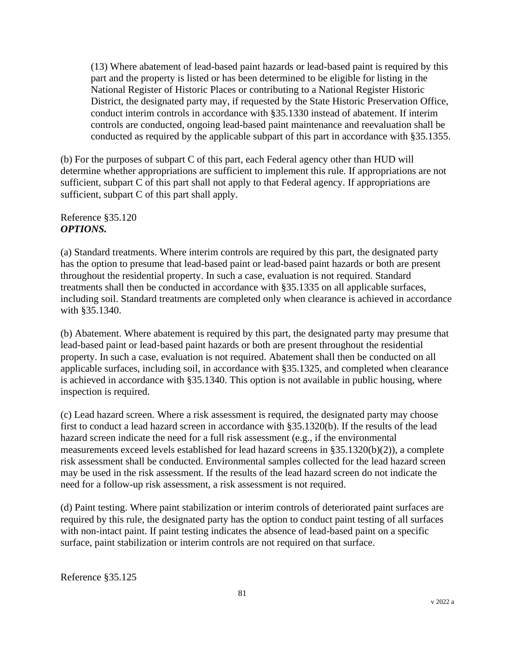(13) Where abatement of lead-based paint hazards or lead-based paint is required by this part and the property is listed or has been determined to be eligible for listing in the National Register of Historic Places or contributing to a National Register Historic District, the designated party may, if requested by the State Historic Preservation Office, conduct interim controls in accordance with §35.1330 instead of abatement. If interim controls are conducted, ongoing lead-based paint maintenance and reevaluation shall be conducted as required by the applicable subpart of this part in accordance with §35.1355.

(b) For the purposes of subpart C of this part, each Federal agency other than HUD will determine whether appropriations are sufficient to implement this rule. If appropriations are not sufficient, subpart C of this part shall not apply to that Federal agency. If appropriations are sufficient, subpart C of this part shall apply.

Reference §35.120 *OPTIONS.*

(a) Standard treatments. Where interim controls are required by this part, the designated party has the option to presume that lead-based paint or lead-based paint hazards or both are present throughout the residential property. In such a case, evaluation is not required. Standard treatments shall then be conducted in accordance with §35.1335 on all applicable surfaces, including soil. Standard treatments are completed only when clearance is achieved in accordance with §35.1340.

(b) Abatement. Where abatement is required by this part, the designated party may presume that lead-based paint or lead-based paint hazards or both are present throughout the residential property. In such a case, evaluation is not required. Abatement shall then be conducted on all applicable surfaces, including soil, in accordance with §35.1325, and completed when clearance is achieved in accordance with §35.1340. This option is not available in public housing, where inspection is required.

(c) Lead hazard screen. Where a risk assessment is required, the designated party may choose first to conduct a lead hazard screen in accordance with §35.1320(b). If the results of the lead hazard screen indicate the need for a full risk assessment (e.g., if the environmental measurements exceed levels established for lead hazard screens in §35.1320(b)(2)), a complete risk assessment shall be conducted. Environmental samples collected for the lead hazard screen may be used in the risk assessment. If the results of the lead hazard screen do not indicate the need for a follow-up risk assessment, a risk assessment is not required.

(d) Paint testing. Where paint stabilization or interim controls of deteriorated paint surfaces are required by this rule, the designated party has the option to conduct paint testing of all surfaces with non-intact paint. If paint testing indicates the absence of lead-based paint on a specific surface, paint stabilization or interim controls are not required on that surface.

Reference §35.125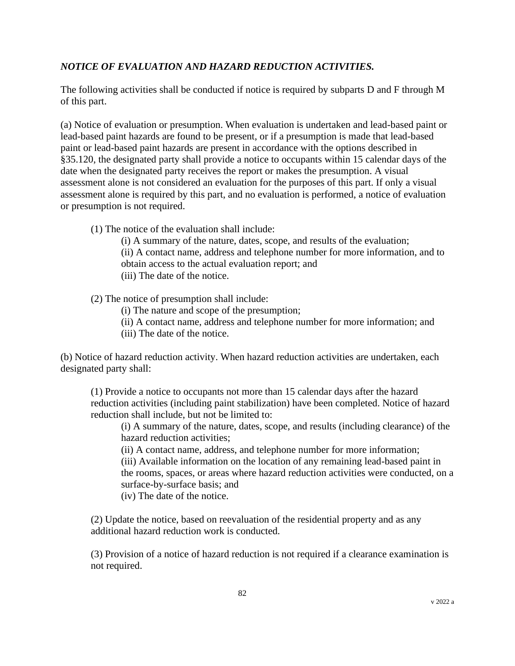# *NOTICE OF EVALUATION AND HAZARD REDUCTION ACTIVITIES.*

The following activities shall be conducted if notice is required by subparts D and F through M of this part.

(a) Notice of evaluation or presumption. When evaluation is undertaken and lead-based paint or lead-based paint hazards are found to be present, or if a presumption is made that lead-based paint or lead-based paint hazards are present in accordance with the options described in §35.120, the designated party shall provide a notice to occupants within 15 calendar days of the date when the designated party receives the report or makes the presumption. A visual assessment alone is not considered an evaluation for the purposes of this part. If only a visual assessment alone is required by this part, and no evaluation is performed, a notice of evaluation or presumption is not required.

(1) The notice of the evaluation shall include:

(i) A summary of the nature, dates, scope, and results of the evaluation; (ii) A contact name, address and telephone number for more information, and to obtain access to the actual evaluation report; and (iii) The date of the notice.

(2) The notice of presumption shall include:

(i) The nature and scope of the presumption;

- (ii) A contact name, address and telephone number for more information; and
- (iii) The date of the notice.

(b) Notice of hazard reduction activity. When hazard reduction activities are undertaken, each designated party shall:

(1) Provide a notice to occupants not more than 15 calendar days after the hazard reduction activities (including paint stabilization) have been completed. Notice of hazard reduction shall include, but not be limited to:

(i) A summary of the nature, dates, scope, and results (including clearance) of the hazard reduction activities;

(ii) A contact name, address, and telephone number for more information;

(iii) Available information on the location of any remaining lead-based paint in the rooms, spaces, or areas where hazard reduction activities were conducted, on a surface-by-surface basis; and

(iv) The date of the notice.

(2) Update the notice, based on reevaluation of the residential property and as any additional hazard reduction work is conducted.

(3) Provision of a notice of hazard reduction is not required if a clearance examination is not required.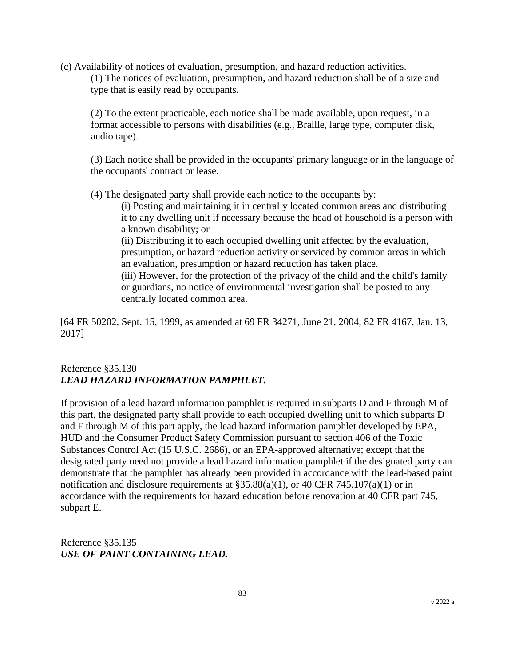(c) Availability of notices of evaluation, presumption, and hazard reduction activities. (1) The notices of evaluation, presumption, and hazard reduction shall be of a size and type that is easily read by occupants.

(2) To the extent practicable, each notice shall be made available, upon request, in a format accessible to persons with disabilities (e.g., Braille, large type, computer disk, audio tape).

(3) Each notice shall be provided in the occupants' primary language or in the language of the occupants' contract or lease.

(4) The designated party shall provide each notice to the occupants by:

(i) Posting and maintaining it in centrally located common areas and distributing it to any dwelling unit if necessary because the head of household is a person with a known disability; or

(ii) Distributing it to each occupied dwelling unit affected by the evaluation, presumption, or hazard reduction activity or serviced by common areas in which an evaluation, presumption or hazard reduction has taken place.

(iii) However, for the protection of the privacy of the child and the child's family or guardians, no notice of environmental investigation shall be posted to any centrally located common area.

[64 FR 50202, Sept. 15, 1999, as amended at 69 FR 34271, June 21, 2004; 82 FR 4167, Jan. 13, 2017]

#### Reference §35.130 *LEAD HAZARD INFORMATION PAMPHLET.*

If provision of a lead hazard information pamphlet is required in subparts D and F through M of this part, the designated party shall provide to each occupied dwelling unit to which subparts D and F through M of this part apply, the lead hazard information pamphlet developed by EPA, HUD and the Consumer Product Safety Commission pursuant to section 406 of the Toxic Substances Control Act (15 U.S.C. 2686), or an EPA-approved alternative; except that the designated party need not provide a lead hazard information pamphlet if the designated party can demonstrate that the pamphlet has already been provided in accordance with the lead-based paint notification and disclosure requirements at  $$35.88(a)(1)$ , or 40 CFR 745.107(a)(1) or in accordance with the requirements for hazard education before renovation at 40 CFR part 745, subpart E.

Reference §35.135 *USE OF PAINT CONTAINING LEAD.*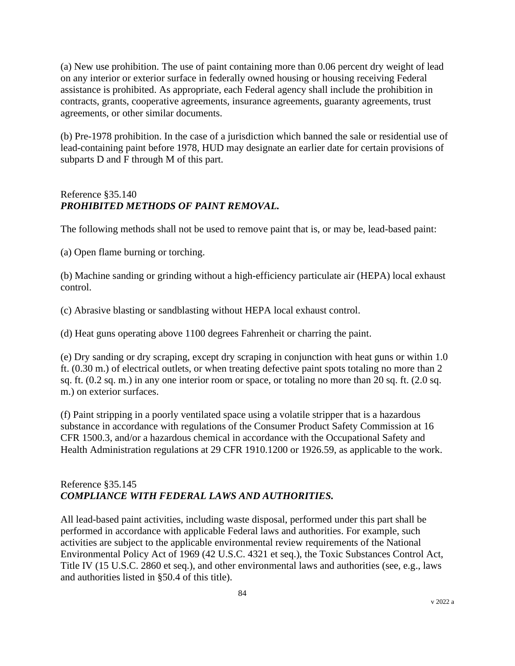(a) New use prohibition. The use of paint containing more than 0.06 percent dry weight of lead on any interior or exterior surface in federally owned housing or housing receiving Federal assistance is prohibited. As appropriate, each Federal agency shall include the prohibition in contracts, grants, cooperative agreements, insurance agreements, guaranty agreements, trust agreements, or other similar documents.

(b) Pre-1978 prohibition. In the case of a jurisdiction which banned the sale or residential use of lead-containing paint before 1978, HUD may designate an earlier date for certain provisions of subparts D and F through M of this part.

# Reference §35.140 *PROHIBITED METHODS OF PAINT REMOVAL.*

The following methods shall not be used to remove paint that is, or may be, lead-based paint:

(a) Open flame burning or torching.

(b) Machine sanding or grinding without a high-efficiency particulate air (HEPA) local exhaust control.

(c) Abrasive blasting or sandblasting without HEPA local exhaust control.

(d) Heat guns operating above 1100 degrees Fahrenheit or charring the paint.

(e) Dry sanding or dry scraping, except dry scraping in conjunction with heat guns or within 1.0 ft. (0.30 m.) of electrical outlets, or when treating defective paint spots totaling no more than 2 sq. ft. (0.2 sq. m.) in any one interior room or space, or totaling no more than 20 sq. ft. (2.0 sq. m.) on exterior surfaces.

(f) Paint stripping in a poorly ventilated space using a volatile stripper that is a hazardous substance in accordance with regulations of the Consumer Product Safety Commission at 16 CFR 1500.3, and/or a hazardous chemical in accordance with the Occupational Safety and Health Administration regulations at 29 CFR 1910.1200 or 1926.59, as applicable to the work.

### Reference §35.145 *COMPLIANCE WITH FEDERAL LAWS AND AUTHORITIES.*

All lead-based paint activities, including waste disposal, performed under this part shall be performed in accordance with applicable Federal laws and authorities. For example, such activities are subject to the applicable environmental review requirements of the National Environmental Policy Act of 1969 (42 U.S.C. 4321 et seq.), the Toxic Substances Control Act, Title IV (15 U.S.C. 2860 et seq.), and other environmental laws and authorities (see, e.g., laws and authorities listed in §50.4 of this title).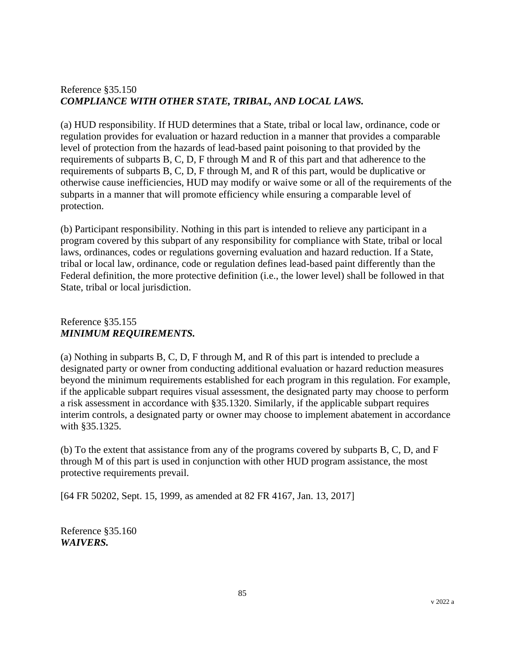# Reference §35.150 *COMPLIANCE WITH OTHER STATE, TRIBAL, AND LOCAL LAWS.*

(a) HUD responsibility. If HUD determines that a State, tribal or local law, ordinance, code or regulation provides for evaluation or hazard reduction in a manner that provides a comparable level of protection from the hazards of lead-based paint poisoning to that provided by the requirements of subparts B, C, D, F through M and R of this part and that adherence to the requirements of subparts B, C, D, F through M, and R of this part, would be duplicative or otherwise cause inefficiencies, HUD may modify or waive some or all of the requirements of the subparts in a manner that will promote efficiency while ensuring a comparable level of protection.

(b) Participant responsibility. Nothing in this part is intended to relieve any participant in a program covered by this subpart of any responsibility for compliance with State, tribal or local laws, ordinances, codes or regulations governing evaluation and hazard reduction. If a State, tribal or local law, ordinance, code or regulation defines lead-based paint differently than the Federal definition, the more protective definition (i.e., the lower level) shall be followed in that State, tribal or local jurisdiction.

### Reference §35.155 *MINIMUM REQUIREMENTS.*

(a) Nothing in subparts B, C, D, F through M, and R of this part is intended to preclude a designated party or owner from conducting additional evaluation or hazard reduction measures beyond the minimum requirements established for each program in this regulation. For example, if the applicable subpart requires visual assessment, the designated party may choose to perform a risk assessment in accordance with §35.1320. Similarly, if the applicable subpart requires interim controls, a designated party or owner may choose to implement abatement in accordance with §35.1325.

(b) To the extent that assistance from any of the programs covered by subparts B, C, D, and F through M of this part is used in conjunction with other HUD program assistance, the most protective requirements prevail.

[64 FR 50202, Sept. 15, 1999, as amended at 82 FR 4167, Jan. 13, 2017]

Reference §35.160 *WAIVERS.*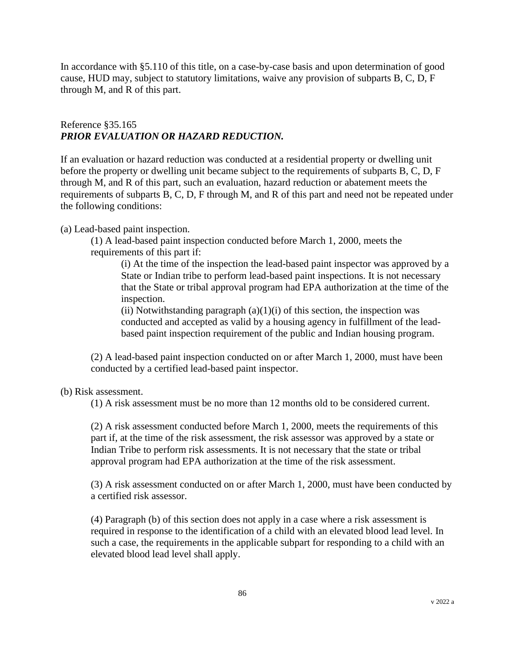In accordance with §5.110 of this title, on a case-by-case basis and upon determination of good cause, HUD may, subject to statutory limitations, waive any provision of subparts B, C, D, F through M, and R of this part.

#### Reference §35.165 *PRIOR EVALUATION OR HAZARD REDUCTION.*

If an evaluation or hazard reduction was conducted at a residential property or dwelling unit before the property or dwelling unit became subject to the requirements of subparts B, C, D, F through M, and R of this part, such an evaluation, hazard reduction or abatement meets the requirements of subparts B, C, D, F through M, and R of this part and need not be repeated under the following conditions:

(a) Lead-based paint inspection.

(1) A lead-based paint inspection conducted before March 1, 2000, meets the requirements of this part if:

(i) At the time of the inspection the lead-based paint inspector was approved by a State or Indian tribe to perform lead-based paint inspections. It is not necessary that the State or tribal approval program had EPA authorization at the time of the inspection.

(ii) Notwithstanding paragraph  $(a)(1)(i)$  of this section, the inspection was conducted and accepted as valid by a housing agency in fulfillment of the leadbased paint inspection requirement of the public and Indian housing program.

(2) A lead-based paint inspection conducted on or after March 1, 2000, must have been conducted by a certified lead-based paint inspector.

(b) Risk assessment.

(1) A risk assessment must be no more than 12 months old to be considered current.

(2) A risk assessment conducted before March 1, 2000, meets the requirements of this part if, at the time of the risk assessment, the risk assessor was approved by a state or Indian Tribe to perform risk assessments. It is not necessary that the state or tribal approval program had EPA authorization at the time of the risk assessment.

(3) A risk assessment conducted on or after March 1, 2000, must have been conducted by a certified risk assessor.

(4) Paragraph (b) of this section does not apply in a case where a risk assessment is required in response to the identification of a child with an elevated blood lead level. In such a case, the requirements in the applicable subpart for responding to a child with an elevated blood lead level shall apply.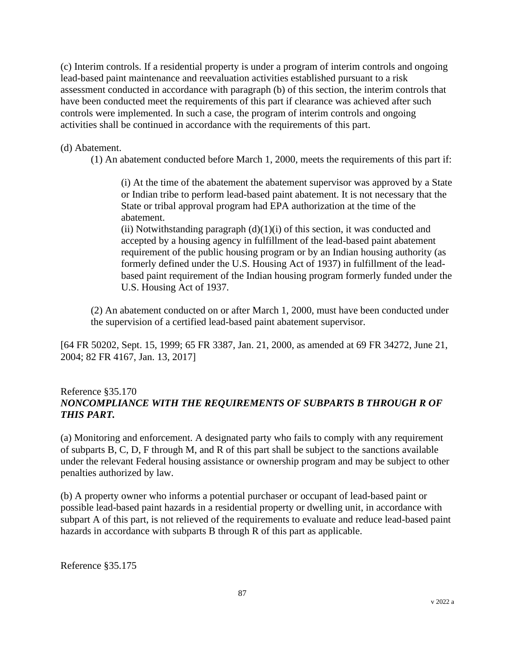(c) Interim controls. If a residential property is under a program of interim controls and ongoing lead-based paint maintenance and reevaluation activities established pursuant to a risk assessment conducted in accordance with paragraph (b) of this section, the interim controls that have been conducted meet the requirements of this part if clearance was achieved after such controls were implemented. In such a case, the program of interim controls and ongoing activities shall be continued in accordance with the requirements of this part.

(d) Abatement.

(1) An abatement conducted before March 1, 2000, meets the requirements of this part if:

(i) At the time of the abatement the abatement supervisor was approved by a State or Indian tribe to perform lead-based paint abatement. It is not necessary that the State or tribal approval program had EPA authorization at the time of the abatement.

(ii) Notwithstanding paragraph  $(d)(1)(i)$  of this section, it was conducted and accepted by a housing agency in fulfillment of the lead-based paint abatement requirement of the public housing program or by an Indian housing authority (as formerly defined under the U.S. Housing Act of 1937) in fulfillment of the leadbased paint requirement of the Indian housing program formerly funded under the U.S. Housing Act of 1937.

(2) An abatement conducted on or after March 1, 2000, must have been conducted under the supervision of a certified lead-based paint abatement supervisor.

[64 FR 50202, Sept. 15, 1999; 65 FR 3387, Jan. 21, 2000, as amended at 69 FR 34272, June 21, 2004; 82 FR 4167, Jan. 13, 2017]

#### Reference §35.170 *NONCOMPLIANCE WITH THE REQUIREMENTS OF SUBPARTS B THROUGH R OF THIS PART.*

(a) Monitoring and enforcement. A designated party who fails to comply with any requirement of subparts B, C, D, F through M, and R of this part shall be subject to the sanctions available under the relevant Federal housing assistance or ownership program and may be subject to other penalties authorized by law.

(b) A property owner who informs a potential purchaser or occupant of lead-based paint or possible lead-based paint hazards in a residential property or dwelling unit, in accordance with subpart A of this part, is not relieved of the requirements to evaluate and reduce lead-based paint hazards in accordance with subparts B through R of this part as applicable.

Reference §35.175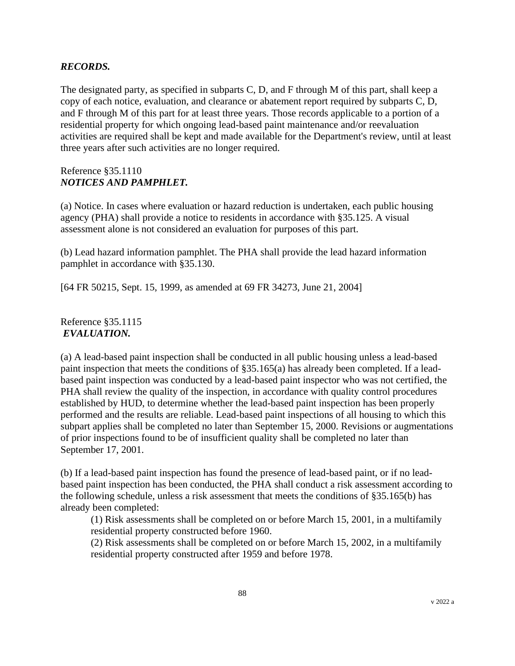#### *RECORDS.*

The designated party, as specified in subparts C, D, and F through M of this part, shall keep a copy of each notice, evaluation, and clearance or abatement report required by subparts C, D, and F through M of this part for at least three years. Those records applicable to a portion of a residential property for which ongoing lead-based paint maintenance and/or reevaluation activities are required shall be kept and made available for the Department's review, until at least three years after such activities are no longer required.

#### Reference §35.1110 *NOTICES AND PAMPHLET.*

(a) Notice. In cases where evaluation or hazard reduction is undertaken, each public housing agency (PHA) shall provide a notice to residents in accordance with §35.125. A visual assessment alone is not considered an evaluation for purposes of this part.

(b) Lead hazard information pamphlet. The PHA shall provide the lead hazard information pamphlet in accordance with §35.130.

[64 FR 50215, Sept. 15, 1999, as amended at 69 FR 34273, June 21, 2004]

Reference §35.1115 *EVALUATION.*

(a) A lead-based paint inspection shall be conducted in all public housing unless a lead-based paint inspection that meets the conditions of §35.165(a) has already been completed. If a leadbased paint inspection was conducted by a lead-based paint inspector who was not certified, the PHA shall review the quality of the inspection, in accordance with quality control procedures established by HUD, to determine whether the lead-based paint inspection has been properly performed and the results are reliable. Lead-based paint inspections of all housing to which this subpart applies shall be completed no later than September 15, 2000. Revisions or augmentations of prior inspections found to be of insufficient quality shall be completed no later than September 17, 2001.

(b) If a lead-based paint inspection has found the presence of lead-based paint, or if no leadbased paint inspection has been conducted, the PHA shall conduct a risk assessment according to the following schedule, unless a risk assessment that meets the conditions of §35.165(b) has already been completed:

(1) Risk assessments shall be completed on or before March 15, 2001, in a multifamily residential property constructed before 1960.

(2) Risk assessments shall be completed on or before March 15, 2002, in a multifamily residential property constructed after 1959 and before 1978.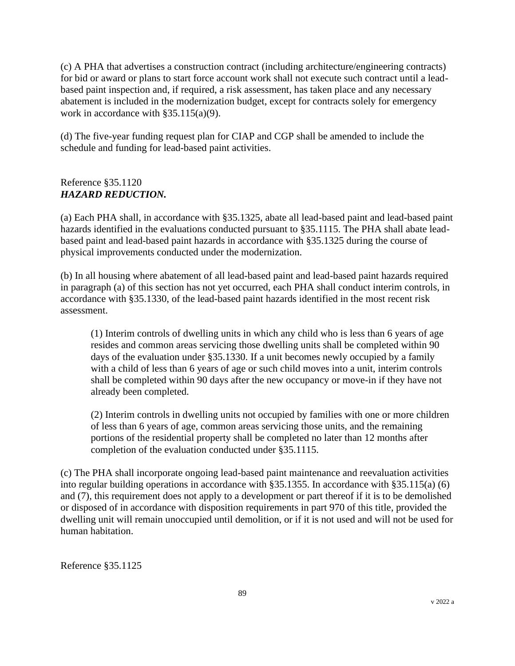(c) A PHA that advertises a construction contract (including architecture/engineering contracts) for bid or award or plans to start force account work shall not execute such contract until a leadbased paint inspection and, if required, a risk assessment, has taken place and any necessary abatement is included in the modernization budget, except for contracts solely for emergency work in accordance with §35.115(a)(9).

(d) The five-year funding request plan for CIAP and CGP shall be amended to include the schedule and funding for lead-based paint activities.

## Reference §35.1120 *HAZARD REDUCTION.*

(a) Each PHA shall, in accordance with §35.1325, abate all lead-based paint and lead-based paint hazards identified in the evaluations conducted pursuant to §35.1115. The PHA shall abate leadbased paint and lead-based paint hazards in accordance with §35.1325 during the course of physical improvements conducted under the modernization.

(b) In all housing where abatement of all lead-based paint and lead-based paint hazards required in paragraph (a) of this section has not yet occurred, each PHA shall conduct interim controls, in accordance with §35.1330, of the lead-based paint hazards identified in the most recent risk assessment.

(1) Interim controls of dwelling units in which any child who is less than 6 years of age resides and common areas servicing those dwelling units shall be completed within 90 days of the evaluation under §35.1330. If a unit becomes newly occupied by a family with a child of less than 6 years of age or such child moves into a unit, interim controls shall be completed within 90 days after the new occupancy or move-in if they have not already been completed.

(2) Interim controls in dwelling units not occupied by families with one or more children of less than 6 years of age, common areas servicing those units, and the remaining portions of the residential property shall be completed no later than 12 months after completion of the evaluation conducted under §35.1115.

(c) The PHA shall incorporate ongoing lead-based paint maintenance and reevaluation activities into regular building operations in accordance with §35.1355. In accordance with §35.115(a) (6) and (7), this requirement does not apply to a development or part thereof if it is to be demolished or disposed of in accordance with disposition requirements in part 970 of this title, provided the dwelling unit will remain unoccupied until demolition, or if it is not used and will not be used for human habitation.

Reference §35.1125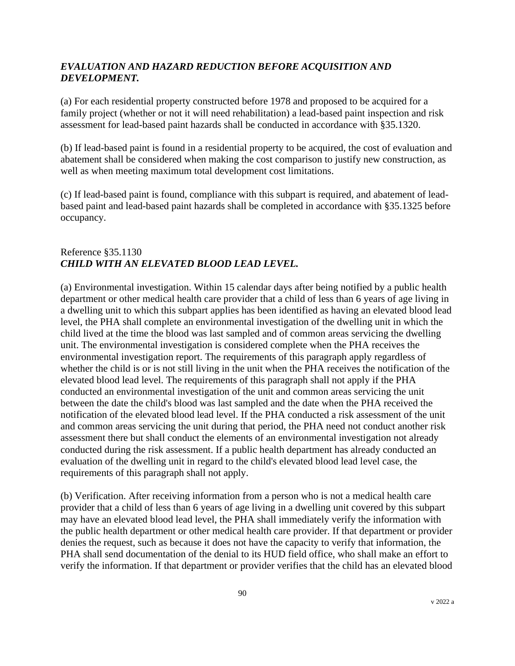## *EVALUATION AND HAZARD REDUCTION BEFORE ACQUISITION AND DEVELOPMENT.*

(a) For each residential property constructed before 1978 and proposed to be acquired for a family project (whether or not it will need rehabilitation) a lead-based paint inspection and risk assessment for lead-based paint hazards shall be conducted in accordance with §35.1320.

(b) If lead-based paint is found in a residential property to be acquired, the cost of evaluation and abatement shall be considered when making the cost comparison to justify new construction, as well as when meeting maximum total development cost limitations.

(c) If lead-based paint is found, compliance with this subpart is required, and abatement of leadbased paint and lead-based paint hazards shall be completed in accordance with §35.1325 before occupancy.

# Reference §35.1130 *CHILD WITH AN ELEVATED BLOOD LEAD LEVEL.*

(a) Environmental investigation. Within 15 calendar days after being notified by a public health department or other medical health care provider that a child of less than 6 years of age living in a dwelling unit to which this subpart applies has been identified as having an elevated blood lead level, the PHA shall complete an environmental investigation of the dwelling unit in which the child lived at the time the blood was last sampled and of common areas servicing the dwelling unit. The environmental investigation is considered complete when the PHA receives the environmental investigation report. The requirements of this paragraph apply regardless of whether the child is or is not still living in the unit when the PHA receives the notification of the elevated blood lead level. The requirements of this paragraph shall not apply if the PHA conducted an environmental investigation of the unit and common areas servicing the unit between the date the child's blood was last sampled and the date when the PHA received the notification of the elevated blood lead level. If the PHA conducted a risk assessment of the unit and common areas servicing the unit during that period, the PHA need not conduct another risk assessment there but shall conduct the elements of an environmental investigation not already conducted during the risk assessment. If a public health department has already conducted an evaluation of the dwelling unit in regard to the child's elevated blood lead level case, the requirements of this paragraph shall not apply.

(b) Verification. After receiving information from a person who is not a medical health care provider that a child of less than 6 years of age living in a dwelling unit covered by this subpart may have an elevated blood lead level, the PHA shall immediately verify the information with the public health department or other medical health care provider. If that department or provider denies the request, such as because it does not have the capacity to verify that information, the PHA shall send documentation of the denial to its HUD field office, who shall make an effort to verify the information. If that department or provider verifies that the child has an elevated blood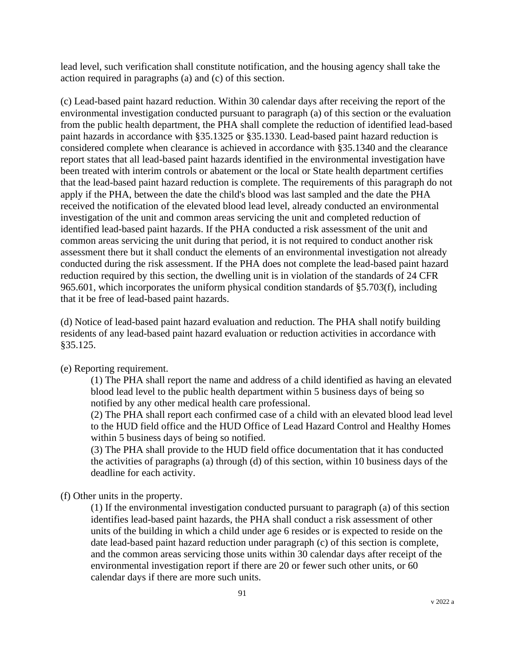lead level, such verification shall constitute notification, and the housing agency shall take the action required in paragraphs (a) and (c) of this section.

(c) Lead-based paint hazard reduction. Within 30 calendar days after receiving the report of the environmental investigation conducted pursuant to paragraph (a) of this section or the evaluation from the public health department, the PHA shall complete the reduction of identified lead-based paint hazards in accordance with §35.1325 or §35.1330. Lead-based paint hazard reduction is considered complete when clearance is achieved in accordance with §35.1340 and the clearance report states that all lead-based paint hazards identified in the environmental investigation have been treated with interim controls or abatement or the local or State health department certifies that the lead-based paint hazard reduction is complete. The requirements of this paragraph do not apply if the PHA, between the date the child's blood was last sampled and the date the PHA received the notification of the elevated blood lead level, already conducted an environmental investigation of the unit and common areas servicing the unit and completed reduction of identified lead-based paint hazards. If the PHA conducted a risk assessment of the unit and common areas servicing the unit during that period, it is not required to conduct another risk assessment there but it shall conduct the elements of an environmental investigation not already conducted during the risk assessment. If the PHA does not complete the lead-based paint hazard reduction required by this section, the dwelling unit is in violation of the standards of 24 CFR 965.601, which incorporates the uniform physical condition standards of §5.703(f), including that it be free of lead-based paint hazards.

(d) Notice of lead-based paint hazard evaluation and reduction. The PHA shall notify building residents of any lead-based paint hazard evaluation or reduction activities in accordance with §35.125.

(e) Reporting requirement.

(1) The PHA shall report the name and address of a child identified as having an elevated blood lead level to the public health department within 5 business days of being so notified by any other medical health care professional.

(2) The PHA shall report each confirmed case of a child with an elevated blood lead level to the HUD field office and the HUD Office of Lead Hazard Control and Healthy Homes within 5 business days of being so notified.

(3) The PHA shall provide to the HUD field office documentation that it has conducted the activities of paragraphs (a) through (d) of this section, within 10 business days of the deadline for each activity.

(f) Other units in the property.

(1) If the environmental investigation conducted pursuant to paragraph (a) of this section identifies lead-based paint hazards, the PHA shall conduct a risk assessment of other units of the building in which a child under age 6 resides or is expected to reside on the date lead-based paint hazard reduction under paragraph (c) of this section is complete, and the common areas servicing those units within 30 calendar days after receipt of the environmental investigation report if there are 20 or fewer such other units, or 60 calendar days if there are more such units.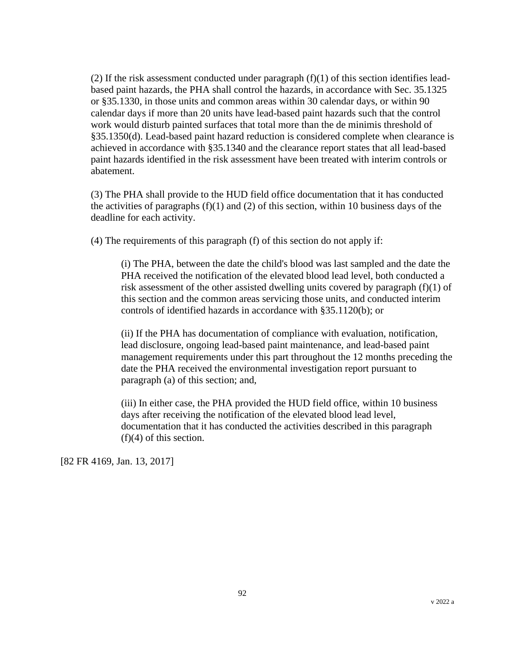(2) If the risk assessment conducted under paragraph  $(f)(1)$  of this section identifies leadbased paint hazards, the PHA shall control the hazards, in accordance with Sec. 35.1325 or §35.1330, in those units and common areas within 30 calendar days, or within 90 calendar days if more than 20 units have lead-based paint hazards such that the control work would disturb painted surfaces that total more than the de minimis threshold of §35.1350(d). Lead-based paint hazard reduction is considered complete when clearance is achieved in accordance with §35.1340 and the clearance report states that all lead-based paint hazards identified in the risk assessment have been treated with interim controls or abatement.

(3) The PHA shall provide to the HUD field office documentation that it has conducted the activities of paragraphs  $(f)(1)$  and  $(2)$  of this section, within 10 business days of the deadline for each activity.

(4) The requirements of this paragraph (f) of this section do not apply if:

(i) The PHA, between the date the child's blood was last sampled and the date the PHA received the notification of the elevated blood lead level, both conducted a risk assessment of the other assisted dwelling units covered by paragraph (f)(1) of this section and the common areas servicing those units, and conducted interim controls of identified hazards in accordance with §35.1120(b); or

(ii) If the PHA has documentation of compliance with evaluation, notification, lead disclosure, ongoing lead-based paint maintenance, and lead-based paint management requirements under this part throughout the 12 months preceding the date the PHA received the environmental investigation report pursuant to paragraph (a) of this section; and,

(iii) In either case, the PHA provided the HUD field office, within 10 business days after receiving the notification of the elevated blood lead level, documentation that it has conducted the activities described in this paragraph (f)(4) of this section.

[82 FR 4169, Jan. 13, 2017]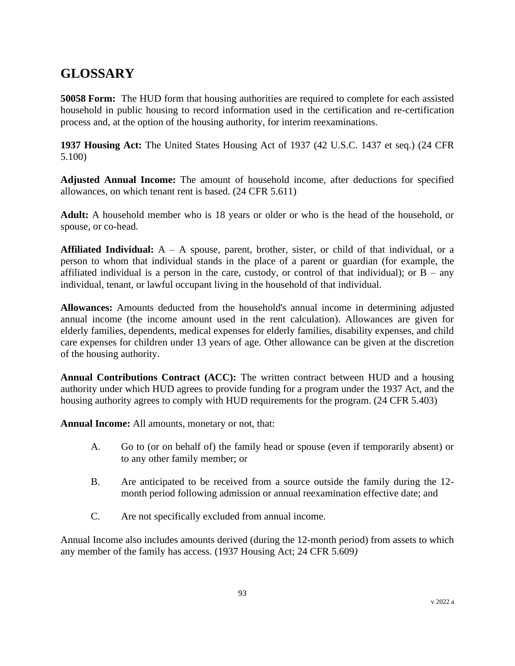# **GLOSSARY**

**50058 Form:** The HUD form that housing authorities are required to complete for each assisted household in public housing to record information used in the certification and re-certification process and, at the option of the housing authority, for interim reexaminations.

**1937 Housing Act:** The United States Housing Act of 1937 (42 U.S.C. 1437 et seq.) (24 CFR 5.100)

**Adjusted Annual Income:** The amount of household income, after deductions for specified allowances, on which tenant rent is based. (24 CFR 5.611)

**Adult:** A household member who is 18 years or older or who is the head of the household, or spouse, or co-head.

**Affiliated Individual:** A – A spouse, parent, brother, sister, or child of that individual, or a person to whom that individual stands in the place of a parent or guardian (for example, the affiliated individual is a person in the care, custody, or control of that individual); or  $B - any$ individual, tenant, or lawful occupant living in the household of that individual.

**Allowances:** Amounts deducted from the household's annual income in determining adjusted annual income (the income amount used in the rent calculation). Allowances are given for elderly families, dependents, medical expenses for elderly families, disability expenses, and child care expenses for children under 13 years of age. Other allowance can be given at the discretion of the housing authority.

**Annual Contributions Contract (ACC):** The written contract between HUD and a housing authority under which HUD agrees to provide funding for a program under the 1937 Act, and the housing authority agrees to comply with HUD requirements for the program. (24 CFR 5.403)

**Annual Income:** All amounts, monetary or not, that:

- A. Go to (or on behalf of) the family head or spouse (even if temporarily absent) or to any other family member; or
- B. Are anticipated to be received from a source outside the family during the 12 month period following admission or annual reexamination effective date; and
- C. Are not specifically excluded from annual income.

Annual Income also includes amounts derived (during the 12-month period) from assets to which any member of the family has access. (1937 Housing Act; 24 CFR 5.609*)*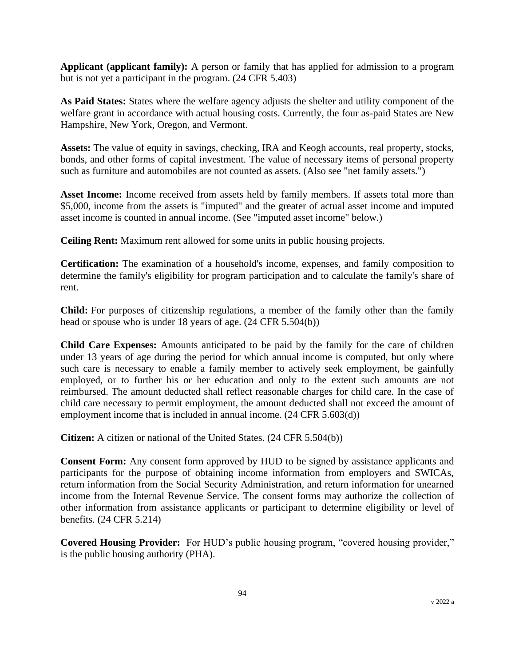**Applicant (applicant family):** A person or family that has applied for admission to a program but is not yet a participant in the program. (24 CFR 5.403)

**As Paid States:** States where the welfare agency adjusts the shelter and utility component of the welfare grant in accordance with actual housing costs. Currently, the four as-paid States are New Hampshire, New York, Oregon, and Vermont.

**Assets:** The value of equity in savings, checking, IRA and Keogh accounts, real property, stocks, bonds, and other forms of capital investment. The value of necessary items of personal property such as furniture and automobiles are not counted as assets. (Also see "net family assets.")

Asset Income: Income received from assets held by family members. If assets total more than \$5,000, income from the assets is "imputed" and the greater of actual asset income and imputed asset income is counted in annual income. (See "imputed asset income" below.)

**Ceiling Rent:** Maximum rent allowed for some units in public housing projects.

**Certification:** The examination of a household's income, expenses, and family composition to determine the family's eligibility for program participation and to calculate the family's share of rent.

**Child:** For purposes of citizenship regulations, a member of the family other than the family head or spouse who is under 18 years of age. (24 CFR 5.504(b))

**Child Care Expenses:** Amounts anticipated to be paid by the family for the care of children under 13 years of age during the period for which annual income is computed, but only where such care is necessary to enable a family member to actively seek employment, be gainfully employed, or to further his or her education and only to the extent such amounts are not reimbursed. The amount deducted shall reflect reasonable charges for child care. In the case of child care necessary to permit employment, the amount deducted shall not exceed the amount of employment income that is included in annual income. (24 CFR 5.603(d))

**Citizen:** A citizen or national of the United States. (24 CFR 5.504(b))

**Consent Form:** Any consent form approved by HUD to be signed by assistance applicants and participants for the purpose of obtaining income information from employers and SWICAs, return information from the Social Security Administration, and return information for unearned income from the Internal Revenue Service. The consent forms may authorize the collection of other information from assistance applicants or participant to determine eligibility or level of benefits. (24 CFR 5.214)

**Covered Housing Provider:** For HUD's public housing program, "covered housing provider," is the public housing authority (PHA).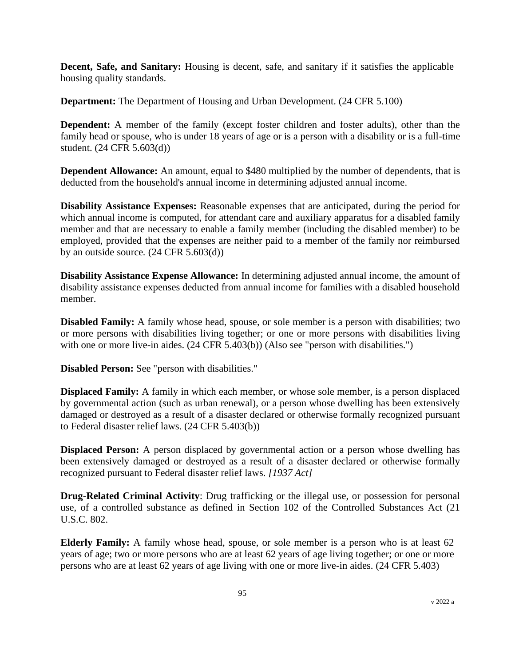**Decent, Safe, and Sanitary:** Housing is decent, safe, and sanitary if it satisfies the applicable housing quality standards.

**Department:** The Department of Housing and Urban Development. (24 CFR 5.100)

**Dependent:** A member of the family (except foster children and foster adults), other than the family head or spouse, who is under 18 years of age or is a person with a disability or is a full-time student. (24 CFR 5.603(d))

**Dependent Allowance:** An amount, equal to \$480 multiplied by the number of dependents, that is deducted from the household's annual income in determining adjusted annual income.

**Disability Assistance Expenses:** Reasonable expenses that are anticipated, during the period for which annual income is computed, for attendant care and auxiliary apparatus for a disabled family member and that are necessary to enable a family member (including the disabled member) to be employed, provided that the expenses are neither paid to a member of the family nor reimbursed by an outside source*.* (24 CFR 5.603(d))

**Disability Assistance Expense Allowance:** In determining adjusted annual income, the amount of disability assistance expenses deducted from annual income for families with a disabled household member.

**Disabled Family:** A family whose head, spouse, or sole member is a person with disabilities; two or more persons with disabilities living together; or one or more persons with disabilities living with one or more live-in aides.  $(24 \text{ CFR } 5.403(b))$  (Also see "person with disabilities.")

**Disabled Person:** See "person with disabilities."

**Displaced Family:** A family in which each member, or whose sole member, is a person displaced by governmental action (such as urban renewal), or a person whose dwelling has been extensively damaged or destroyed as a result of a disaster declared or otherwise formally recognized pursuant to Federal disaster relief laws. (24 CFR 5.403(b))

**Displaced Person:** A person displaced by governmental action or a person whose dwelling has been extensively damaged or destroyed as a result of a disaster declared or otherwise formally recognized pursuant to Federal disaster relief laws*. [1937 Act]*

**Drug-Related Criminal Activity**: Drug trafficking or the illegal use, or possession for personal use, of a controlled substance as defined in Section 102 of the Controlled Substances Act (21 U.S.C. 802.

**Elderly Family:** A family whose head, spouse, or sole member is a person who is at least 62 years of age; two or more persons who are at least 62 years of age living together; or one or more persons who are at least 62 years of age living with one or more live-in aides. (24 CFR 5.403)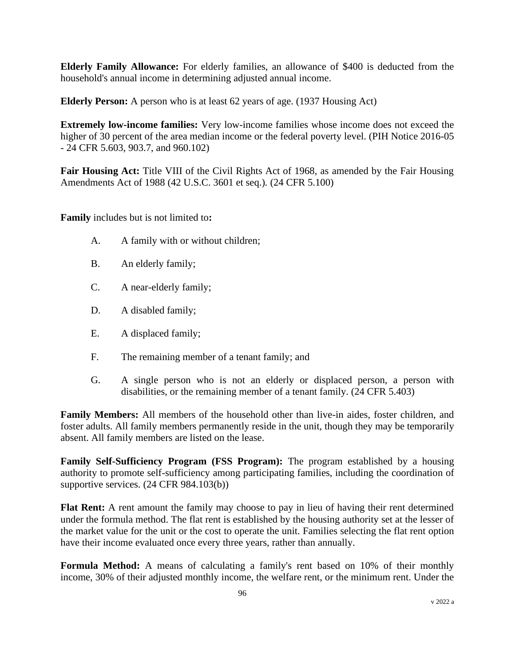**Elderly Family Allowance:** For elderly families, an allowance of \$400 is deducted from the household's annual income in determining adjusted annual income.

**Elderly Person:** A person who is at least 62 years of age. (1937 Housing Act)

**Extremely low-income families:** Very low-income families whose income does not exceed the higher of 30 percent of the area median income or the federal poverty level. (PIH Notice 2016-05 - 24 CFR 5.603, 903.7, and 960.102)

**Fair Housing Act:** Title VIII of the Civil Rights Act of 1968, as amended by the Fair Housing Amendments Act of 1988 (42 U.S.C. 3601 et seq.)*.* (24 CFR 5.100)

**Family** includes but is not limited to**:**

- A. A family with or without children;
- B. An elderly family;
- C. A near-elderly family;
- D. A disabled family;
- E. A displaced family;
- F. The remaining member of a tenant family; and
- G. A single person who is not an elderly or displaced person, a person with disabilities, or the remaining member of a tenant family. (24 CFR 5.403)

**Family Members:** All members of the household other than live-in aides, foster children, and foster adults. All family members permanently reside in the unit, though they may be temporarily absent. All family members are listed on the lease.

**Family Self-Sufficiency Program (FSS Program):** The program established by a housing authority to promote self-sufficiency among participating families, including the coordination of supportive services. (24 CFR 984.103(b))

**Flat Rent:** A rent amount the family may choose to pay in lieu of having their rent determined under the formula method. The flat rent is established by the housing authority set at the lesser of the market value for the unit or the cost to operate the unit. Families selecting the flat rent option have their income evaluated once every three years, rather than annually.

**Formula Method:** A means of calculating a family's rent based on 10% of their monthly income, 30% of their adjusted monthly income, the welfare rent, or the minimum rent. Under the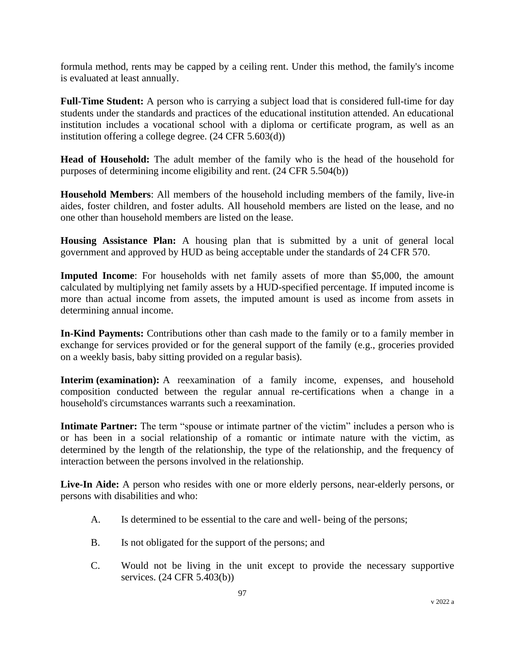formula method, rents may be capped by a ceiling rent. Under this method, the family's income is evaluated at least annually.

**Full-Time Student:** A person who is carrying a subject load that is considered full-time for day students under the standards and practices of the educational institution attended. An educational institution includes a vocational school with a diploma or certificate program, as well as an institution offering a college degree. (24 CFR 5.603(d))

**Head of Household:** The adult member of the family who is the head of the household for purposes of determining income eligibility and rent. (24 CFR 5.504(b))

**Household Members**: All members of the household including members of the family, live-in aides, foster children, and foster adults. All household members are listed on the lease, and no one other than household members are listed on the lease.

**Housing Assistance Plan:** A housing plan that is submitted by a unit of general local government and approved by HUD as being acceptable under the standards of 24 CFR 570.

**Imputed Income**: For households with net family assets of more than \$5,000, the amount calculated by multiplying net family assets by a HUD-specified percentage. If imputed income is more than actual income from assets, the imputed amount is used as income from assets in determining annual income.

**In-Kind Payments:** Contributions other than cash made to the family or to a family member in exchange for services provided or for the general support of the family (e.g., groceries provided on a weekly basis, baby sitting provided on a regular basis).

**Interim (examination):** A reexamination of a family income, expenses, and household composition conducted between the regular annual re-certifications when a change in a household's circumstances warrants such a reexamination.

**Intimate Partner:** The term "spouse or intimate partner of the victim" includes a person who is or has been in a social relationship of a romantic or intimate nature with the victim, as determined by the length of the relationship, the type of the relationship, and the frequency of interaction between the persons involved in the relationship.

**Live-In Aide:** A person who resides with one or more elderly persons, near-elderly persons, or persons with disabilities and who:

- A. Is determined to be essential to the care and well- being of the persons;
- B. Is not obligated for the support of the persons; and
- C. Would not be living in the unit except to provide the necessary supportive services. (24 CFR 5.403(b))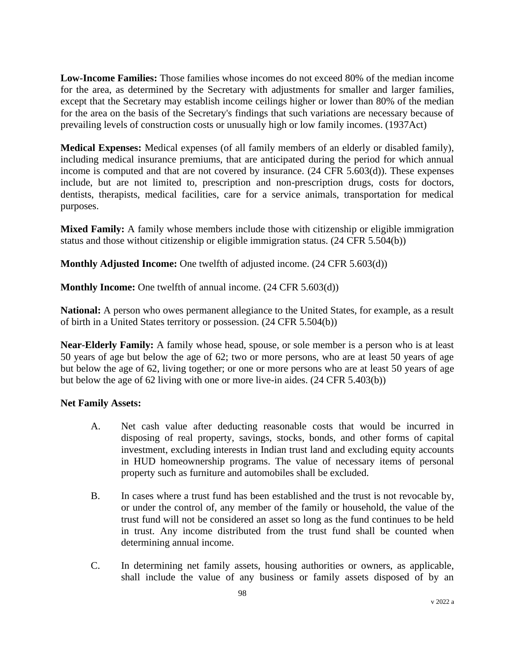**Low-Income Families:** Those families whose incomes do not exceed 80% of the median income for the area, as determined by the Secretary with adjustments for smaller and larger families, except that the Secretary may establish income ceilings higher or lower than 80% of the median for the area on the basis of the Secretary's findings that such variations are necessary because of prevailing levels of construction costs or unusually high or low family incomes. (1937Act)

**Medical Expenses:** Medical expenses (of all family members of an elderly or disabled family), including medical insurance premiums, that are anticipated during the period for which annual income is computed and that are not covered by insurance. (24 CFR 5.603(d)). These expenses include, but are not limited to, prescription and non-prescription drugs, costs for doctors, dentists, therapists, medical facilities, care for a service animals, transportation for medical purposes.

**Mixed Family:** A family whose members include those with citizenship or eligible immigration status and those without citizenship or eligible immigration status. (24 CFR 5.504(b))

**Monthly Adjusted Income:** One twelfth of adjusted income. (24 CFR 5.603(d))

**Monthly Income:** One twelfth of annual income. (24 CFR 5.603(d))

**National:** A person who owes permanent allegiance to the United States, for example, as a result of birth in a United States territory or possession. (24 CFR 5.504(b))

**Near-Elderly Family:** A family whose head, spouse, or sole member is a person who is at least 50 years of age but below the age of 62; two or more persons, who are at least 50 years of age but below the age of 62, living together; or one or more persons who are at least 50 years of age but below the age of 62 living with one or more live-in aides. (24 CFR 5.403(b))

#### **Net Family Assets:**

- A. Net cash value after deducting reasonable costs that would be incurred in disposing of real property, savings, stocks, bonds, and other forms of capital investment, excluding interests in Indian trust land and excluding equity accounts in HUD homeownership programs. The value of necessary items of personal property such as furniture and automobiles shall be excluded.
- B. In cases where a trust fund has been established and the trust is not revocable by, or under the control of, any member of the family or household, the value of the trust fund will not be considered an asset so long as the fund continues to be held in trust. Any income distributed from the trust fund shall be counted when determining annual income.
- C. In determining net family assets, housing authorities or owners, as applicable, shall include the value of any business or family assets disposed of by an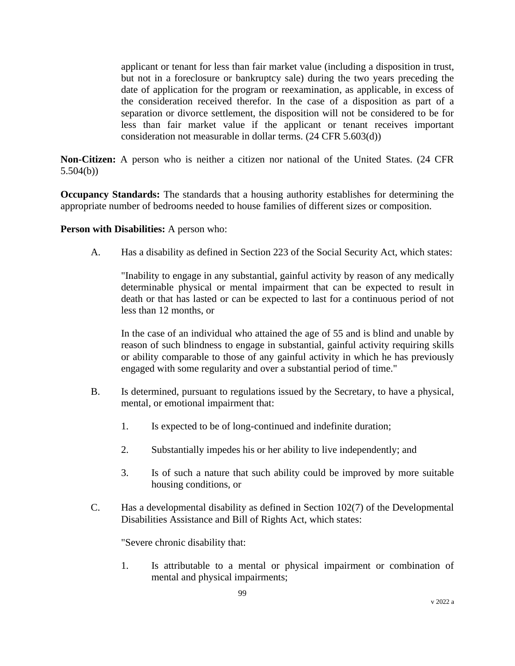applicant or tenant for less than fair market value (including a disposition in trust, but not in a foreclosure or bankruptcy sale) during the two years preceding the date of application for the program or reexamination, as applicable, in excess of the consideration received therefor. In the case of a disposition as part of a separation or divorce settlement, the disposition will not be considered to be for less than fair market value if the applicant or tenant receives important consideration not measurable in dollar terms. (24 CFR 5.603(d))

**Non-Citizen:** A person who is neither a citizen nor national of the United States. (24 CFR 5.504(b))

**Occupancy Standards:** The standards that a housing authority establishes for determining the appropriate number of bedrooms needed to house families of different sizes or composition*.*

#### **Person with Disabilities:** A person who:

A. Has a disability as defined in Section 223 of the Social Security Act, which states:

"Inability to engage in any substantial, gainful activity by reason of any medically determinable physical or mental impairment that can be expected to result in death or that has lasted or can be expected to last for a continuous period of not less than 12 months, or

In the case of an individual who attained the age of 55 and is blind and unable by reason of such blindness to engage in substantial, gainful activity requiring skills or ability comparable to those of any gainful activity in which he has previously engaged with some regularity and over a substantial period of time."

- B. Is determined, pursuant to regulations issued by the Secretary, to have a physical, mental, or emotional impairment that:
	- 1. Is expected to be of long-continued and indefinite duration;
	- 2. Substantially impedes his or her ability to live independently; and
	- 3. Is of such a nature that such ability could be improved by more suitable housing conditions, or
- C. Has a developmental disability as defined in Section 102(7) of the Developmental Disabilities Assistance and Bill of Rights Act, which states:

"Severe chronic disability that:

1. Is attributable to a mental or physical impairment or combination of mental and physical impairments;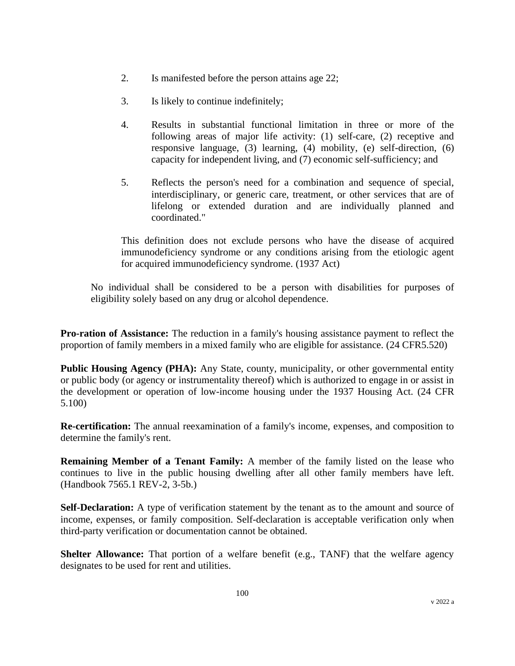- 2. Is manifested before the person attains age 22;
- 3. Is likely to continue indefinitely;
- 4. Results in substantial functional limitation in three or more of the following areas of major life activity: (1) self-care, (2) receptive and responsive language, (3) learning, (4) mobility, (e) self-direction, (6) capacity for independent living, and (7) economic self-sufficiency; and
- 5. Reflects the person's need for a combination and sequence of special, interdisciplinary, or generic care, treatment, or other services that are of lifelong or extended duration and are individually planned and coordinated."

This definition does not exclude persons who have the disease of acquired immunodeficiency syndrome or any conditions arising from the etiologic agent for acquired immunodeficiency syndrome. (1937 Act)

No individual shall be considered to be a person with disabilities for purposes of eligibility solely based on any drug or alcohol dependence.

**Pro-ration of Assistance:** The reduction in a family's housing assistance payment to reflect the proportion of family members in a mixed family who are eligible for assistance. (24 CFR5.520)

Public Housing Agency (PHA): Any State, county, municipality, or other governmental entity or public body (or agency or instrumentality thereof) which is authorized to engage in or assist in the development or operation of low-income housing under the 1937 Housing Act. (24 CFR 5.100)

**Re-certification:** The annual reexamination of a family's income, expenses, and composition to determine the family's rent.

**Remaining Member of a Tenant Family:** A member of the family listed on the lease who continues to live in the public housing dwelling after all other family members have left. (Handbook 7565.1 REV-2, 3-5b.)

**Self-Declaration:** A type of verification statement by the tenant as to the amount and source of income, expenses, or family composition. Self-declaration is acceptable verification only when third-party verification or documentation cannot be obtained.

**Shelter Allowance:** That portion of a welfare benefit (e.g., TANF) that the welfare agency designates to be used for rent and utilities.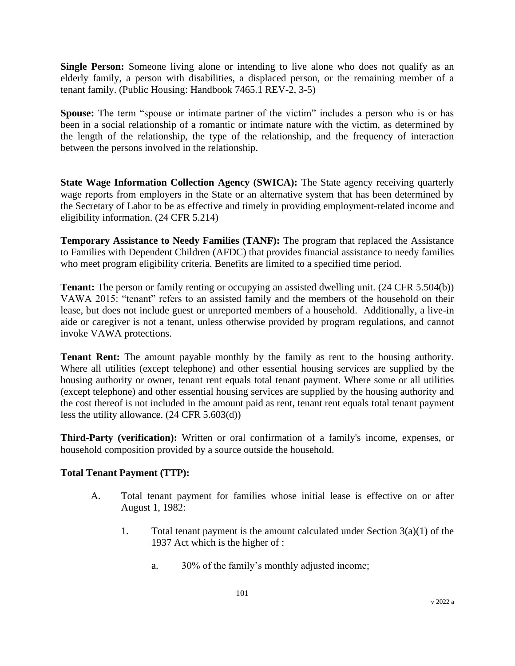**Single Person:** Someone living alone or intending to live alone who does not qualify as an elderly family, a person with disabilities, a displaced person, or the remaining member of a tenant family. (Public Housing: Handbook 7465.1 REV-2, 3-5)

**Spouse:** The term "spouse or intimate partner of the victim" includes a person who is or has been in a social relationship of a romantic or intimate nature with the victim, as determined by the length of the relationship, the type of the relationship, and the frequency of interaction between the persons involved in the relationship.

**State Wage Information Collection Agency (SWICA):** The State agency receiving quarterly wage reports from employers in the State or an alternative system that has been determined by the Secretary of Labor to be as effective and timely in providing employment-related income and eligibility information. (24 CFR 5.214)

**Temporary Assistance to Needy Families (TANF):** The program that replaced the Assistance to Families with Dependent Children (AFDC) that provides financial assistance to needy families who meet program eligibility criteria. Benefits are limited to a specified time period.

**Tenant:** The person or family renting or occupying an assisted dwelling unit. (24 CFR 5.504(b)) VAWA 2015: "tenant" refers to an assisted family and the members of the household on their lease, but does not include guest or unreported members of a household. Additionally, a live-in aide or caregiver is not a tenant, unless otherwise provided by program regulations, and cannot invoke VAWA protections.

**Tenant Rent:** The amount payable monthly by the family as rent to the housing authority. Where all utilities (except telephone) and other essential housing services are supplied by the housing authority or owner, tenant rent equals total tenant payment. Where some or all utilities (except telephone) and other essential housing services are supplied by the housing authority and the cost thereof is not included in the amount paid as rent, tenant rent equals total tenant payment less the utility allowance. (24 CFR 5.603(d))

**Third-Party (verification):** Written or oral confirmation of a family's income, expenses, or household composition provided by a source outside the household.

### **Total Tenant Payment (TTP):**

- A. Total tenant payment for families whose initial lease is effective on or after August 1, 1982:
	- 1. Total tenant payment is the amount calculated under Section  $3(a)(1)$  of the 1937 Act which is the higher of :
		- a. 30% of the family's monthly adjusted income;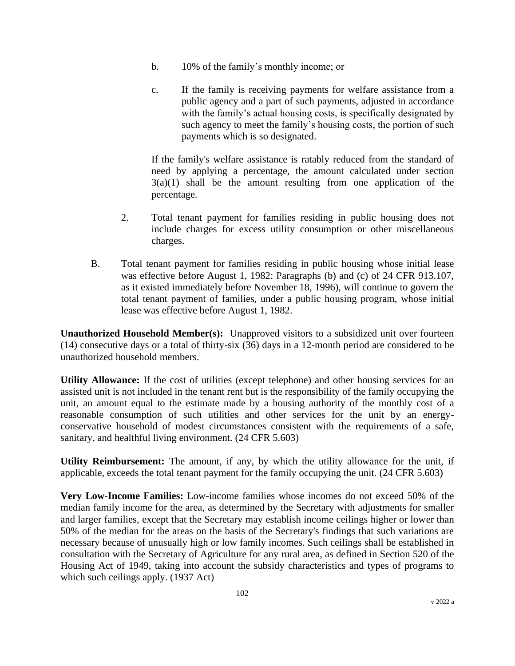- b. 10% of the family's monthly income; or
- c. If the family is receiving payments for welfare assistance from a public agency and a part of such payments, adjusted in accordance with the family's actual housing costs, is specifically designated by such agency to meet the family's housing costs, the portion of such payments which is so designated.

If the family's welfare assistance is ratably reduced from the standard of need by applying a percentage, the amount calculated under section  $3(a)(1)$  shall be the amount resulting from one application of the percentage.

- 2. Total tenant payment for families residing in public housing does not include charges for excess utility consumption or other miscellaneous charges.
- B. Total tenant payment for families residing in public housing whose initial lease was effective before August 1, 1982: Paragraphs (b) and (c) of 24 CFR 913.107, as it existed immediately before November 18, 1996), will continue to govern the total tenant payment of families, under a public housing program, whose initial lease was effective before August 1, 1982.

**Unauthorized Household Member(s):** Unapproved visitors to a subsidized unit over fourteen (14) consecutive days or a total of thirty-six (36) days in a 12-month period are considered to be unauthorized household members.

**Utility Allowance:** If the cost of utilities (except telephone) and other housing services for an assisted unit is not included in the tenant rent but is the responsibility of the family occupying the unit, an amount equal to the estimate made by a housing authority of the monthly cost of a reasonable consumption of such utilities and other services for the unit by an energyconservative household of modest circumstances consistent with the requirements of a safe, sanitary, and healthful living environment. (24 CFR 5.603)

**Utility Reimbursement:** The amount, if any, by which the utility allowance for the unit, if applicable, exceeds the total tenant payment for the family occupying the unit. (24 CFR 5.603)

**Very Low-Income Families:** Low-income families whose incomes do not exceed 50% of the median family income for the area, as determined by the Secretary with adjustments for smaller and larger families, except that the Secretary may establish income ceilings higher or lower than 50% of the median for the areas on the basis of the Secretary's findings that such variations are necessary because of unusually high or low family incomes. Such ceilings shall be established in consultation with the Secretary of Agriculture for any rural area, as defined in Section 520 of the Housing Act of 1949, taking into account the subsidy characteristics and types of programs to which such ceilings apply. (1937 Act)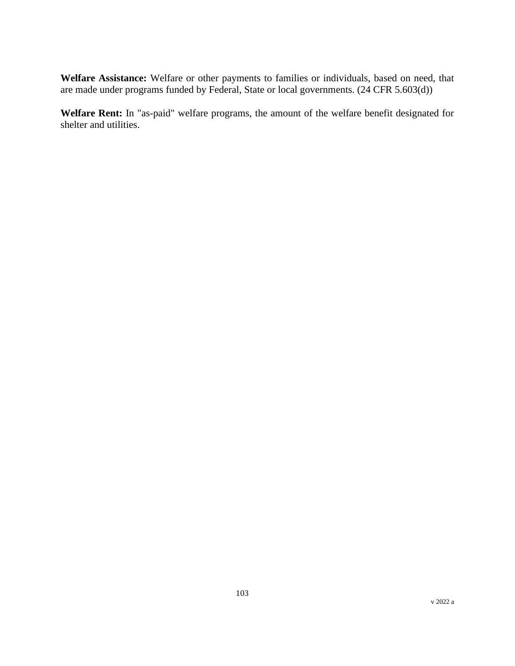**Welfare Assistance:** Welfare or other payments to families or individuals, based on need, that are made under programs funded by Federal, State or local governments. (24 CFR 5.603(d))

**Welfare Rent:** In "as-paid" welfare programs, the amount of the welfare benefit designated for shelter and utilities.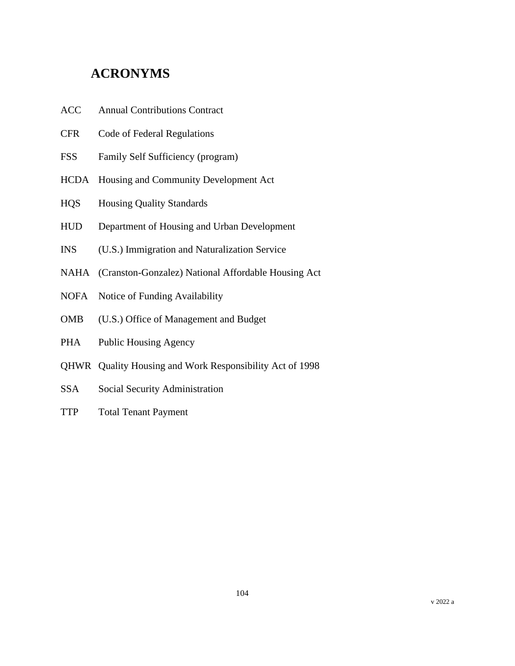# **ACRONYMS**

- ACC Annual Contributions Contract
- CFR Code of Federal Regulations
- FSS Family Self Sufficiency (program)
- HCDA Housing and Community Development Act
- HQS Housing Quality Standards
- HUD Department of Housing and Urban Development
- INS (U.S.) Immigration and Naturalization Service
- NAHA (Cranston-Gonzalez) National Affordable Housing Act
- NOFA Notice of Funding Availability
- OMB (U.S.) Office of Management and Budget
- PHA Public Housing Agency
- QHWR Quality Housing and Work Responsibility Act of 1998
- SSA Social Security Administration
- TTP Total Tenant Payment